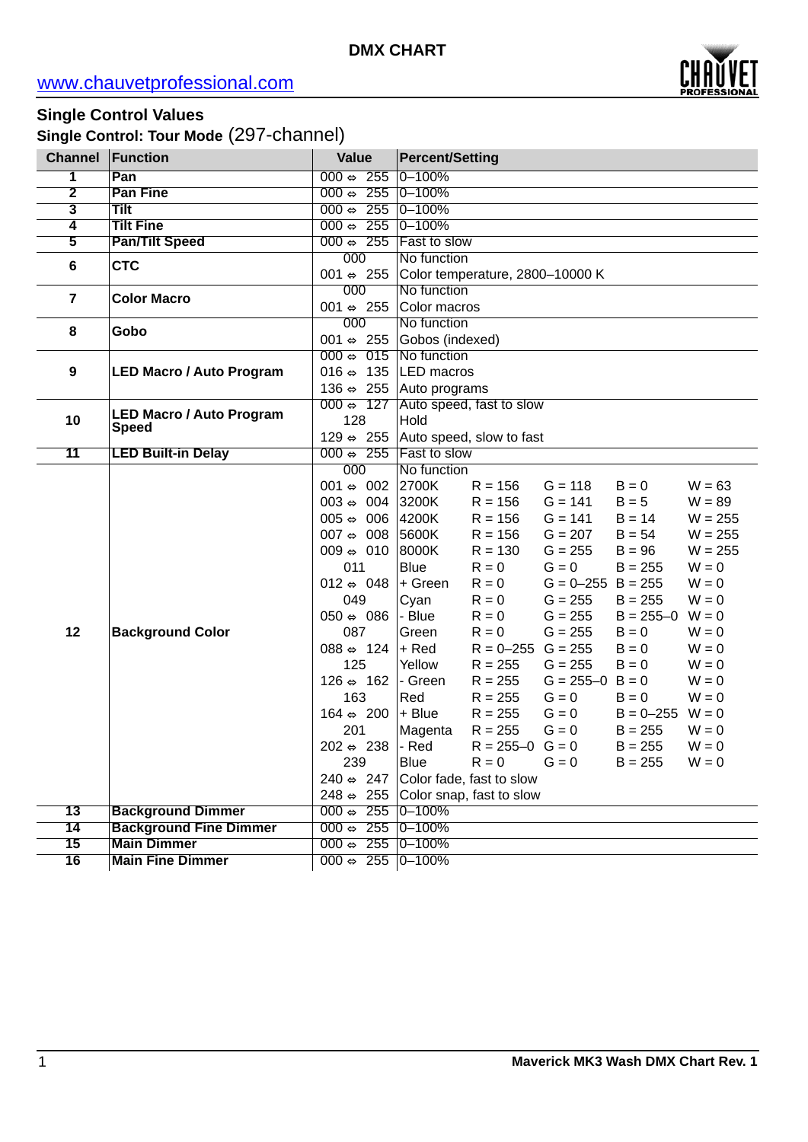

#### **Single Control Values**

**Single Control: Tour Mode** (297-channel)

| <b>Channel</b>          | Function                                        | <b>Value</b>                            | <b>Percent/Setting</b>   |                                 |                                  |                     |                    |  |
|-------------------------|-------------------------------------------------|-----------------------------------------|--------------------------|---------------------------------|----------------------------------|---------------------|--------------------|--|
| 1                       | Pan                                             | $000 \div 255$                          | $0 - 100%$               |                                 |                                  |                     |                    |  |
| $\overline{\mathbf{2}}$ | <b>Pan Fine</b>                                 | $000 \div 255$                          | $0 - 100%$               |                                 |                                  |                     |                    |  |
| 3                       | <b>Tilt</b>                                     | $000 \Leftrightarrow 255$               | $0 - 100%$               |                                 |                                  |                     |                    |  |
| $\overline{\mathbf{4}}$ | <b>Tilt Fine</b>                                | $000 \Leftrightarrow 255$               | $0 - 100%$               |                                 |                                  |                     |                    |  |
| 5                       | <b>Pan/Tilt Speed</b>                           | $000 \Leftrightarrow 255$               | Fast to slow             |                                 |                                  |                     |                    |  |
| 6                       | <b>CTC</b>                                      | 000                                     |                          | No function                     |                                  |                     |                    |  |
|                         |                                                 | 001 $\Leftrightarrow$ 255               |                          | Color temperature, 2800-10000 K |                                  |                     |                    |  |
| 7                       | <b>Color Macro</b>                              | 000                                     | No function              |                                 |                                  |                     |                    |  |
|                         |                                                 | 001 $\Leftrightarrow$ 255               | Color macros             |                                 |                                  |                     |                    |  |
| 8                       | Gobo                                            | 000                                     | No function              |                                 |                                  |                     |                    |  |
|                         |                                                 | 001 $\Leftrightarrow$ 255               | Gobos (indexed)          |                                 |                                  |                     |                    |  |
|                         |                                                 | $000 \div 015$                          | No function              |                                 |                                  |                     |                    |  |
| 9                       | <b>LED Macro / Auto Program</b>                 | 016 $\Leftrightarrow$ 135               | <b>LED</b> macros        |                                 |                                  |                     |                    |  |
|                         |                                                 | 136 $\Leftrightarrow$ 255 Auto programs |                          |                                 |                                  |                     |                    |  |
|                         | <b>LED Macro / Auto Program</b><br><b>Speed</b> | $000 \Leftrightarrow 127$               |                          | Auto speed, fast to slow        |                                  |                     |                    |  |
| 10                      |                                                 | 128                                     | Hold                     |                                 |                                  |                     |                    |  |
|                         |                                                 | $129 \Leftrightarrow 255$               | Auto speed, slow to fast |                                 |                                  |                     |                    |  |
| 11                      | <b>LED Built-in Delay</b>                       | $000 \Leftrightarrow 255$               | Fast to slow             |                                 |                                  |                     |                    |  |
|                         |                                                 | 000                                     | No function              |                                 |                                  |                     |                    |  |
|                         |                                                 | 001 $\Leftrightarrow$ 002               | 2700K                    | $R = 156$                       | $G = 118$                        | $B = 0$             | $W = 63$           |  |
|                         |                                                 | $003 \Leftrightarrow 004$               | 3200K                    | $R = 156$                       | $G = 141$                        | $B = 5$             | $W = 89$           |  |
|                         |                                                 | $005 \Leftrightarrow 006$               | 4200K                    | $R = 156$                       | $G = 141$                        | $B = 14$            | $W = 255$          |  |
|                         |                                                 | 007 $\Leftrightarrow$ 008               | 5600K                    | $R = 156$                       | $G = 207$                        | $B = 54$            | $W = 255$          |  |
|                         |                                                 | $009 \Leftrightarrow 010$               | 8000K                    | $R = 130$                       | $G = 255$                        | $B = 96$            | $W = 255$          |  |
|                         |                                                 | 011                                     | <b>Blue</b>              | $R = 0$                         | $G = 0$                          | $B = 255$           | $W = 0$            |  |
|                         |                                                 | 012 $\Leftrightarrow$ 048               | + Green                  | $R = 0$                         | $G = 0 - 255$ B = 255            |                     | $W = 0$            |  |
|                         |                                                 | 049                                     | Cyan                     | $R = 0$                         | $G = 255$                        | $B = 255$           | $W = 0$            |  |
|                         |                                                 | $050 \Leftrightarrow 086$               | - Blue                   | $R = 0$                         | $G = 255$                        | $B = 255 - 0$ W = 0 |                    |  |
| 12                      | <b>Background Color</b>                         | 087                                     | Green                    | $R = 0$                         | $G = 255$                        | $B = 0$             | $W = 0$            |  |
|                         |                                                 | 088 $\Leftrightarrow$ 124               | + Red                    | $R = 0 - 255$ $G = 255$         |                                  | $B = 0$             | $W = 0$            |  |
|                         |                                                 | 125<br>$126 \Leftrightarrow 162$        | Yellow<br>- Green        | $R = 255$<br>$R = 255$          | $G = 255$<br>$G = 255 - 0$ B = 0 | $B = 0$             | $W = 0$<br>$W = 0$ |  |
|                         |                                                 | 163                                     | Red                      | $R = 255$                       | $G = 0$                          | $B = 0$             | $W = 0$            |  |
|                         |                                                 | $164 \Leftrightarrow 200$               | + Blue                   | $R = 255$                       | $G = 0$                          | $B = 0 - 255$ W = 0 |                    |  |
|                         |                                                 | 201                                     |                          | $R = 255$                       | $G = 0$                          | $B = 255$           | $W = 0$            |  |
|                         |                                                 | $202 \Leftrightarrow 238$               | Magenta<br>l- Red        | $R = 255 - 0$ G = 0             |                                  | $B = 255$           | $W = 0$            |  |
|                         |                                                 | 239                                     | <b>Blue</b>              | $R = 0$                         | $G = 0$                          | $B = 255$           | $W = 0$            |  |
|                         |                                                 | $240 \Leftrightarrow 247$               |                          | Color fade, fast to slow        |                                  |                     |                    |  |
|                         |                                                 | $248 \Leftrightarrow 255$               |                          | Color snap, fast to slow        |                                  |                     |                    |  |
| 13                      | <b>Background Dimmer</b>                        | $000 \Leftrightarrow 255$               | $0 - 100%$               |                                 |                                  |                     |                    |  |
| 14                      | <b>Background Fine Dimmer</b>                   | 000 $\Leftrightarrow$ 255 0-100%        |                          |                                 |                                  |                     |                    |  |
| 15                      | <b>Main Dimmer</b>                              | 000 $\Leftrightarrow$ 255 0-100%        |                          |                                 |                                  |                     |                    |  |
| 16                      | <b>Main Fine Dimmer</b>                         | 000 $\Leftrightarrow$ 255 0-100%        |                          |                                 |                                  |                     |                    |  |
|                         |                                                 |                                         |                          |                                 |                                  |                     |                    |  |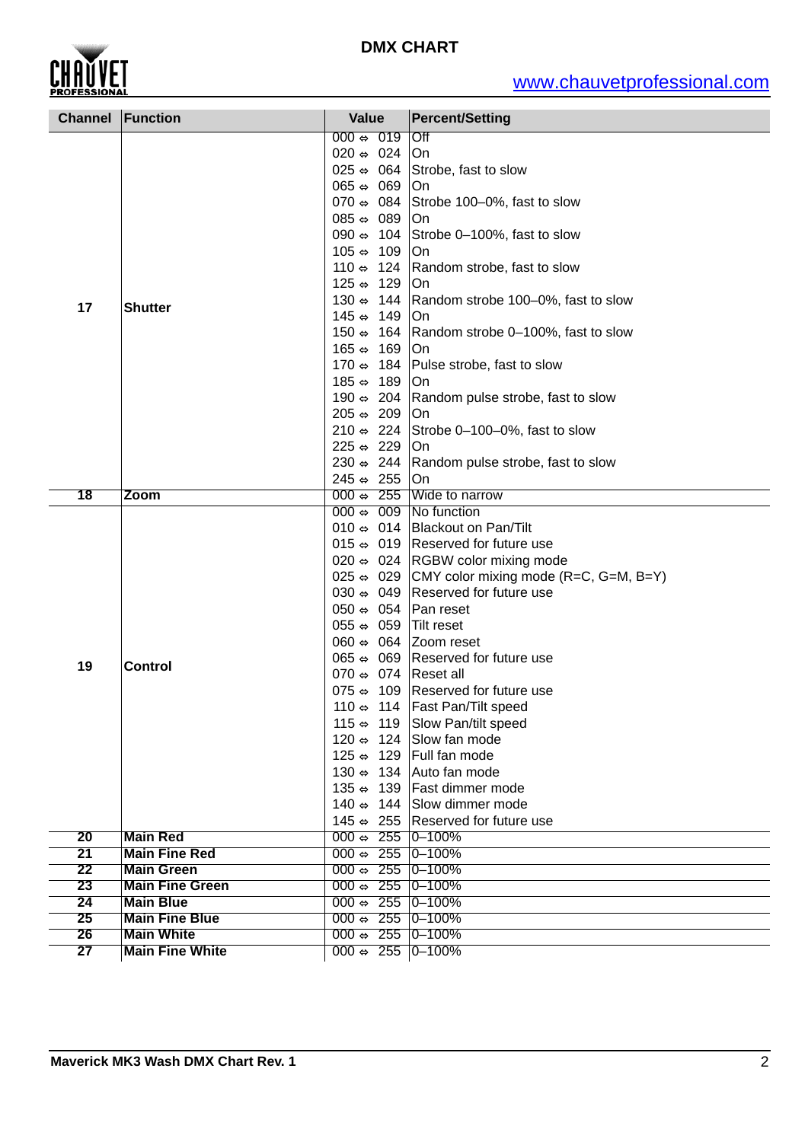

| <b>Channel</b> | Function               | <b>Value</b>                          | <b>Percent/Setting</b>                                          |
|----------------|------------------------|---------------------------------------|-----------------------------------------------------------------|
|                |                        | $000 \Leftrightarrow 019$             | $\overline{Off}$                                                |
|                |                        | $020 \Leftrightarrow 024$             | On                                                              |
|                |                        | $025 \Leftrightarrow 064$             | Strobe, fast to slow                                            |
|                |                        | $065 \Leftrightarrow 069$             | On                                                              |
|                |                        | 070 $\Leftrightarrow$ 084             | Strobe 100-0%, fast to slow                                     |
|                |                        | $085 \Leftrightarrow 089$             | On                                                              |
|                |                        | $090 \Leftrightarrow 104$             | Strobe 0-100%, fast to slow                                     |
|                |                        | $105 \Leftrightarrow 109$             | On                                                              |
|                |                        | 110 $\Leftrightarrow$ 124             | Random strobe, fast to slow                                     |
|                |                        | $125 \Leftrightarrow 129$             | On                                                              |
| 17             | <b>Shutter</b>         | $130 \Leftrightarrow 144$             | Random strobe 100-0%, fast to slow                              |
|                |                        | $145 \Leftrightarrow 149$             | On                                                              |
|                |                        | $150 \Leftrightarrow 164$             | Random strobe 0-100%, fast to slow                              |
|                |                        | $165 \Leftrightarrow 169$             | On                                                              |
|                |                        | 170 $\Leftrightarrow$ 184             | Pulse strobe, fast to slow                                      |
|                |                        | $185 \Leftrightarrow 189$             | On                                                              |
|                |                        | 190 $\Leftrightarrow$ 204             | Random pulse strobe, fast to slow                               |
|                |                        | $205 \Leftrightarrow 209$             | On                                                              |
|                |                        | $210 \Leftrightarrow 224$             | Strobe 0-100-0%, fast to slow                                   |
|                |                        | $225 \Leftrightarrow 229$             | On                                                              |
|                |                        | 230 $\Leftrightarrow$ 244             | Random pulse strobe, fast to slow                               |
|                |                        | $245 \Leftrightarrow 255$             | On                                                              |
| 18             | Zoom                   |                                       | 000 $\Leftrightarrow$ 255 Wide to narrow                        |
|                |                        | 000 $\Leftrightarrow$ 009 No function |                                                                 |
|                |                        |                                       | 010 ↔ 014 Blackout on Pan/Tilt                                  |
|                |                        |                                       | 015 $\Leftrightarrow$ 019 Reserved for future use               |
|                |                        |                                       | 020 $\Leftrightarrow$ 024 RGBW color mixing mode                |
|                |                        |                                       | 025 $\Leftrightarrow$ 029 CMY color mixing mode (R=C, G=M, B=Y) |
|                |                        |                                       | 030 $\Leftrightarrow$ 049 Reserved for future use               |
|                |                        | 050 $\Leftrightarrow$ 054   Pan reset |                                                                 |
|                |                        | $055 \Leftrightarrow 059$             | Tilt reset                                                      |
|                |                        | 060 $\Leftrightarrow$ 064 Zoom reset  |                                                                 |
| 19             | <b>Control</b>         | 070 $\Leftrightarrow$ 074 Reset all   | 065 $\Leftrightarrow$ 069 Reserved for future use               |
|                |                        |                                       | 075 $\Leftrightarrow$ 109 Reserved for future use               |
|                |                        |                                       | 110 $\Leftrightarrow$ 114   Fast Pan/Tilt speed                 |
|                |                        |                                       | 115 $\Leftrightarrow$ 119 Slow Pan/tilt speed                   |
|                |                        |                                       | 120 $\Leftrightarrow$ 124 Slow fan mode                         |
|                |                        |                                       | 125 $\Leftrightarrow$ 129   Full fan mode                       |
|                |                        |                                       | 130 $\Leftrightarrow$ 134 Auto fan mode                         |
|                |                        |                                       | 135 $\Leftrightarrow$ 139   Fast dimmer mode                    |
|                |                        |                                       | 140 $\Leftrightarrow$ 144 Slow dimmer mode                      |
|                |                        |                                       | 145 $\Leftrightarrow$ 255 Reserved for future use               |
| 20             | <b>Main Red</b>        | 000 $\Leftrightarrow$ 255 0-100%      |                                                                 |
| 21             | <b>Main Fine Red</b>   | 000 $\Leftrightarrow$ 255 0-100%      |                                                                 |
| 22             | <b>Main Green</b>      | 000 $\Leftrightarrow$ 255 0-100%      |                                                                 |
| 23             | <b>Main Fine Green</b> | 000 $\Leftrightarrow$ 255 0-100%      |                                                                 |
| 24             | <b>Main Blue</b>       | 000 $\Leftrightarrow$ 255 0-100%      |                                                                 |
| 25             | <b>Main Fine Blue</b>  | 000 $\Leftrightarrow$ 255 0-100%      |                                                                 |
| 26             | <b>Main White</b>      | $000 \Leftrightarrow 255$ 0-100%      |                                                                 |
| 27             | <b>Main Fine White</b> | 000 $\Leftrightarrow$ 255 0-100%      |                                                                 |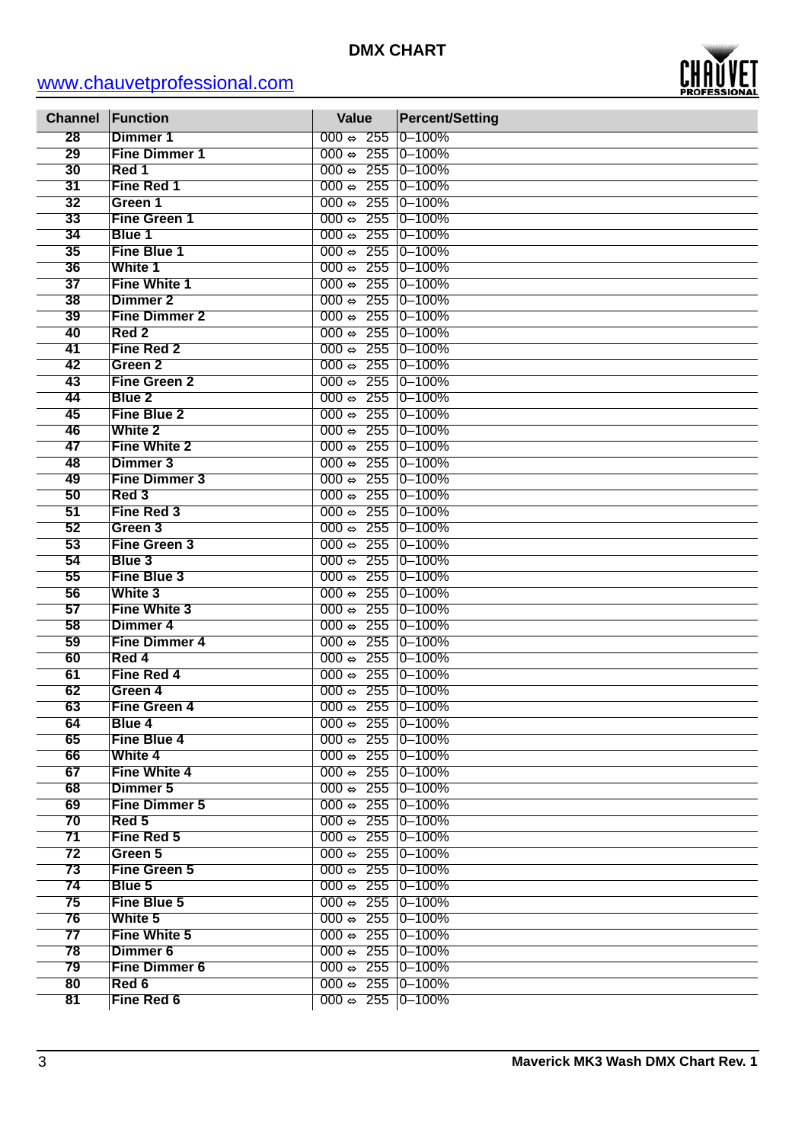

| <b>Channel</b>  | Function                      | <b>Value</b>                                                         | <b>Percent/Setting</b>   |
|-----------------|-------------------------------|----------------------------------------------------------------------|--------------------------|
| $\overline{28}$ | Dimmer 1                      | $000 \Leftrightarrow 255$                                            | $0 - 100%$               |
| 29              | <b>Fine Dimmer 1</b>          | $000 \Leftrightarrow 255$                                            | $0 - 100%$               |
| 30              | Red 1                         | $000 \Leftrightarrow 255$                                            | $0 - 100%$               |
| 31              | Fine Red 1                    | $000 \Leftrightarrow 255$                                            | $0 - 100%$               |
| 32              | Green 1                       | $000 \Leftrightarrow 255$                                            | $0 - 100%$               |
| 33              | <b>Fine Green 1</b>           | 255<br>000 $\Leftrightarrow$                                         | $0 - 100%$               |
| 34              | <b>Blue 1</b>                 | 255<br>000 $\Leftrightarrow$                                         | $0 - 100%$               |
| 35              | <b>Fine Blue 1</b>            | 255<br>000 $\Leftrightarrow$                                         | $0 - 100%$               |
| 36              | <b>White 1</b>                | 255<br>000 $\Leftrightarrow$                                         | $0 - 100%$               |
| 37              | <b>Fine White 1</b>           | $000 \Leftrightarrow 255$                                            | $0 - 100%$               |
| 38              | Dimmer 2                      | $000 \Leftrightarrow 255$                                            | $0 - 100%$               |
| 39              | <b>Fine Dimmer 2</b>          | 255<br>000 $\Leftrightarrow$                                         | $0 - 100%$               |
| 40              | Red 2                         | 255<br>$000 \Leftrightarrow$                                         | $0 - 100%$               |
| 41              | Fine Red 2                    | 255<br>$000 \Leftrightarrow$                                         | $0 - 100%$               |
| 42              | Green <sub>2</sub>            | 255<br>000 $\Leftrightarrow$                                         | $0 - 100%$               |
| 43              | <b>Fine Green 2</b>           | $000 \Leftrightarrow 255$                                            | $0 - 100%$               |
| 44              | Blue 2                        | $000 \Leftrightarrow 255$                                            | $0 - 100%$               |
| 45              | <b>Fine Blue 2</b>            | 255<br>000 $\Leftrightarrow$                                         | $0 - 100%$               |
| 46              | <b>White 2</b>                | 255<br>000 $\Leftrightarrow$                                         | $0 - 100%$               |
| 47              | <b>Fine White 2</b>           | 255<br>$000 \Leftrightarrow$                                         | $0 - 100%$               |
| 48              | Dimmer 3                      | 255<br>000 $\Leftrightarrow$                                         | $0 - 100%$               |
| 49              | <b>Fine Dimmer 3</b>          | $000 \Leftrightarrow 255$                                            | $0 - 100%$               |
| 50<br>51        | Red 3<br><b>Fine Red 3</b>    | $000 \Leftrightarrow 255$<br>255<br>000 $\Leftrightarrow$            | $0 - 100%$<br>$0 - 100%$ |
| 52              | Green 3                       | 255<br>$000 \Leftrightarrow$                                         | $0 - 100%$               |
| 53              | <b>Fine Green 3</b>           | 255<br>$000 \Leftrightarrow$                                         | $0 - 100%$               |
| 54              | Blue 3                        | $000 \Leftrightarrow 255$                                            | $0 - 100%$               |
| 55              | <b>Fine Blue 3</b>            | $000 \Leftrightarrow 255$                                            | $0 - 100%$               |
| 56              | White 3                       | $000 \Leftrightarrow 255$                                            | $0 - 100%$               |
| 57              | <b>Fine White 3</b>           | 255<br>$000 \Leftrightarrow$                                         | $0 - 100%$               |
| 58              | <b>Dimmer 4</b>               | 255<br>$000 \Leftrightarrow$                                         | $0 - 100%$               |
| 59              | <b>Fine Dimmer 4</b>          | 255<br>000 $\Leftrightarrow$                                         | $0 - 100%$               |
| 60              | Red 4                         | $000 \Leftrightarrow 255$                                            | $0 - 100%$               |
| 61              | Fine Red 4                    | $000 \Leftrightarrow 255$                                            | $0 - 100%$               |
| 62              | Green 4                       | 255<br>000 $\Leftrightarrow$                                         | $0 - 100%$               |
| 63              | <b>Fine Green 4</b>           | $000 \Leftrightarrow 255$                                            | $ 0 - 100\%$             |
| 64              | <b>Blue 4</b>                 | 000 $\Leftrightarrow$ 255 $ 0-100\%$                                 |                          |
| 65              | <b>Fine Blue 4</b>            | 000 $\Leftrightarrow$ 255 0-100%                                     |                          |
| 66              | White 4                       | 000 $\Leftrightarrow$ 255 0-100%                                     |                          |
| 67              | <b>Fine White 4</b>           | 000 $\Leftrightarrow$ 255 0-100%                                     |                          |
| 68              | Dimmer 5                      | 000 $\Leftrightarrow$ 255 0-100%                                     |                          |
| 69              | <b>Fine Dimmer 5</b>          | 000 $\Leftrightarrow$ 255 0-100%                                     |                          |
| 70              | Red 5                         | 000 $\Leftrightarrow$ 255 0-100%                                     |                          |
| 71              | Fine Red 5                    | 000 $\Leftrightarrow$ 255 0-100%                                     |                          |
| 72              | Green 5                       | 000 $\Leftrightarrow$ 255 0-100%                                     |                          |
| 73              | <b>Fine Green 5</b>           | 000 $\Leftrightarrow$ 255 0-100%                                     |                          |
| 74              | Blue 5                        | 000 $\Leftrightarrow$ 255 0-100%                                     |                          |
| 75              | Fine Blue 5                   | $000 \Leftrightarrow 255$                                            | $0 - 100%$               |
| 76              | White 5                       | $000 \Leftrightarrow 255$                                            | $0 - 100%$               |
| 77              | <b>Fine White 5</b>           | 000 $\Leftrightarrow$ 255 0-100%                                     |                          |
| 78              | Dimmer 6                      | 000 $\Leftrightarrow$ 255 0-100%                                     |                          |
| 79              | <b>Fine Dimmer 6</b><br>Red 6 | 000 $\Leftrightarrow$ 255 0-100%                                     |                          |
| 80<br>81        | Fine Red 6                    | 000 $\Leftrightarrow$ 255 0-100%<br>000 $\Leftrightarrow$ 255 0-100% |                          |
|                 |                               |                                                                      |                          |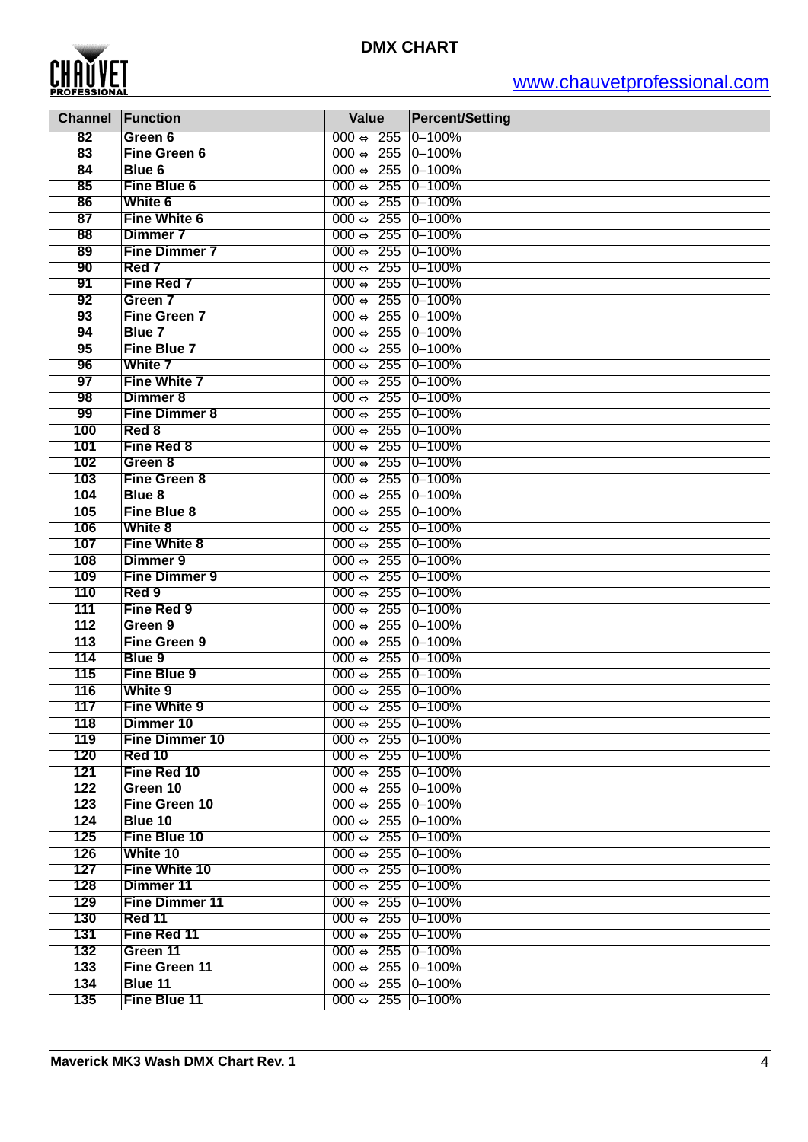

| <b>Channel</b>  | Function                                | Value                                                                                | <b>Percent/Setting</b> |
|-----------------|-----------------------------------------|--------------------------------------------------------------------------------------|------------------------|
| $\overline{82}$ | Green 6                                 | $000 \Leftrightarrow 255$                                                            | $0 - 100%$             |
| 83              | <b>Fine Green 6</b>                     | $000 \Leftrightarrow 255 \mid 0-100\%$                                               |                        |
| 84              | Blue 6                                  | $000 \Leftrightarrow 255$ 0-100%                                                     |                        |
| 85              | <b>Fine Blue 6</b>                      | $000 \Leftrightarrow 255 \mid 0 - 100\%$                                             |                        |
| 86              | <b>White 6</b>                          | $000 \Leftrightarrow 255$ 0-100%                                                     |                        |
| 87              | <b>Fine White 6</b>                     | $000 \Leftrightarrow 255$ 0-100%                                                     |                        |
| 88              | <b>Dimmer 7</b>                         | $000 \Leftrightarrow 255$ 0-100%                                                     |                        |
| 89              | <b>Fine Dimmer 7</b>                    | $000 \Leftrightarrow 255 \mid 0 - 100\%$                                             |                        |
| 90              | Red 7                                   | $000 \Leftrightarrow 255 \mid 0 - 100\%$                                             |                        |
| 91              | Fine Red 7                              | $000 \Leftrightarrow 255 \mid 0 - 100\%$                                             |                        |
| 92              | Green 7                                 | $000 \Leftrightarrow 255 \mid 0 - 100\%$                                             |                        |
| 93              | <b>Fine Green 7</b>                     | $000 \Leftrightarrow 255 \mid 0 - 100\%$                                             |                        |
| 94              | Blue 7                                  | $000 \Leftrightarrow 255$ 0-100%                                                     |                        |
| 95              | Fine Blue 7                             | $000 \Leftrightarrow 255$ 0-100%                                                     |                        |
| 96              | White 7                                 | $000 \Leftrightarrow 255$ 0-100%                                                     |                        |
| 97              | <b>Fine White 7</b>                     | $000 \Leftrightarrow 255$ 0-100%                                                     |                        |
| 98              | Dimmer 8                                | $000 \Leftrightarrow 255$ 0-100%                                                     |                        |
| 99              | <b>Fine Dimmer 8</b>                    | $000 \Leftrightarrow 255$ 0-100%                                                     |                        |
| 100             | Red 8                                   | $000 \Leftrightarrow 255$ 0-100%                                                     |                        |
| 101             | Fine Red 8                              | $000 \Leftrightarrow 255 \mid 0-100\%$                                               |                        |
| 102             | Green 8                                 | 000 $\Leftrightarrow$ 255 0-100%                                                     |                        |
| 103             | <b>Fine Green 8</b>                     | $000 \Leftrightarrow 255 \mid 0 - 100\%$                                             |                        |
| 104             | Blue 8                                  | $000 \Leftrightarrow 255 \mid 0 - 100\%$                                             |                        |
| 105             | Fine Blue 8                             | $000 \Leftrightarrow 255 \mid 0 - 100\%$                                             |                        |
| 106             | <b>White 8</b>                          | $000 \Leftrightarrow 255 \mid 0 - 100\%$                                             |                        |
| 107             | <b>Fine White 8</b>                     | $000 \Leftrightarrow 255 \mid 0 - 100\%$                                             |                        |
| 108             | <b>Dimmer 9</b><br><b>Fine Dimmer 9</b> | $000 \Leftrightarrow 255 \mid 0 - 100\%$<br>$000 \Leftrightarrow 255 \mid 0 - 100\%$ |                        |
| 109<br>110      | Red 9                                   | $000 \Leftrightarrow 255$ 0-100%                                                     |                        |
| 111             | Fine Red 9                              | $000 \Leftrightarrow 255$ 0-100%                                                     |                        |
| 112             | Green 9                                 | $000 \Leftrightarrow 255$ 0-100%                                                     |                        |
| 113             | <b>Fine Green 9</b>                     | $000 \Leftrightarrow 255 \mid 0-100\%$                                               |                        |
| 114             | <b>Blue 9</b>                           | $000 \Leftrightarrow 255$ 0-100%                                                     |                        |
| 115             | Fine Blue 9                             | $000 \Leftrightarrow 255 \mid 0-100\%$                                               |                        |
| 116             | White 9                                 | $000 \Leftrightarrow 255 \mid 0-100\%$                                               |                        |
| 117             | <b>Fine White 9</b>                     | 000 $\Leftrightarrow$ 255 0-100%                                                     |                        |
| 118             | Dimmer 10                               | 000 $\Leftrightarrow$ 255 0-100%                                                     |                        |
| 119             | <b>Fine Dimmer 10</b>                   | 000 $\Leftrightarrow$ 255 0-100%                                                     |                        |
| 120             | <b>Red 10</b>                           | $000 \Leftrightarrow 255 \mid 0-100\%$                                               |                        |
| 121             | Fine Red 10                             | $000 \Leftrightarrow 255 \mid 0-100\%$                                               |                        |
| 122             | Green 10                                | $000 \Leftrightarrow 255 \mid 0-100\%$                                               |                        |
| 123             | <b>Fine Green 10</b>                    | $000 \Leftrightarrow 255$ 0-100%                                                     |                        |
| 124             | Blue 10                                 | $000 \Leftrightarrow 255$ 0-100%                                                     |                        |
| 125             | Fine Blue 10                            | $000 \Leftrightarrow 255$ 0-100%                                                     |                        |
| 126             | White 10                                | $000 \Leftrightarrow 255$ 0-100%                                                     |                        |
| 127             | <b>Fine White 10</b>                    | $000 \Leftrightarrow 255$ 0-100%                                                     |                        |
| 128             | Dimmer 11                               | $000 \Leftrightarrow 255$ 0-100%                                                     |                        |
| 129             | <b>Fine Dimmer 11</b>                   | 000 $\Leftrightarrow$ 255 0-100%                                                     |                        |
| 130             | <b>Red 11</b>                           | $000 \Leftrightarrow 255$ 0-100%                                                     |                        |
| 131             | Fine Red 11                             | $000 \Leftrightarrow 255$ 0-100%                                                     |                        |
| 132             | Green 11                                | $000 \Leftrightarrow 255$ 0-100%                                                     |                        |
| 133             | <b>Fine Green 11</b>                    | 000 $\Leftrightarrow$ 255 0-100%                                                     |                        |
| 134             | Blue 11                                 | $000 \Leftrightarrow 255$ 0-100%                                                     |                        |
| 135             | Fine Blue 11                            | $000 \Leftrightarrow 255$ 0-100%                                                     |                        |
|                 |                                         |                                                                                      |                        |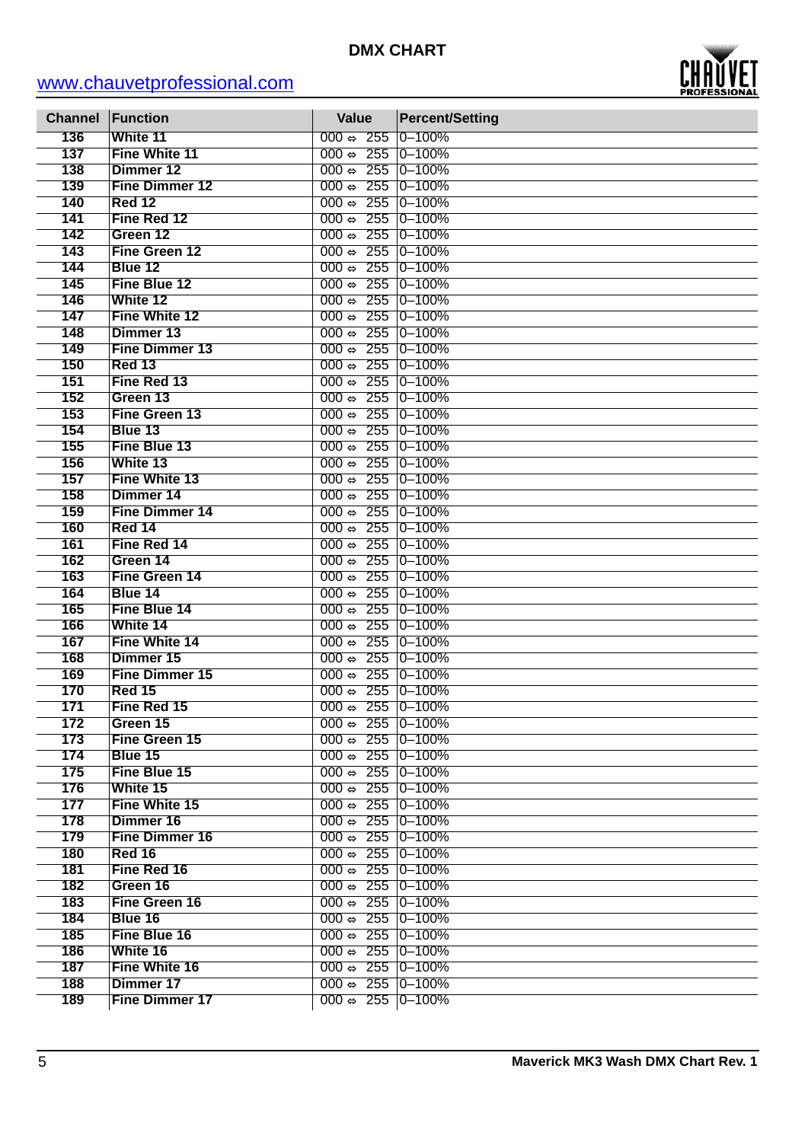

| <b>Channel</b> | Function                 | <b>Value</b>                                              | <b>Percent/Setting</b>   |
|----------------|--------------------------|-----------------------------------------------------------|--------------------------|
| 136            | White 11                 | $000 \Leftrightarrow 255$                                 | $0 - 100%$               |
| 137            | <b>Fine White 11</b>     | 255<br>000 $\Leftrightarrow$                              | $0 - 100%$               |
| 138            | Dimmer 12                | $000 \Leftrightarrow 255$                                 | $0 - 100%$               |
| 139            | <b>Fine Dimmer 12</b>    | $000 \Leftrightarrow 255$                                 | $0 - 100%$               |
| 140            | <b>Red 12</b>            | $000 \Leftrightarrow 255$                                 | $0 - 100%$               |
| 141            | Fine Red 12              | 255<br>$000 \Leftrightarrow$                              | $0 - 100%$               |
| 142            | Green 12                 | 255<br>000 $\Leftrightarrow$                              | $0 - 100%$               |
| 143            | Fine Green 12            | 255<br>000 $\Leftrightarrow$                              | $0 - 100%$               |
| 144            | Blue 12                  | 255<br>000 $\Leftrightarrow$                              | $0 - 100%$               |
| 145            | Fine Blue 12             | $000 \Leftrightarrow 255$                                 | $0 - 100%$               |
| 146            | White 12                 | 255<br>000 $\Leftrightarrow$                              | $0 - 100%$               |
| 147            | <b>Fine White 12</b>     | 255<br>000 $\Leftrightarrow$                              | $0 - 100%$               |
| 148            | <b>Dimmer 13</b>         | 255<br>000 $\Leftrightarrow$                              | $0 - 100%$               |
| 149            | <b>Fine Dimmer 13</b>    | 255<br>000 $\Leftrightarrow$                              | $0 - 100%$               |
| 150            | <b>Red 13</b>            | $000 \Leftrightarrow 255$                                 | $0 - 100%$               |
| 151            | Fine Red 13              | 255<br>$000 \Leftrightarrow$                              | $0 - 100%$               |
| 152            | Green 13                 | 255<br>000 $\Leftrightarrow$                              | $0 - 100%$               |
| 153            | Fine Green 13            | 255<br>000 $\Leftrightarrow$                              | $0 - 100%$               |
| 154            | Blue 13                  | 255<br>000 $\Leftrightarrow$                              | $0 - 100%$               |
| 155            | Fine Blue 13             | 255<br>000 $\Leftrightarrow$                              | $0 - 100%$               |
| 156            | White 13                 | $000 \Leftrightarrow 255$                                 | $0 - 100%$               |
| 157            | <b>Fine White 13</b>     | 255<br>$000 \Leftrightarrow$                              | $0 - 100%$               |
| 158            | Dimmer 14                | 255<br>000 $\Leftrightarrow$                              | $0 - 100%$               |
| 159            | <b>Fine Dimmer 14</b>    | 255<br>000 $\Leftrightarrow$                              | $0 - 100%$               |
| 160            | Red 14                   | 255<br>000 $\Leftrightarrow$                              | $0 - 100%$               |
| 161            | Fine Red 14              | 255<br>000 $\Leftrightarrow$                              | $0 - 100%$               |
| 162            | Green 14                 | $000 \Leftrightarrow 255$                                 | $0 - 100%$               |
| 163            | Fine Green 14            | 255<br>$000 \Leftrightarrow$                              | $0 - 100%$               |
| 164            | Blue 14                  | 255<br>000 $\Leftrightarrow$                              | $0 - 100%$               |
| 165            | Fine Blue 14<br>White 14 | 255<br>000 $\Leftrightarrow$                              | $0 - 100%$               |
| 166<br>167     | <b>Fine White 14</b>     | 255<br>000 $\Leftrightarrow$<br>$000 \Leftrightarrow 255$ | $0 - 100%$<br>$0 - 100%$ |
| 168            | Dimmer 15                | $000 \Leftrightarrow 255$                                 | $0 - 100%$               |
| 169            | <b>Fine Dimmer 15</b>    | 255<br>$000 \Leftrightarrow$                              | $0 - 100%$               |
| 170            | <b>Red 15</b>            | 255<br>000 $\Leftrightarrow$                              | $0 - 100%$               |
| 171            | Fine Red 15              | $000 \Leftrightarrow 255$                                 | $0 - 100%$               |
| 172            | Green 15                 | 000 $\Leftrightarrow$ 255 0-100%                          |                          |
| 173            | Fine Green 15            | 000 $\Leftrightarrow$ 255 0-100%                          |                          |
| 174            | Blue 15                  | 000 $\Leftrightarrow$ 255 0-100%                          |                          |
| 175            | Fine Blue 15             | 000 $\Leftrightarrow$ 255 0-100%                          |                          |
| 176            | White 15                 | 000 $\Leftrightarrow$ 255 0-100%                          |                          |
| 177            | <b>Fine White 15</b>     | 000 $\Leftrightarrow$ 255 0-100%                          |                          |
| 178            | Dimmer 16                | 000 $\Leftrightarrow$ 255 0-100%                          |                          |
| 179            | <b>Fine Dimmer 16</b>    | 000 $\Leftrightarrow$ 255 0-100%                          |                          |
| 180            | <b>Red 16</b>            | 000 $\Leftrightarrow$ 255 0-100%                          |                          |
| 181            | Fine Red 16              | $000 \Leftrightarrow 255$ 0-100%                          |                          |
| 182            | Green 16                 | 000 $\Leftrightarrow$ 255 0-100%                          |                          |
| 183            | Fine Green 16            | 000 $\Leftrightarrow$ 255 0-100%                          |                          |
| 184            | Blue 16                  | 000 $\Leftrightarrow$ 255 0-100%                          |                          |
| 185            | Fine Blue 16             | 000 $\Leftrightarrow$ 255 0-100%                          |                          |
| 186            | White 16                 | 000 $\Leftrightarrow$ 255 0-100%                          |                          |
| 187            | <b>Fine White 16</b>     | 000 $\Leftrightarrow$ 255 0-100%                          |                          |
| 188            | Dimmer 17                | 000 $\Leftrightarrow$ 255 0-100%                          |                          |
| 189            | <b>Fine Dimmer 17</b>    | 000 $\Leftrightarrow$ 255 0-100%                          |                          |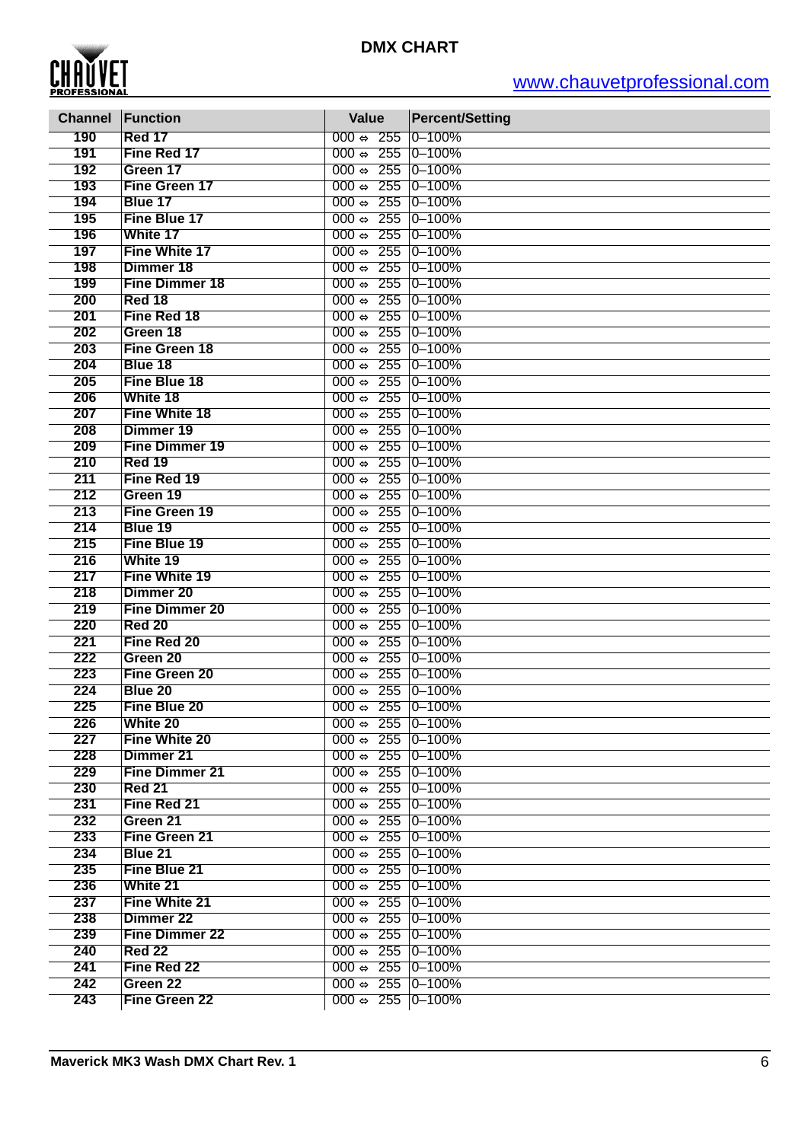

| <b>Channel</b> | Function                        | Value                                                                | <b>Percent/Setting</b> |
|----------------|---------------------------------|----------------------------------------------------------------------|------------------------|
| 190            | Red 17                          | $000 \Leftrightarrow 255$                                            | $0 - 100%$             |
| 191            | Fine Red 17                     | $000 \Leftrightarrow 255 \mid 0-100\%$                               |                        |
| 192            | Green 17                        | $000 \Leftrightarrow 255$ 0-100%                                     |                        |
| 193            | Fine Green 17                   | $000 \Leftrightarrow 255 \mid 0-100\%$                               |                        |
| 194            | Blue 17                         | $000 \Leftrightarrow 255$ 0-100%                                     |                        |
| 195            | Fine Blue 17                    | $000 \Leftrightarrow 255$ 0-100%                                     |                        |
| 196            | White 17                        | $000 \Leftrightarrow 255$ 0-100%                                     |                        |
| 197            | Fine White 17                   | $000 \Leftrightarrow 255 \mid 0-100\%$                               |                        |
| 198            | Dimmer 18                       | $000 \Leftrightarrow 255 \mid 0 - 100\%$                             |                        |
| 199            | <b>Fine Dimmer 18</b>           | $000 \Leftrightarrow 255 \mid 0 - 100\%$                             |                        |
| 200            | <b>Red 18</b>                   | 000 $\Leftrightarrow$ 255 0-100%                                     |                        |
| 201            | Fine Red 18                     | $000 \Leftrightarrow 255$ 0-100%                                     |                        |
| 202            | Green 18                        | $000 \Leftrightarrow 255$ 0-100%                                     |                        |
| 203            | <b>Fine Green 18</b>            | $000 \Leftrightarrow 255$ 0-100%                                     |                        |
| 204            | <b>Blue 18</b>                  | $000 \Leftrightarrow 255$ 0-100%                                     |                        |
| 205            | Fine Blue 18                    | $000 \Leftrightarrow 255$ 0-100%                                     |                        |
| 206            | White 18                        | $000 \Leftrightarrow 255 \mid 0-100\%$                               |                        |
| 207            | <b>Fine White 18</b>            | $000 \Leftrightarrow 255 \mid 0-100\%$                               |                        |
| 208            | Dimmer 19                       | $000 \Leftrightarrow 255 \mid 0-100\%$                               |                        |
| 209            | <b>Fine Dimmer 19</b>           | $000 \Leftrightarrow 255 \mid 0-100\%$                               |                        |
| 210            | <b>Red 19</b>                   | $000 \Leftrightarrow 255 \mid 0-100\%$                               |                        |
| 211            | Fine Red 19                     | $000 \Leftrightarrow 255 \mid 0-100\%$                               |                        |
| 212            | Green 19                        | $000 \Leftrightarrow 255 \mid 0-100\%$                               |                        |
| 213            | Fine Green 19                   | $000 \Leftrightarrow 255 \mid 0 - 100\%$                             |                        |
| 214            | <b>Blue 19</b>                  | $000 \Leftrightarrow 255 \mid 0 - 100\%$                             |                        |
| 215            | Fine Blue 19                    | $000 \Leftrightarrow 255 \mid 0-100\%$                               |                        |
| 216            | White 19                        | $000 \Leftrightarrow 255 \mid 0 - 100\%$                             |                        |
| 217            | <b>Fine White 19</b>            | $000 \Leftrightarrow 255$ 0-100%                                     |                        |
| 218            | <b>Dimmer 20</b>                | $000 \Leftrightarrow 255$ 0-100%                                     |                        |
| 219            | <b>Fine Dimmer 20</b>           | $000 \Leftrightarrow 255$ 0-100%                                     |                        |
| 220            | <b>Red 20</b>                   | $000 \Leftrightarrow 255$ 0-100%                                     |                        |
| 221            | Fine Red 20                     | $000 \Leftrightarrow 255$ 0-100%                                     |                        |
| 222            | Green 20                        | $000 \Leftrightarrow 255$ 0-100%                                     |                        |
| 223<br>224     | <b>Fine Green 20</b><br>Blue 20 | $000 \Leftrightarrow 255$ 0-100%<br>$000 \Leftrightarrow 255$ 0-100% |                        |
| 225            | <b>Fine Blue 20</b>             | 000 $\Leftrightarrow$ 255 0-100%                                     |                        |
| 226            | <b>White 20</b>                 | 000 $\Leftrightarrow$ 255 0-100%                                     |                        |
| 227            | <b>Fine White 20</b>            | 000 $\Leftrightarrow$ 255 0-100%                                     |                        |
| 228            | Dimmer 21                       | 000 $\Leftrightarrow$ 255 0-100%                                     |                        |
| 229            | <b>Fine Dimmer 21</b>           | $000 \Leftrightarrow 255 \mid 0-100\%$                               |                        |
| 230            | <b>Red 21</b>                   | $000 \Leftrightarrow 255 \mid 0-100\%$                               |                        |
| 231            | Fine Red 21                     | $000 \Leftrightarrow 255 \mid 0-100\%$                               |                        |
| 232            | Green 21                        | $000 \Leftrightarrow 255$ 0-100%                                     |                        |
| 233            | <b>Fine Green 21</b>            | 000 $\Leftrightarrow$ 255 0-100%                                     |                        |
| 234            | Blue 21                         | $000 \Leftrightarrow 255$ 0-100%                                     |                        |
| 235            | Fine Blue 21                    | $000 \Leftrightarrow 255 \mid 0-100\%$                               |                        |
| 236            | White 21                        | $000 \Leftrightarrow 255$ 0-100%                                     |                        |
| 237            | <b>Fine White 21</b>            | 000 $\Leftrightarrow$ 255 0-100%                                     |                        |
| 238            | Dimmer 22                       | $000 \Leftrightarrow 255$ 0-100%                                     |                        |
| 239            | <b>Fine Dimmer 22</b>           | $000 \Leftrightarrow 255$ 0-100%                                     |                        |
| 240            | <b>Red 22</b>                   | $000 \Leftrightarrow 255$ 0-100%                                     |                        |
| 241            | Fine Red 22                     | $000 \Leftrightarrow 255$ 0-100%                                     |                        |
| 242            | Green 22                        | $000 \Leftrightarrow 255$ 0-100%                                     |                        |
| 243            | <b>Fine Green 22</b>            | 000 $\Leftrightarrow$ 255 0-100%                                     |                        |
|                |                                 |                                                                      |                        |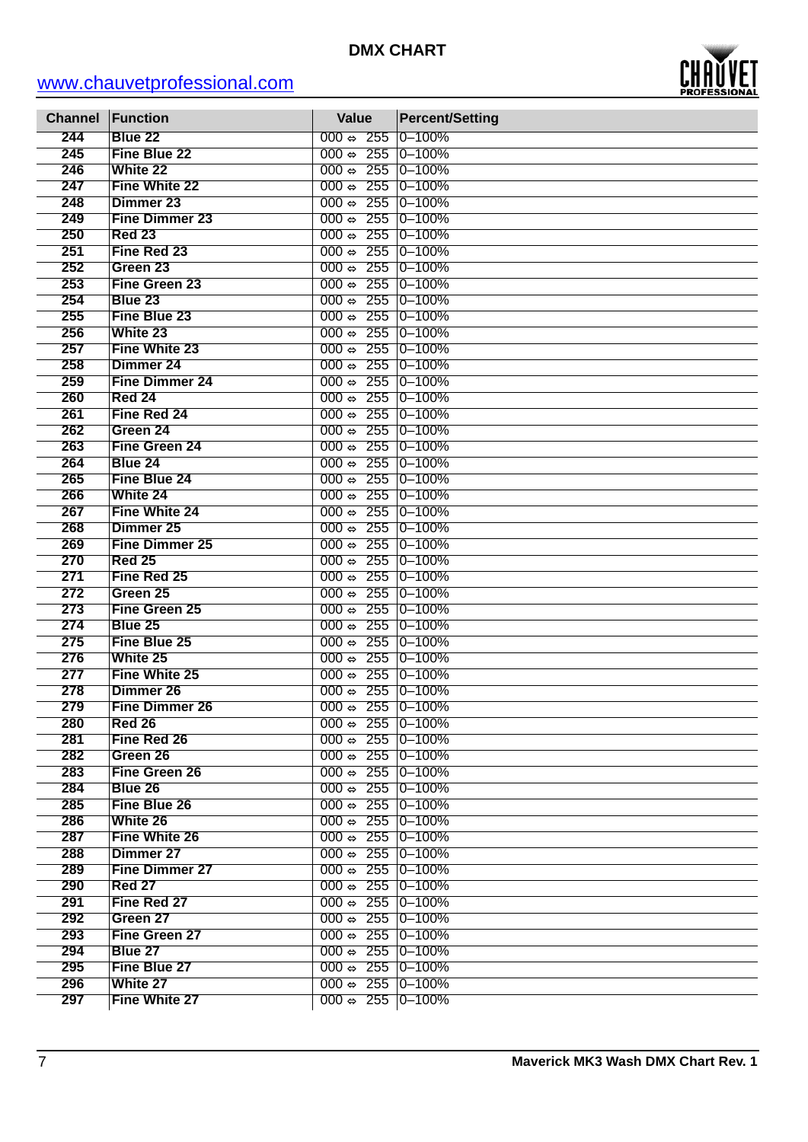

| <b>Channel</b> | Function                         | <b>Value</b>                                                         | <b>Percent/Setting</b> |
|----------------|----------------------------------|----------------------------------------------------------------------|------------------------|
| 244            | Blue 22                          | $000 \Leftrightarrow 255$                                            | $0 - 100%$             |
| 245            | Fine Blue 22                     | $000 \Leftrightarrow 255$                                            | $0 - 100%$             |
| 246            | <b>White 22</b>                  | $000 \div 255$                                                       | $0 - 100%$             |
| 247            | <b>Fine White 22</b>             | $000 \Leftrightarrow 255$                                            | $0 - 100%$             |
| 248            | <b>Dimmer 23</b>                 | $000 \Leftrightarrow 255$                                            | $0 - 100%$             |
| 249            | <b>Fine Dimmer 23</b>            | $000 \Leftrightarrow 255$                                            | $0 - 100%$             |
| 250            | <b>Red 23</b>                    | $000 \Leftrightarrow 255$                                            | $0 - 100%$             |
| 251            | Fine Red 23                      | $000 \div 255$                                                       | $0 - 100%$             |
| 252            | Green 23                         | $000 \div 255$                                                       | $0 - 100%$             |
| 253            | Fine Green 23                    | 255<br>000 $\Leftrightarrow$                                         | $0 - 100%$             |
| 254            | Blue 23                          | $000 \Leftrightarrow 255$                                            | $0 - 100%$             |
| 255            | <b>Fine Blue 23</b>              | $000 \Leftrightarrow 255$                                            | $0 - 100%$             |
| 256            | <b>White 23</b>                  | $000 \div 255$                                                       | $0 - 100%$             |
| 257            | <b>Fine White 23</b>             | $000 \div 255$                                                       | $ 0 - 100\%$           |
| 258            | Dimmer 24                        | $000 \Leftrightarrow 255$                                            | $0 - 100%$             |
| 259            | <b>Fine Dimmer 24</b>            | 255<br>000 $\Leftrightarrow$                                         | $0 - 100%$             |
| 260            | <b>Red 24</b>                    | $000 \Leftrightarrow 255$                                            | $0 - 100%$             |
| 261            | Fine Red 24                      | $000 \Leftrightarrow 255$                                            | $0 - 100%$             |
| 262            | Green 24                         | $000 \div 255$                                                       | $ 0 - 100\%$           |
| 263            | <b>Fine Green 24</b>             | $000 \Leftrightarrow 255$                                            | $ 0 - 100\%$           |
| 264            | Blue 24                          | 255<br>000 $\Leftrightarrow$                                         | $0 - 100%$             |
| 265            | <b>Fine Blue 24</b>              | $000 \Leftrightarrow 255$                                            | $0 - 100%$             |
| 266            | White 24                         | $000 \Leftrightarrow 255$                                            | $0 - 100%$             |
| 267            | <b>Fine White 24</b>             | $000 \Leftrightarrow 255$                                            | $0 - 100%$             |
| 268            | Dimmer 25                        | $000 \div 255$                                                       | $0 - 100%$             |
| 269            | <b>Fine Dimmer 25</b>            | $000 \div 255$                                                       | $0 - 100%$             |
| 270            | <b>Red 25</b>                    | 255<br>000 $\Leftrightarrow$                                         | $0 - 100%$             |
| 271            | Fine Red 25                      | $000 \Leftrightarrow 255$                                            | $0 - 100%$             |
| 272            | Green 25                         | $000 \Leftrightarrow 255$                                            | $0 - 100%$             |
| 273            | <b>Fine Green 25</b>             | $000 \Leftrightarrow 255$                                            | $0 - 100%$             |
| 274            | Blue 25                          | $000 \Leftrightarrow 255$                                            | $0 - 100%$             |
| 275            | Fine Blue 25                     | $000 \Leftrightarrow 255$                                            | $0 - 100%$             |
| 276            | White 25                         | 255<br>000 $\Leftrightarrow$                                         | $0 - 100%$             |
| 277            | <b>Fine White 25</b>             | 255<br>000 $\Leftrightarrow$                                         | $0 - 100%$             |
| 278            | Dimmer 26                        | $000 \Leftrightarrow 255$                                            | $ 0 - 100\%$           |
| 279            | <b>Fine Dimmer 26</b>            | 000 $\Leftrightarrow$ 255 0-100%                                     |                        |
| 280            | <b>Red 26</b>                    | 000 $\Leftrightarrow$ 255 0-100%                                     |                        |
| 281            | Fine Red 26                      | 000 $\Leftrightarrow$ 255 0-100%                                     |                        |
| 282            | Green 26<br><b>Fine Green 26</b> | 000 $\Leftrightarrow$ 255 0-100%<br>000 $\Leftrightarrow$ 255 0-100% |                        |
| 283<br>284     | Blue 26                          | 000 $\Leftrightarrow$ 255 0-100%                                     |                        |
| 285            | Fine Blue 26                     | 000 $\Leftrightarrow$ 255 0-100%                                     |                        |
| 286            | White 26                         | 000 $\Leftrightarrow$ 255 0-100%                                     |                        |
| 287            | <b>Fine White 26</b>             | 000 $\Leftrightarrow$ 255 0-100%                                     |                        |
| 288            | Dimmer 27                        | 000 $\Leftrightarrow$ 255 0-100%                                     |                        |
| 289            | <b>Fine Dimmer 27</b>            | 000 $\Leftrightarrow$ 255 0-100%                                     |                        |
| 290            | <b>Red 27</b>                    | 000 $\Leftrightarrow$ 255 0-100%                                     |                        |
| 291            | Fine Red 27                      | 000 $\Leftrightarrow$ 255 0-100%                                     |                        |
| 292            | Green 27                         | 000 $\Leftrightarrow$ 255 0-100%                                     |                        |
| 293            | Fine Green 27                    | 000 $\Leftrightarrow$ 255 0-100%                                     |                        |
| 294            | Blue 27                          | 000 $\Leftrightarrow$ 255 0-100%                                     |                        |
| 295            | Fine Blue 27                     | 000 $\Leftrightarrow$ 255 0-100%                                     |                        |
| 296            | White 27                         | 000 $\Leftrightarrow$ 255 0-100%                                     |                        |
| 297            | Fine White 27                    | 000 $\Leftrightarrow$ 255 0-100%                                     |                        |
|                |                                  |                                                                      |                        |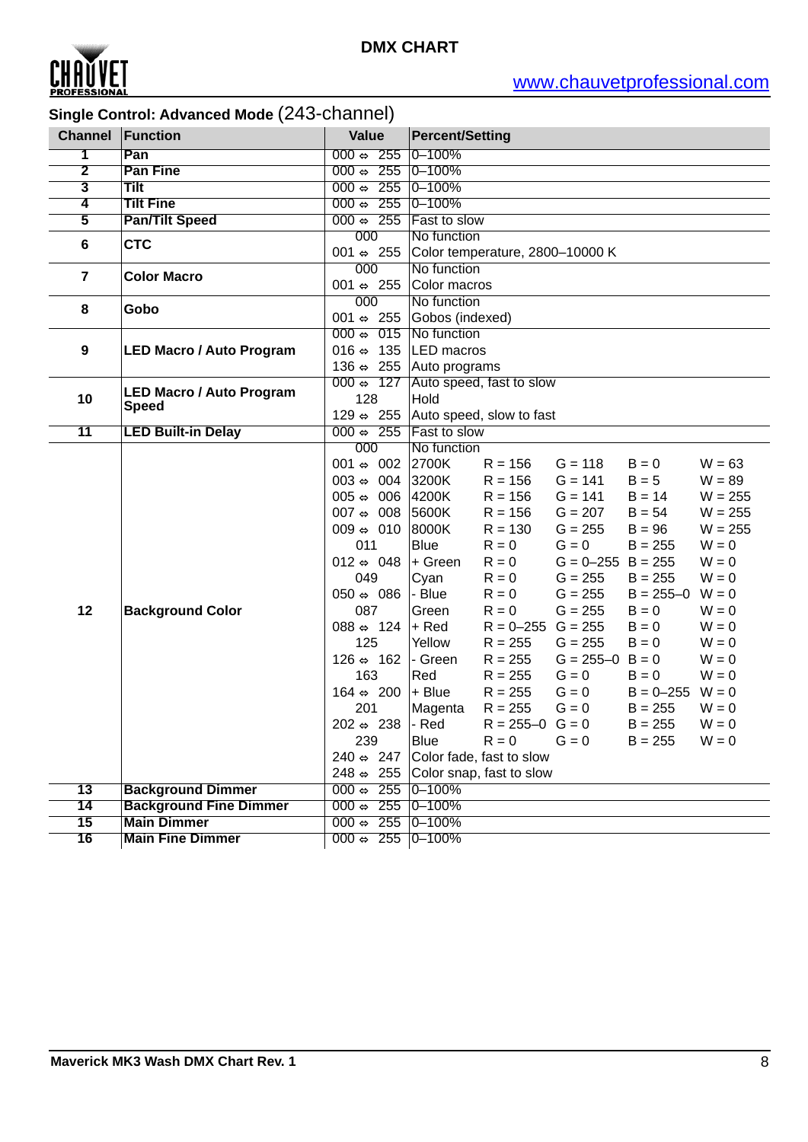

|                         | Single Control: Advanced Mode (243-channel) |                                  |                                                              |  |  |
|-------------------------|---------------------------------------------|----------------------------------|--------------------------------------------------------------|--|--|
| <b>Channel</b>          | Function                                    | <b>Value</b>                     | <b>Percent/Setting</b>                                       |  |  |
| 1                       | Pan                                         | $000 \Leftrightarrow 255$        | $0 - 100%$                                                   |  |  |
| 2                       | <b>Pan Fine</b>                             | $000 \div 255$                   | $0 - 100%$                                                   |  |  |
| 3                       | <b>Tilt</b>                                 | $000 \div 255$                   | $0 - 100%$                                                   |  |  |
| $\overline{\mathbf{4}}$ | <b>Tilt Fine</b>                            | $000 \div 255$                   | $0 - 100%$                                                   |  |  |
| $\overline{5}$          | <b>Pan/Tilt Speed</b>                       | $000 \div 255$                   | <b>Fast to slow</b>                                          |  |  |
| 6                       | <b>CTC</b>                                  | 000                              | No function                                                  |  |  |
|                         |                                             | 001 $\Leftrightarrow$ 255        | Color temperature, 2800-10000 K                              |  |  |
| $\overline{7}$          | <b>Color Macro</b>                          | 000                              | No function                                                  |  |  |
|                         |                                             | 001 $\Leftrightarrow$ 255        | Color macros                                                 |  |  |
| 8                       | Gobo                                        | 000                              | No function                                                  |  |  |
|                         |                                             | 001 $\Leftrightarrow$ 255        | Gobos (indexed)                                              |  |  |
|                         |                                             | $000 \Leftrightarrow 015$        | No function                                                  |  |  |
| 9                       | <b>LED Macro / Auto Program</b>             | 016 $\Leftrightarrow$ 135        | <b>LED</b> macros<br>136 $\Leftrightarrow$ 255 Auto programs |  |  |
|                         |                                             | $000 \Leftrightarrow 127$        | Auto speed, fast to slow                                     |  |  |
| 10                      | <b>LED Macro / Auto Program</b>             | 128                              | Hold                                                         |  |  |
|                         | <b>Speed</b>                                | $129 \Leftrightarrow 255$        | Auto speed, slow to fast                                     |  |  |
| 11                      | <b>LED Built-in Delay</b>                   | $000 \Leftrightarrow 255$        | <b>Fast to slow</b>                                          |  |  |
|                         |                                             | 000                              | No function                                                  |  |  |
|                         |                                             | 001 $\Leftrightarrow$ 002        | 2700K<br>$R = 156$<br>$G = 118$<br>$B = 0$<br>$W = 63$       |  |  |
|                         |                                             | $003 \Leftrightarrow 004$        | 3200K<br>$G = 141$<br>$R = 156$<br>$B = 5$<br>$W = 89$       |  |  |
|                         |                                             | $005 \Leftrightarrow 006$        | 4200K<br>$B = 14$<br>$R = 156$<br>$G = 141$<br>$W = 255$     |  |  |
|                         |                                             | 007 $\Leftrightarrow$ 008        | 5600K<br>$G = 207$<br>$W = 255$<br>$R = 156$<br>$B = 54$     |  |  |
|                         |                                             | $009 \Leftrightarrow 010$        | 8000K<br>$G = 255$<br>$W = 255$<br>$R = 130$<br>$B = 96$     |  |  |
|                         |                                             | 011                              | <b>Blue</b><br>$G = 0$<br>$B = 255$<br>$W = 0$<br>$R = 0$    |  |  |
|                         |                                             | 012 $\Leftrightarrow$ 048        | + Green<br>$R = 0$<br>$G = 0 - 255$ B = 255<br>$W = 0$       |  |  |
|                         |                                             | 049                              | $R = 0$<br>$G = 255$<br>$B = 255$<br>$W = 0$<br>Cyan         |  |  |
|                         |                                             | $050 \Leftrightarrow 086$        | - Blue<br>$G = 255$<br>$B = 255 - 0$<br>$W = 0$<br>$R = 0$   |  |  |
| 12                      | <b>Background Color</b>                     | 087                              | Green<br>$R = 0$<br>$G = 255$<br>$B = 0$<br>$W = 0$          |  |  |
|                         |                                             | 088 $\Leftrightarrow$ 124        | + Red<br>$R = 0 - 255$ G = 255<br>$B = 0$<br>$W = 0$         |  |  |
|                         |                                             | 125                              | $G = 255$<br>Yellow<br>$R = 255$<br>$B = 0$<br>$W = 0$       |  |  |
|                         |                                             | $126 \Leftrightarrow 162$        | $G = 255 - 0$ B = 0<br>- Green<br>$R = 255$<br>$W = 0$       |  |  |
|                         |                                             | 163                              | Red<br>$R = 255$<br>$G = 0$<br>$B = 0$<br>$W = 0$            |  |  |
|                         |                                             | 164 $\Leftrightarrow$ 200        | + Blue<br>$R = 255$<br>$G = 0$<br>$B = 0 - 255$ W = 0        |  |  |
|                         |                                             | 201                              | $G = 0$<br>$B = 255$<br>$W = 0$<br>Magenta<br>$R = 255$      |  |  |
|                         |                                             | 202 $\Leftrightarrow$ 238 - Red  | $W = 0$<br>$R = 255 - 0$ $G = 0$<br>$B = 255$                |  |  |
|                         |                                             | 239                              | Blue<br>$R = 0$<br>$G = 0$<br>$W = 0$<br>$B = 255$           |  |  |
|                         |                                             | $240 \Leftrightarrow 247$        | Color fade, fast to slow                                     |  |  |
|                         |                                             | $248 \Leftrightarrow 255$        | Color snap, fast to slow                                     |  |  |
| $\overline{13}$         | <b>Background Dimmer</b>                    | 000 $\Leftrightarrow$ 255 0-100% |                                                              |  |  |
| 14                      | <b>Background Fine Dimmer</b>               | 000 $\Leftrightarrow$ 255 0-100% |                                                              |  |  |
| 15                      | <b>Main Dimmer</b>                          | 000 $\Leftrightarrow$ 255 0-100% |                                                              |  |  |
| 16                      | <b>Main Fine Dimmer</b>                     | 000 $\Leftrightarrow$ 255 0-100% |                                                              |  |  |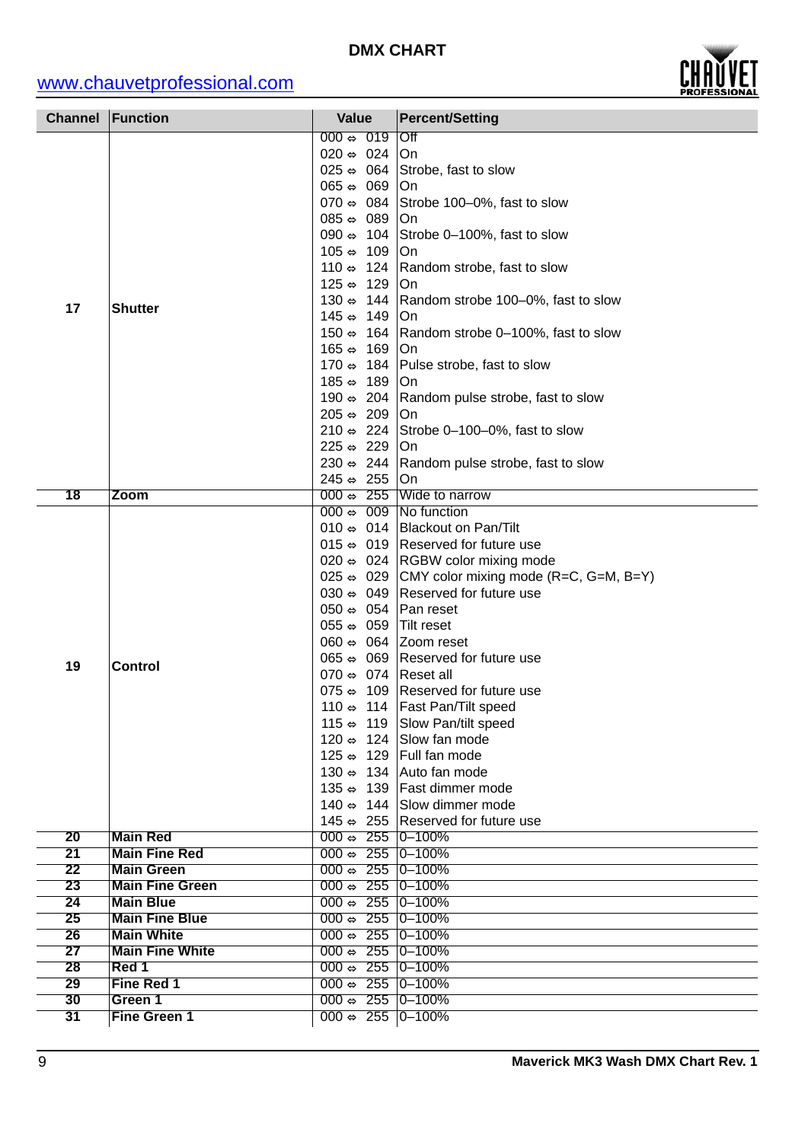

|                 | <b>Channel Function</b> | <b>Value</b>                                                      | <b>Percent/Setting</b>                                          |
|-----------------|-------------------------|-------------------------------------------------------------------|-----------------------------------------------------------------|
|                 |                         | $000 \Leftrightarrow 019$                                         | Off                                                             |
|                 |                         | $020 \Leftrightarrow 024$                                         | On                                                              |
|                 |                         | $025 \Leftrightarrow 064$                                         | Strobe, fast to slow                                            |
|                 |                         | $065 \Leftrightarrow 069$                                         | On                                                              |
|                 |                         | $070 \Leftrightarrow 084$                                         | Strobe 100-0%, fast to slow                                     |
|                 |                         | $085 \Leftrightarrow 089$                                         | On                                                              |
|                 |                         | 090 $\Leftrightarrow$ 104                                         | Strobe 0-100%, fast to slow                                     |
|                 |                         | 105 $\Leftrightarrow$<br>109                                      | On                                                              |
|                 |                         | 110 $\Leftrightarrow$ 124                                         | Random strobe, fast to slow                                     |
|                 |                         | 125 $\Leftrightarrow$<br>129                                      | On                                                              |
| 17              | <b>Shutter</b>          | 130 $\Leftrightarrow$<br>144                                      | Random strobe 100-0%, fast to slow                              |
|                 |                         | 145 $\Leftrightarrow$<br>149                                      | On                                                              |
|                 |                         | 150 $\Leftrightarrow$<br>164                                      | Random strobe 0-100%, fast to slow                              |
|                 |                         | 165 ⇔<br>169                                                      | On                                                              |
|                 |                         | 170 ⇔<br>184                                                      | Pulse strobe, fast to slow                                      |
|                 |                         | $185 \Leftrightarrow 189$                                         | On                                                              |
|                 |                         | 190 ⇔ 204                                                         | Random pulse strobe, fast to slow                               |
|                 |                         | $205 \Leftrightarrow 209$                                         | On                                                              |
|                 |                         | $210 \Leftrightarrow 224$                                         | Strobe 0-100-0%, fast to slow                                   |
|                 |                         | $225 \Leftrightarrow 229$                                         | On                                                              |
|                 |                         | 230 $\Leftrightarrow$ 244                                         | Random pulse strobe, fast to slow                               |
|                 |                         | $245 \Leftrightarrow 255$                                         | On                                                              |
| $\overline{18}$ | Zoom                    |                                                                   | 000 $\Leftrightarrow$ 255 Wide to narrow                        |
|                 |                         | $000 \Leftrightarrow$                                             | 009 No function                                                 |
|                 |                         |                                                                   | 010 ↔ 014 Blackout on Pan/Tilt                                  |
|                 |                         |                                                                   | 015 $\Leftrightarrow$ 019 Reserved for future use               |
|                 |                         |                                                                   | 020 $\Leftrightarrow$ 024 RGBW color mixing mode                |
|                 |                         |                                                                   | 025 $\Leftrightarrow$ 029 CMY color mixing mode (R=C, G=M, B=Y) |
|                 |                         |                                                                   | 030 $\Leftrightarrow$ 049 Reserved for future use               |
|                 |                         | 050 $\Leftrightarrow$ 054   Pan reset                             |                                                                 |
|                 |                         | $055 \Leftrightarrow 059$<br>060 $\Leftrightarrow$ 064 Zoom reset | Tilt reset                                                      |
|                 |                         |                                                                   | 065 $\Leftrightarrow$ 069 Reserved for future use               |
| 19              | <b>Control</b>          | 070 $\Leftrightarrow$ 074 Reset all                               |                                                                 |
|                 |                         |                                                                   | 075 $\Leftrightarrow$ 109 Reserved for future use               |
|                 |                         |                                                                   | 110 $\Leftrightarrow$ 114   Fast Pan/Tilt speed                 |
|                 |                         |                                                                   | 115 ↔ 119 Slow Pan/tilt speed                                   |
|                 |                         |                                                                   | 120 $\Leftrightarrow$ 124 Slow fan mode                         |
|                 |                         |                                                                   | 125 $\Leftrightarrow$ 129 Full fan mode                         |
|                 |                         |                                                                   | 130 $\Leftrightarrow$ 134 Auto fan mode                         |
|                 |                         |                                                                   | 135 $\Leftrightarrow$ 139   Fast dimmer mode                    |
|                 |                         |                                                                   | 140 $\Leftrightarrow$ 144 Slow dimmer mode                      |
|                 |                         |                                                                   | 145 $\Leftrightarrow$ 255 Reserved for future use               |
| 20              | <b>Main Red</b>         | 000 $\Leftrightarrow$ 255 0-100%                                  |                                                                 |
| 21              | <b>Main Fine Red</b>    | 000 $\Leftrightarrow$ 255 0-100%                                  |                                                                 |
| 22              | <b>Main Green</b>       | 000 $\Leftrightarrow$ 255 0-100%                                  |                                                                 |
| 23              | <b>Main Fine Green</b>  | 000 $\Leftrightarrow$ 255 0-100%                                  |                                                                 |
| 24              | <b>Main Blue</b>        | 000 $\Leftrightarrow$ 255 0-100%                                  |                                                                 |
| 25              | <b>Main Fine Blue</b>   | 000 $\Leftrightarrow$ 255 0-100%                                  |                                                                 |
| 26              | <b>Main White</b>       | 000 $\Leftrightarrow$ 255 0-100%                                  |                                                                 |
| 27              | <b>Main Fine White</b>  | 000 $\Leftrightarrow$ 255 0-100%                                  |                                                                 |
| 28              | Red 1                   | 000 $\Leftrightarrow$ 255 0-100%                                  |                                                                 |
| 29              | Fine Red 1              | 000 $\Leftrightarrow$ 255 0-100%                                  |                                                                 |
| 30              | Green 1                 | 000 $\Leftrightarrow$ 255 0-100%                                  |                                                                 |
| 31              | Fine Green 1            | 000 $\Leftrightarrow$ 255 0-100%                                  |                                                                 |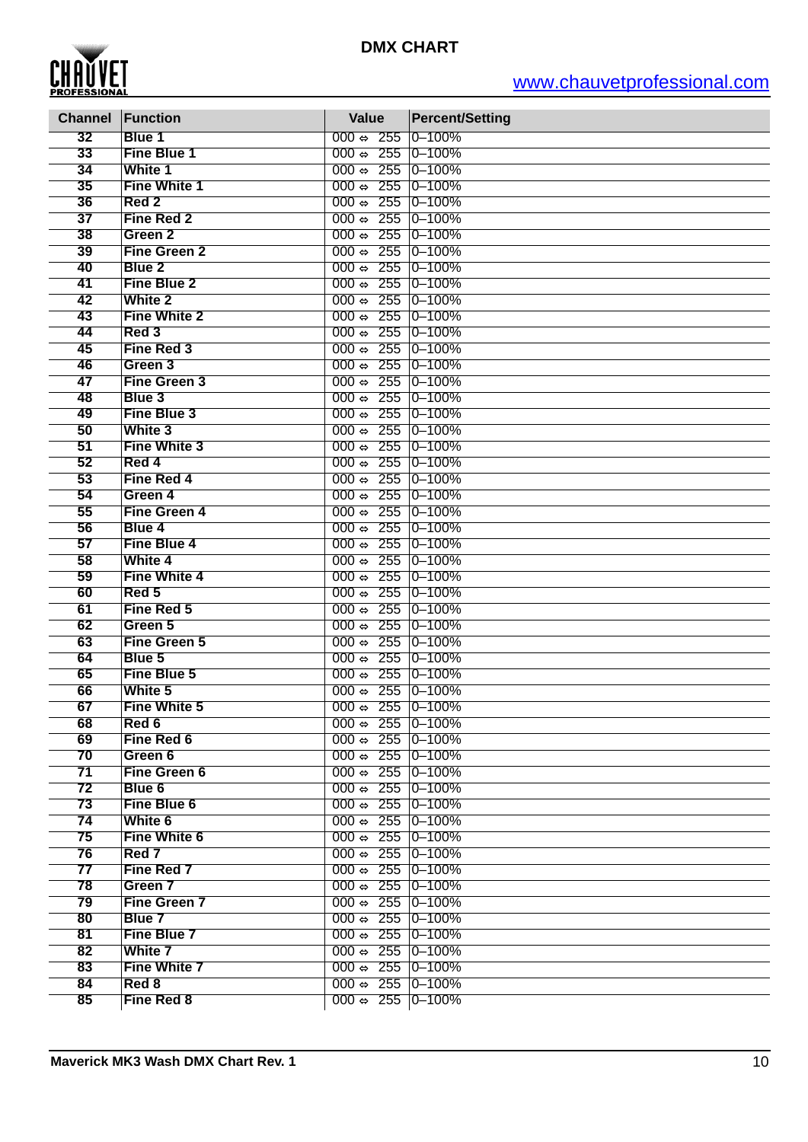

| <b>Channel</b>  | Function                     | <b>Value</b>                                                               | <b>Percent/Setting</b>   |
|-----------------|------------------------------|----------------------------------------------------------------------------|--------------------------|
| $\overline{32}$ | <b>Blue 1</b>                | $000 \Leftrightarrow 255$                                                  | $0 - 100%$               |
| 33              | Fine Blue 1                  | $000 \Leftrightarrow 255$                                                  | $0 - 100%$               |
| 34              | <b>White 1</b>               | $000 \Leftrightarrow 255$                                                  | $0 - 100%$               |
| 35              | <b>Fine White 1</b>          | $000 \Leftrightarrow 255$                                                  | $0 - 100%$               |
| 36              | Red 2                        | $000 \Leftrightarrow 255$                                                  | $0 - 100%$               |
| 37              | Fine Red 2                   | $000 \Leftrightarrow 255$                                                  | $0 - 100%$               |
| 38              | Green 2                      | $000 \Leftrightarrow 255$                                                  | $0 - 100%$               |
| 39              | <b>Fine Green 2</b>          | $000 \Leftrightarrow 255$                                                  | $0 - 100%$               |
| 40              | Blue 2                       | $000 \Leftrightarrow 255$                                                  | $0 - 100%$               |
| 41              | Fine Blue 2                  | $000 \Leftrightarrow 255$                                                  | $0 - 100%$               |
| 42              | <b>White 2</b>               | $000 \Leftrightarrow 255$                                                  | $0 - 100%$               |
| 43              | <b>Fine White 2</b>          | $000 \Leftrightarrow 255$                                                  | $0 - 100%$               |
| 44              | Red 3                        | $000 \Leftrightarrow 255$                                                  | $0 - 100%$               |
| 45              | Fine Red 3                   | $000 \Leftrightarrow 255$                                                  | $0 - 100%$               |
| 46              | Green 3                      | $000 \Leftrightarrow 255$                                                  | $0 - 100%$               |
| 47              | <b>Fine Green 3</b>          | $000 \Leftrightarrow 255$                                                  | $0 - 100%$               |
| 48              | Blue 3                       | $000 \Leftrightarrow 255$                                                  | $0 - 100%$               |
| 49              | Fine Blue 3                  | $000 \Leftrightarrow 255$                                                  | $0 - 100%$               |
| 50              | White 3                      | $000 \Leftrightarrow 255$                                                  | $0 - 100%$               |
| 51              | <b>Fine White 3</b>          | $000 \Leftrightarrow 255$                                                  | $0 - 100%$               |
| 52              | Red 4                        | $000 \Leftrightarrow 255$                                                  | $0 - 100%$<br>$0 - 100%$ |
| 53<br>54        | Fine Red 4<br>Green 4        | $000 \Leftrightarrow 255$<br>$000 \Leftrightarrow 255$                     | $0 - 100%$               |
| 55              | <b>Fine Green 4</b>          | $000 \Leftrightarrow 255$                                                  | $0 - 100%$               |
| 56              | Blue 4                       | $000 \Leftrightarrow 255$                                                  | $0 - 100%$               |
| 57              | Fine Blue 4                  | $000 \Leftrightarrow 255$                                                  | $0 - 100%$               |
| 58              | <b>White 4</b>               | $000 \Leftrightarrow 255$                                                  | $0 - 100%$               |
| 59              | <b>Fine White 4</b>          | $000 \Leftrightarrow 255$                                                  | $0 - 100%$               |
| 60              | Red 5                        | $000 \Leftrightarrow 255$                                                  | $0 - 100%$               |
| 61              | Fine Red 5                   | $000 \Leftrightarrow 255$                                                  | $0 - 100%$               |
| 62              | Green 5                      | $000 \Leftrightarrow 255$                                                  | $0 - 100%$               |
| 63              | <b>Fine Green 5</b>          | $000 \Leftrightarrow 255$                                                  | $0 - 100%$               |
| 64              | Blue 5                       | $000 \Leftrightarrow 255$                                                  | $0 - 100%$               |
| 65              | <b>Fine Blue 5</b>           | 000 $\Leftrightarrow$<br>255                                               | $0 - 100%$               |
| 66              | White 5                      | $000 \Leftrightarrow 255$                                                  | $0 - 100%$               |
| 67              | <b>Fine White 5</b>          | 000 $\Leftrightarrow$ 255 0-100%                                           |                          |
| 68              | Red 6                        | 000 $\Leftrightarrow$ 255 0-100%                                           |                          |
| 69              | <b>Fine Red 6</b>            | 000 $\Leftrightarrow$ 255 0-100%                                           |                          |
| 70              | Green 6                      | 000 $\Leftrightarrow$ 255 0-100%                                           |                          |
| 71              | <b>Fine Green 6</b>          | $000 \Leftrightarrow 255 \mid 0-100\%$                                     |                          |
| 72              | Blue 6                       | $000 \Leftrightarrow 255 \mid 0-100\%$                                     |                          |
| 73              | Fine Blue 6                  | $000 \Leftrightarrow 255 \mid 0-100\%$                                     |                          |
| 74              | White 6                      | $000 \Leftrightarrow 255 \mid 0-100\%$                                     |                          |
| 75              | <b>Fine White 6</b>          | $000 \Leftrightarrow 255 \mid 0-100\%$                                     |                          |
| 76              | Red 7                        | 000 $\Leftrightarrow$ 255 0-100%                                           |                          |
| 77              | Fine Red 7                   | $000 \Leftrightarrow 255 \mid 0-100\%$                                     |                          |
| 78              | Green 7                      | 000 $\Leftrightarrow$ 255 0-100%                                           |                          |
| 79              | <b>Fine Green 7</b>          | 000 $\Leftrightarrow$ 255 0-100%                                           |                          |
| 80              | Blue 7                       | 000 $\Leftrightarrow$ 255 0-100%                                           |                          |
| 81              | Fine Blue 7                  | 000 $\Leftrightarrow$ 255 0-100%                                           |                          |
| 82              | White 7                      | $000 \Leftrightarrow 255 \mid 0-100\%$<br>000 $\Leftrightarrow$ 255 0-100% |                          |
| 83<br>84        | <b>Fine White 7</b><br>Red 8 | $000 \Leftrightarrow 255 \mid 0-100\%$                                     |                          |
| 85              | <b>Fine Red 8</b>            | 000 $\Leftrightarrow$ 255 0-100%                                           |                          |
|                 |                              |                                                                            |                          |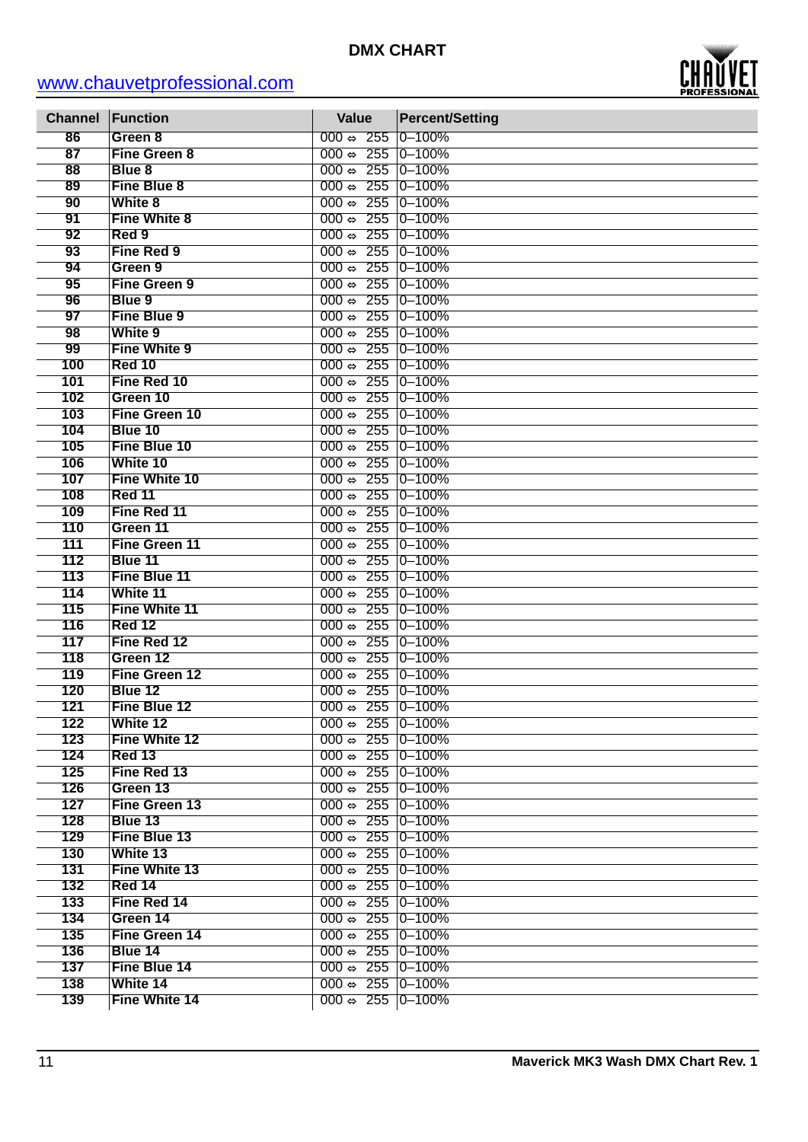

| <b>Channel</b> | Function                | <b>Value</b>                                                         | <b>Percent/Setting</b>   |
|----------------|-------------------------|----------------------------------------------------------------------|--------------------------|
| 86             | Green 8                 | $000 \Leftrightarrow 255$                                            | $0 - 100%$               |
| 87             | <b>Fine Green 8</b>     | 255<br>$000 \Leftrightarrow$                                         | $0 - 100%$               |
| 88             | Blue 8                  | $000 \Leftrightarrow 255$                                            | $0 - 100%$               |
| 89             | Fine Blue 8             | $000 \Leftrightarrow 255$                                            | $0 - 100%$               |
| 90             | White 8                 | 255<br>000 $\Leftrightarrow$                                         | $0 - 100%$               |
| 91             | <b>Fine White 8</b>     | 255<br>000 $\Leftrightarrow$                                         | $0 - 100%$               |
| 92             | Red 9                   | 255<br>000 $\Leftrightarrow$                                         | $0 - 100%$               |
| 93             | Fine Red 9              | $000 \Leftrightarrow 255$                                            | $0 - 100%$               |
| 94             | Green 9                 | $000 \Leftrightarrow 255$                                            | $0 - 100%$               |
| 95             | <b>Fine Green 9</b>     | 255<br>000 $\Leftrightarrow$                                         | $0 - 100%$               |
| 96             | Blue 9                  | 255<br>000 $\Leftrightarrow$                                         | $0 - 100%$               |
| 97             | Fine Blue 9             | 255<br>000 $\Leftrightarrow$                                         | $0 - 100%$               |
| 98             | White 9                 | $000 \div 255$                                                       | $0 - 100%$               |
| 99             | <b>Fine White 9</b>     | $000 \Leftrightarrow 255$                                            | $0 - 100%$               |
| 100            | <b>Red 10</b>           | $000 \Leftrightarrow 255$                                            | $0 - 100%$               |
| 101            | Fine Red 10             | 255<br>000 $\Leftrightarrow$                                         | $0 - 100%$               |
| 102            | Green 10                | 255<br>000 $\Leftrightarrow$                                         | $0 - 100%$               |
| 103            | Fine Green 10           | 255<br>000 $\Leftrightarrow$                                         | $0 - 100%$               |
| 104            | Blue 10<br>Fine Blue 10 | $000 \Leftrightarrow 255$                                            | $0 - 100%$<br>$0 - 100%$ |
| 105            | White 10                | $000 \Leftrightarrow 255$<br>$000 \div 255$                          | $0 - 100%$               |
| 106<br>107     | <b>Fine White 10</b>    | 255<br>000 $\Leftrightarrow$                                         | $0 - 100%$               |
| 108            | <b>Red 11</b>           | 255<br>000 $\Leftrightarrow$                                         | $0 - 100%$               |
| 109            | Fine Red 11             | 255<br>000 $\Leftrightarrow$                                         | $0 - 100%$               |
| 110            | Green 11                | $000 \Leftrightarrow 255$                                            | $0 - 100%$               |
| 111            | <b>Fine Green 11</b>    | $000 \Leftrightarrow 255$                                            | $0 - 100%$               |
| 112            | Blue 11                 | $000 \div 255$                                                       | $0 - 100%$               |
| 113            | Fine Blue 11            | 255<br>000 $\Leftrightarrow$                                         | $0 - 100%$               |
| 114            | White 11                | 255<br>000 $\Leftrightarrow$                                         | $0 - 100%$               |
| 115            | <b>Fine White 11</b>    | 255<br>000 $\Leftrightarrow$                                         | $0 - 100%$               |
| 116            | <b>Red 12</b>           | $000 \div 255$                                                       | $0 - 100%$               |
| 117            | Fine Red 12             | $000 \div 255$                                                       | $0 - 100%$               |
| 118            | Green 12                | $000 \div 255$                                                       | $0 - 100%$               |
| 119            | <b>Fine Green 12</b>    | 255<br>000 $\Leftrightarrow$                                         | $0 - 100%$               |
| 120            | Blue 12                 | $000 \Leftrightarrow 255$                                            | $0 - 100%$               |
| 121            | Fine Blue 12            | 000 $\Leftrightarrow$ 255 0-100%                                     |                          |
| 122            | <b>White 12</b>         | 000 $\Leftrightarrow$ 255 0-100%                                     |                          |
| 123            | <b>Fine White 12</b>    | 000 $\Leftrightarrow$ 255 0-100%                                     |                          |
| 124            | <b>Red 13</b>           | 000 $\Leftrightarrow$ 255 0-100%                                     |                          |
| 125            | Fine Red 13             | 000 $\Leftrightarrow$ 255 0-100%                                     |                          |
| 126            | Green 13                | 000 $\Leftrightarrow$ 255 0-100%                                     |                          |
| 127            | Fine Green 13           | 000 $\Leftrightarrow$ 255 0-100%                                     |                          |
| 128            | Blue 13                 | 000 $\Leftrightarrow$ 255 0-100%                                     |                          |
| 129            | Fine Blue 13            | 000 $\Leftrightarrow$ 255 0-100%                                     |                          |
| 130            | White 13                | 000 $\Leftrightarrow$ 255 0-100%                                     |                          |
| 131            | <b>Fine White 13</b>    | 000 $\Leftrightarrow$ 255 0-100%                                     |                          |
| 132            | <b>Red 14</b>           | 000 $\Leftrightarrow$ 255 0-100%                                     |                          |
| 133            | Fine Red 14<br>Green 14 | 000 $\Leftrightarrow$ 255 0-100%<br>000 $\Leftrightarrow$ 255 0-100% |                          |
| 134<br>135     | Fine Green 14           | 000 $\Leftrightarrow$ 255 0-100%                                     |                          |
| 136            | Blue 14                 | 000 $\Leftrightarrow$ 255 0-100%                                     |                          |
| 137            | Fine Blue 14            | 000 $\Leftrightarrow$ 255 0-100%                                     |                          |
| 138            | White 14                | 000 $\Leftrightarrow$ 255 0-100%                                     |                          |
| 139            | Fine White 14           | 000 $\Leftrightarrow$ 255 0-100%                                     |                          |
|                |                         |                                                                      |                          |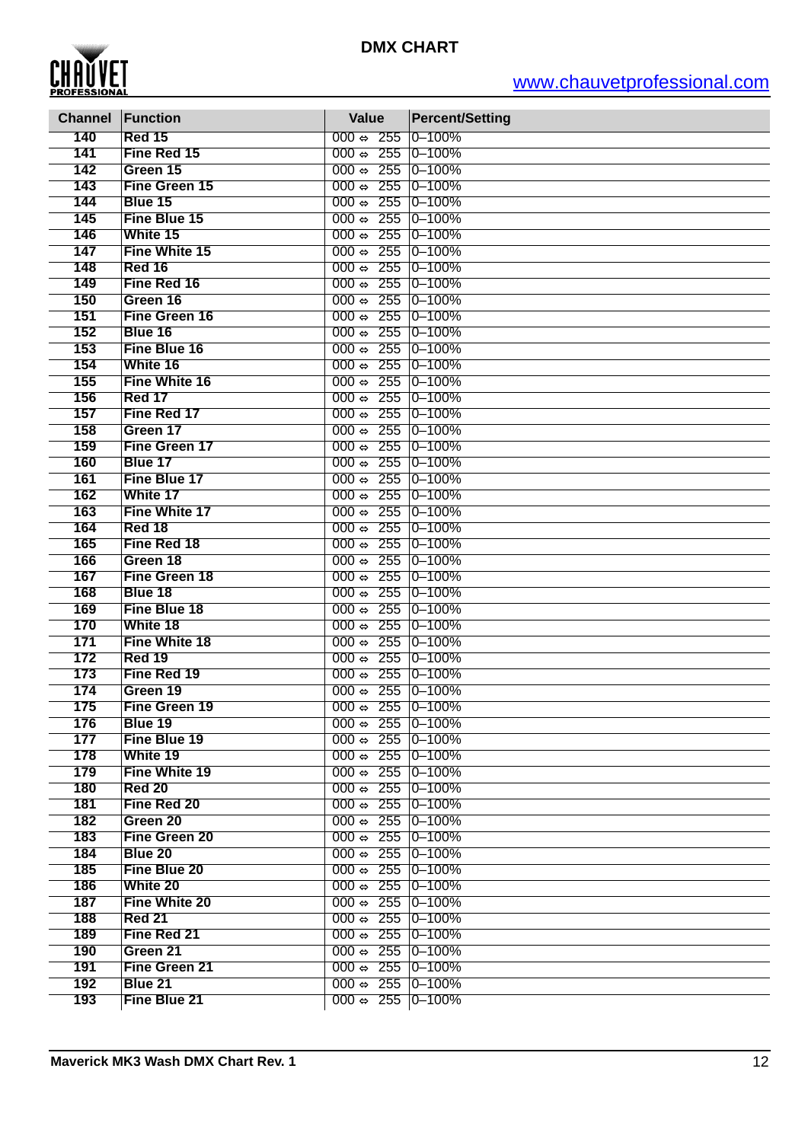

| <b>Channel</b> | Function             | Value                                    | <b>Percent/Setting</b> |
|----------------|----------------------|------------------------------------------|------------------------|
| 140            | <b>Red 15</b>        | $000 \Leftrightarrow 255$                | $0 - 100%$             |
| 141            | Fine Red 15          | $000 \Leftrightarrow 255$ 0-100%         |                        |
| 142            | Green 15             | $000 \Leftrightarrow 255$ 0-100%         |                        |
| 143            | Fine Green 15        | $000 \Leftrightarrow 255$ 0-100%         |                        |
| 144            | Blue 15              | $000 \Leftrightarrow 255 \mid 0-100\%$   |                        |
| 145            | Fine Blue 15         | $000 \Leftrightarrow 255$ 0-100%         |                        |
| 146            | White 15             | $000 \Leftrightarrow 255$ 0-100%         |                        |
| 147            | Fine White 15        | $000 \Leftrightarrow 255 \mid 0-100\%$   |                        |
| 148            | <b>Red 16</b>        | $000 \Leftrightarrow 255 \mid 0-100\%$   |                        |
| 149            | Fine Red 16          | $000 \Leftrightarrow 255 \mid 0 - 100\%$ |                        |
| 150            | Green 16             | $000 \Leftrightarrow 255 \mid 0 - 100\%$ |                        |
| 151            | <b>Fine Green 16</b> | $000 \Leftrightarrow 255 \mid 0 - 100\%$ |                        |
| 152            | Blue 16              | $000 \Leftrightarrow 255$ 0-100%         |                        |
| 153            | Fine Blue 16         | $000 \Leftrightarrow 255$ 0-100%         |                        |
| 154            | White 16             | $000 \Leftrightarrow 255$ 0-100%         |                        |
| 155            | <b>Fine White 16</b> | $000 \Leftrightarrow 255$ 0-100%         |                        |
| 156            | <b>Red 17</b>        | $000 \Leftrightarrow 255$ 0-100%         |                        |
| 157            | Fine Red 17          | $000 \Leftrightarrow 255$ 0-100%         |                        |
| 158            | Green 17             | $000 \Leftrightarrow 255$ 0-100%         |                        |
| 159            | <b>Fine Green 17</b> | $000 \Leftrightarrow 255 \mid 0-100\%$   |                        |
| 160            | Blue 17              | $000 \Leftrightarrow 255 \mid 0-100\%$   |                        |
| 161            | Fine Blue 17         | $000 \Leftrightarrow 255 \mid 0-100\%$   |                        |
| 162            | White 17             | $000 \Leftrightarrow 255 \mid 0-100\%$   |                        |
|                |                      |                                          |                        |
| 163            | <b>Fine White 17</b> | $000 \Leftrightarrow 255$ 0-100%         |                        |
| 164            | <b>Red 18</b>        | $000 \Leftrightarrow 255 \mid 0 - 100\%$ |                        |
| 165            | Fine Red 18          | $000 \Leftrightarrow 255 \mid 0-100\%$   |                        |
| 166            | Green 18             | $000 \Leftrightarrow 255$ 0-100%         |                        |
| 167            | <b>Fine Green 18</b> | $000 \Leftrightarrow 255$ 0-100%         |                        |
| 168            | <b>Blue 18</b>       | $000 \Leftrightarrow 255$ 0-100%         |                        |
| 169            | Fine Blue 18         | $000 \Leftrightarrow 255 \mid 0-100\%$   |                        |
| 170            | White 18             | $000 \Leftrightarrow 255$ 0-100%         |                        |
| 171            | Fine White 18        | $000 \Leftrightarrow 255$ 0-100%         |                        |
| 172            | <b>Red 19</b>        | $000 \Leftrightarrow 255$ 0-100%         |                        |
| 173            | Fine Red 19          | $000 \Leftrightarrow 255$ 0-100%         |                        |
| 174            | Green 19             | $000 \Leftrightarrow 255$ 0-100%         |                        |
| 175            | Fine Green 19        | 000 $\Leftrightarrow$ 255 0-100%         |                        |
| 176            | Blue 19              | 000 $\Leftrightarrow$ 255 0-100%         |                        |
| 177            | Fine Blue 19         | 000 $\Leftrightarrow$ 255 0-100%         |                        |
| 178            | White 19             | 000 $\Leftrightarrow$ 255 0-100%         |                        |
| 179            | <b>Fine White 19</b> | $000 \Leftrightarrow 255 \mid 0-100\%$   |                        |
| 180            | <b>Red 20</b>        | $000 \Leftrightarrow 255 \mid 0-100\%$   |                        |
| 181            | Fine Red 20          | 000 $\Leftrightarrow$ 255 0-100%         |                        |
| 182            | Green 20             | $000 \Leftrightarrow 255$ 0-100%         |                        |
| 183            | <b>Fine Green 20</b> | $000 \Leftrightarrow 255$ 0-100%         |                        |
| 184            | <b>Blue 20</b>       | $000 \Leftrightarrow 255$ 0-100%         |                        |
| 185            | <b>Fine Blue 20</b>  | $000 \Leftrightarrow 255$ 0-100%         |                        |
| 186            | White 20             | $000 \Leftrightarrow 255$ 0-100%         |                        |
| 187            | <b>Fine White 20</b> | $000 \Leftrightarrow 255$ 0-100%         |                        |
| 188            | <b>Red 21</b>        | $000 \Leftrightarrow 255$ 0-100%         |                        |
| 189            | Fine Red 21          | $000 \Leftrightarrow 255$ 0-100%         |                        |
| 190            | Green 21             | $000 \Leftrightarrow 255$ 0-100%         |                        |
| 191            | <b>Fine Green 21</b> | $000 \Leftrightarrow 255$ 0-100%         |                        |
| 192            | Blue 21              | $000 \Leftrightarrow 255$ 0-100%         |                        |
| 193            | Fine Blue 21         | $000 \Leftrightarrow 255$ 0-100%         |                        |
|                |                      |                                          |                        |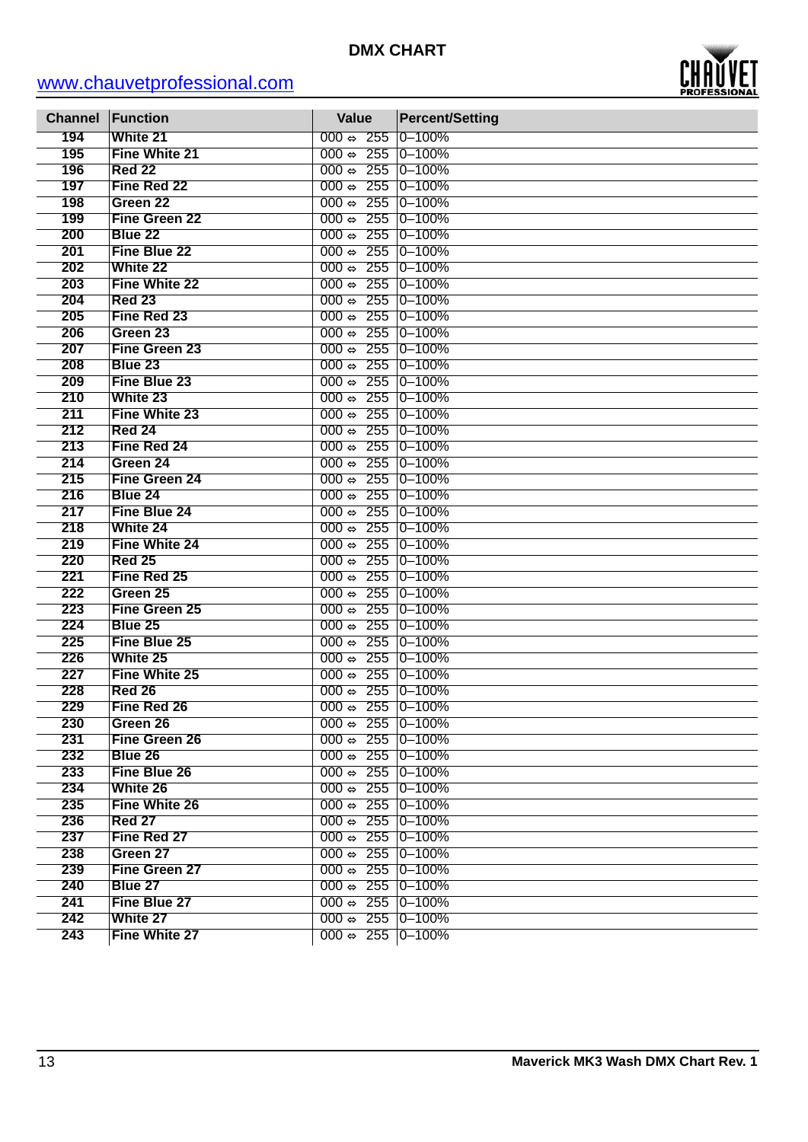

| <b>Channel</b> | Function             | <b>Value</b>                     | <b>Percent/Setting</b> |
|----------------|----------------------|----------------------------------|------------------------|
| 194            | White 21             | $000 \Leftrightarrow 255$        | $0 - 100%$             |
| 195            | <b>Fine White 21</b> | $000 \Leftrightarrow 255$        | $0 - 100%$             |
| 196            | <b>Red 22</b>        | $000 \Leftrightarrow 255$        | $0 - 100%$             |
| 197            | Fine Red 22          | $000 \Leftrightarrow 255$        | $0 - 100%$             |
| 198            | Green 22             | $000 \Leftrightarrow 255$        | $0 - 100%$             |
| 199            | <b>Fine Green 22</b> | 255<br>$000 \Leftrightarrow$     | $0 - 100%$             |
| 200            | Blue 22              | 255<br>000 $\Leftrightarrow$     | $0 - 100%$             |
| 201            | Fine Blue 22         | 255<br>000 $\Leftrightarrow$     | $0 - 100%$             |
| 202            | <b>White 22</b>      | $000 \div 255$                   | $0 - 100%$             |
| 203            | <b>Fine White 22</b> | $000 \div 255$                   | $0 - 100%$             |
| 204            | <b>Red 23</b>        | 255<br>$000 \Leftrightarrow$     | $0 - 100%$             |
| 205            | Fine Red 23          | 255<br>$000 \Leftrightarrow$     | $0 - 100%$             |
| 206            | Green 23             | 255<br>$000 \Leftrightarrow$     | $0 - 100%$             |
| 207            | <b>Fine Green 23</b> | $000 \Leftrightarrow 255$        | $0 - 100%$             |
| 208            | Blue 23              | $000 \div 255$                   | $0 - 100%$             |
| 209            | <b>Fine Blue 23</b>  | $000 \div 255$                   | $0 - 100%$             |
| 210            | <b>White 23</b>      | 255<br>$000 \Leftrightarrow$     | $0 - 100%$             |
| 211            | <b>Fine White 23</b> | 255<br>$000 \Leftrightarrow$     | $0 - 100%$             |
| 212            | <b>Red 24</b>        | 255<br>$000 \Leftrightarrow$     | $0 - 100%$             |
| 213            | Fine Red 24          | $000 \Leftrightarrow 255$        | $0 - 100%$             |
| 214            | Green 24             | $000 \div 255$                   | $0 - 100%$             |
| 215            | <b>Fine Green 24</b> | $000 \div 255$                   | $0 - 100%$             |
| 216            | Blue 24              | 255<br>$000 \Leftrightarrow$     | $0 - 100%$             |
| 217            | <b>Fine Blue 24</b>  | 255<br>$000 \Leftrightarrow$     | $0 - 100%$             |
| 218            | White 24             | 255<br>$000 \Leftrightarrow$     | $0 - 100%$             |
| 219            | <b>Fine White 24</b> | $000 \Leftrightarrow 255$        | $0 - 100%$             |
| 220            | <b>Red 25</b>        | $000 \div 255$                   | $0 - 100%$             |
| 221            | Fine Red 25          | $000 \Leftrightarrow 255$        | $0 - 100%$             |
| 222            | Green 25             | 255<br>$000 \Leftrightarrow$     | $0 - 100%$             |
| 223            | <b>Fine Green 25</b> | 255<br>$000 \Leftrightarrow$     | $0 - 100%$             |
| 224            | Blue 25              | 255<br>$000 \Leftrightarrow$     | $0 - 100%$             |
| 225            | Fine Blue 25         | $000 \Leftrightarrow 255$        | $0 - 100%$             |
| 226            | White 25             | $000 \Leftrightarrow 255$        | $0 - 100%$             |
| 227            | <b>Fine White 25</b> | $000 \Leftrightarrow 255$        | $0 - 100%$             |
| 228            | <b>Red 26</b>        | 255<br>$000 \Leftrightarrow$     | $0 - 100%$             |
| 229            | Fine Red 26          | $000 \Leftrightarrow 255$        | $ 0 - 100\%$           |
| 230            | Green 26             | 000 $\Leftrightarrow$ 255 0-100% |                        |
| 231            | <b>Fine Green 26</b> | 000 $\Leftrightarrow$ 255 0-100% |                        |
| 232            | Blue 26              | 000 $\Leftrightarrow$ 255 0-100% |                        |
| 233            | Fine Blue 26         | 000 $\Leftrightarrow$ 255 0-100% |                        |
| 234            | White 26             | 000 $\Leftrightarrow$ 255 0-100% |                        |
| 235            | <b>Fine White 26</b> | 000 $\Leftrightarrow$ 255 0-100% |                        |
| 236            | <b>Red 27</b>        | 000 $\Leftrightarrow$ 255 0-100% |                        |
| 237            | Fine Red 27          | 000 $\Leftrightarrow$ 255 0-100% |                        |
| 238            | Green 27             | 000 $\Leftrightarrow$ 255 0-100% |                        |
| 239            | <b>Fine Green 27</b> | 000 $\Leftrightarrow$ 255 0-100% |                        |
| 240            | Blue 27              | 000 $\Leftrightarrow$ 255 0-100% |                        |
| 241            | Fine Blue 27         | 000 $\Leftrightarrow$ 255 0-100% |                        |
| 242            | White 27             | $000 \Leftrightarrow 255$ 0-100% |                        |
| 243            | Fine White 27        | 000 $\Leftrightarrow$ 255 0-100% |                        |
|                |                      |                                  |                        |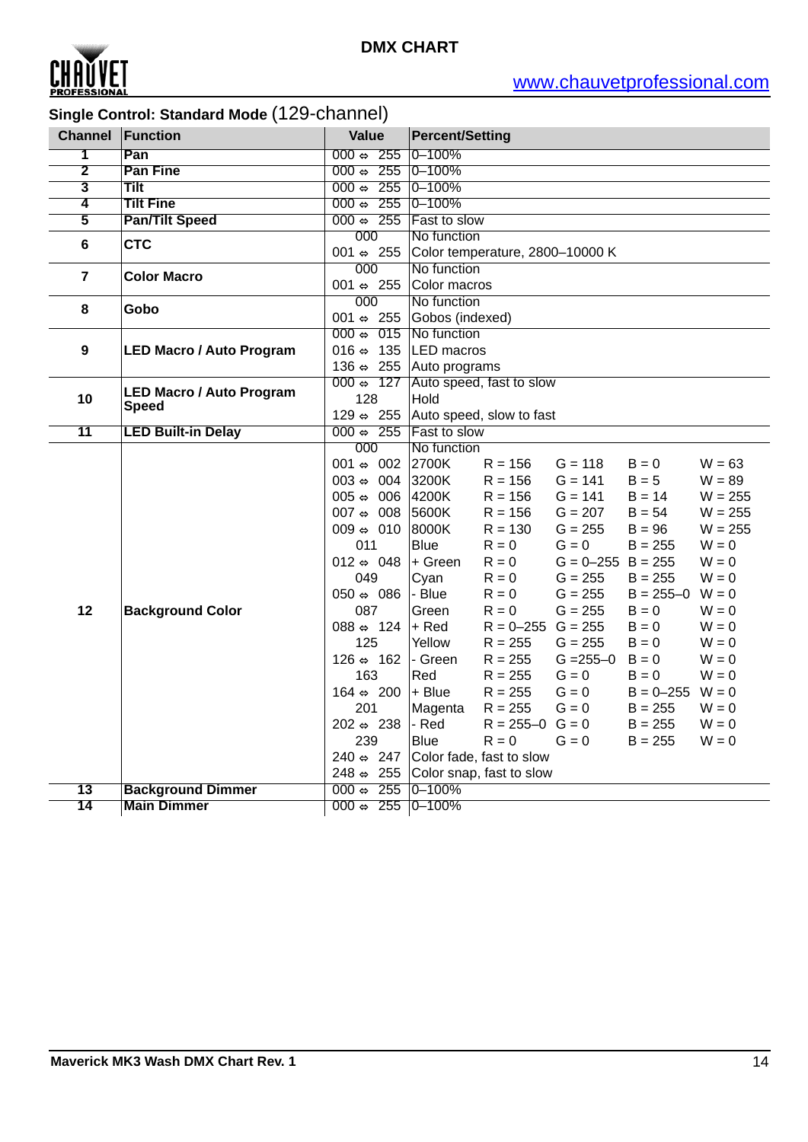

|                         | Single Control: Standard Mode (129-channel) |                                                 |                        |                                 |                       |                     |           |  |
|-------------------------|---------------------------------------------|-------------------------------------------------|------------------------|---------------------------------|-----------------------|---------------------|-----------|--|
|                         | <b>Channel Function</b>                     | <b>Value</b>                                    | <b>Percent/Setting</b> |                                 |                       |                     |           |  |
| 1                       | Pan                                         | $000 \Leftrightarrow 255$                       | $0 - 100%$             |                                 |                       |                     |           |  |
| $\overline{2}$          | <b>Pan Fine</b>                             | $000 \Leftrightarrow 255$                       | $0 - 100%$             |                                 |                       |                     |           |  |
| $\overline{\mathbf{3}}$ | <b>Tilt</b>                                 | $000 \Leftrightarrow 255$                       | $0 - 100%$             |                                 |                       |                     |           |  |
| 4                       | <b>Tilt Fine</b>                            | $000 \Leftrightarrow 255$                       | $0 - 100%$             |                                 |                       |                     |           |  |
| $\overline{\mathbf{5}}$ | <b>Pan/Tilt Speed</b>                       | $000 \Leftrightarrow 255$                       | <b>Fast to slow</b>    |                                 |                       |                     |           |  |
| 6                       | <b>CTC</b>                                  | 000                                             | No function            |                                 |                       |                     |           |  |
|                         |                                             | 001 $\Leftrightarrow$ 255                       |                        | Color temperature, 2800-10000 K |                       |                     |           |  |
| 7                       | <b>Color Macro</b>                          | 000                                             | No function            |                                 |                       |                     |           |  |
|                         |                                             | 001 $\Leftrightarrow$ 255                       | Color macros           |                                 |                       |                     |           |  |
| 8<br>Gobo               |                                             | 000                                             | No function            |                                 |                       |                     |           |  |
|                         |                                             | 001 $\Leftrightarrow$ 255                       | Gobos (indexed)        |                                 |                       |                     |           |  |
| 9                       |                                             | $000 \Leftrightarrow 015$                       | No function            |                                 |                       |                     |           |  |
|                         | <b>LED Macro / Auto Program</b>             | $016 \Leftrightarrow 135$                       | <b>LED</b> macros      |                                 |                       |                     |           |  |
|                         |                                             | 136 $\Leftrightarrow$ 255 Auto programs         |                        |                                 |                       |                     |           |  |
|                         | <b>LED Macro / Auto Program</b>             | $000 \Leftrightarrow 127$                       |                        | Auto speed, fast to slow        |                       |                     |           |  |
| 10                      | <b>Speed</b>                                | 128                                             | Hold                   |                                 |                       |                     |           |  |
|                         |                                             | $129 \Leftrightarrow 255$                       |                        | Auto speed, slow to fast        |                       |                     |           |  |
| $\overline{11}$         | <b>LED Built-in Delay</b>                   | $000 \Leftrightarrow 255$                       | <b>Fast to slow</b>    |                                 |                       |                     |           |  |
|                         |                                             | 000                                             | No function            |                                 |                       |                     |           |  |
|                         |                                             | $001 \Leftrightarrow 002$                       | 2700K                  | $R = 156$                       | $G = 118$             | $B = 0$             | $W = 63$  |  |
|                         |                                             | 003 $\Leftrightarrow$ 004 3200K                 |                        | $R = 156$                       | $G = 141$             | $B = 5$             | $W = 89$  |  |
|                         |                                             | $005 \Leftrightarrow 006$                       | 4200K                  | $R = 156$                       | $G = 141$             | $B = 14$            | $W = 255$ |  |
|                         |                                             | $007 \Leftrightarrow 008$                       | 5600K                  | $R = 156$                       | $G = 207$             | $B = 54$            | $W = 255$ |  |
|                         |                                             | $009 \Leftrightarrow 010$                       | 8000K                  | $R = 130$                       | $G = 255$             | $B = 96$            | $W = 255$ |  |
|                         |                                             | 011                                             | <b>Blue</b>            | $R = 0$                         | $G = 0$               | $B = 255$           | $W = 0$   |  |
|                         |                                             | 012 $\Leftrightarrow$ 048                       | + Green                | $R = 0$                         | $G = 0 - 255$ B = 255 |                     | $W = 0$   |  |
|                         |                                             | 049                                             | Cyan                   | $R = 0$                         | $G = 255$             | $B = 255$           | $W = 0$   |  |
|                         |                                             | $050 \Leftrightarrow 086$                       | - Blue                 | $R = 0$                         | $G = 255$             | $B = 255 - 0$ W = 0 |           |  |
| 12                      | <b>Background Color</b>                     | 087                                             | Green                  | $R = 0$                         | $G = 255$             | $B = 0$             | $W = 0$   |  |
|                         |                                             | $088 \Leftrightarrow 124$                       | + Red                  | $R = 0 - 255$ $G = 255$         |                       | $B = 0$             | $W = 0$   |  |
|                         |                                             | 125                                             | Yellow                 | $R = 255$                       | $G = 255$             | $B = 0$             | $W = 0$   |  |
|                         |                                             | $126 \Leftrightarrow 162$                       | - Green                | $R = 255$                       | $G = 255 - 0$         | $B = 0$             | $W = 0$   |  |
|                         |                                             | 163                                             | Red                    | $R = 255$                       | $G = 0$               | $B = 0$             | $W = 0$   |  |
|                         |                                             | $164 \Leftrightarrow 200$                       | + Blue                 | $R = 255$                       | $G = 0$               | $B = 0 - 255$ W = 0 |           |  |
|                         |                                             | 201                                             | Magenta                | $R = 255$ $G = 0$               |                       | $B = 255$ $W = 0$   |           |  |
|                         |                                             | $202 \Leftrightarrow 238$ - Red R = 255-0 G = 0 |                        |                                 |                       | $B = 255$           | $W = 0$   |  |
|                         |                                             | 239                                             | <b>Blue</b>            | $R = 0$                         | $G = 0$               | $B = 255$ $W = 0$   |           |  |
|                         |                                             | $240 \Leftrightarrow 247$                       |                        | Color fade, fast to slow        |                       |                     |           |  |
|                         |                                             | 248 ↔ 255 Color snap, fast to slow              |                        |                                 |                       |                     |           |  |
| 13                      | <b>Background Dimmer</b>                    | 000 $\Leftrightarrow$ 255 0-100%                |                        |                                 |                       |                     |           |  |
| 14                      | <b>Main Dimmer</b>                          | 000 $\Leftrightarrow$ 255 0-100%                |                        |                                 |                       |                     |           |  |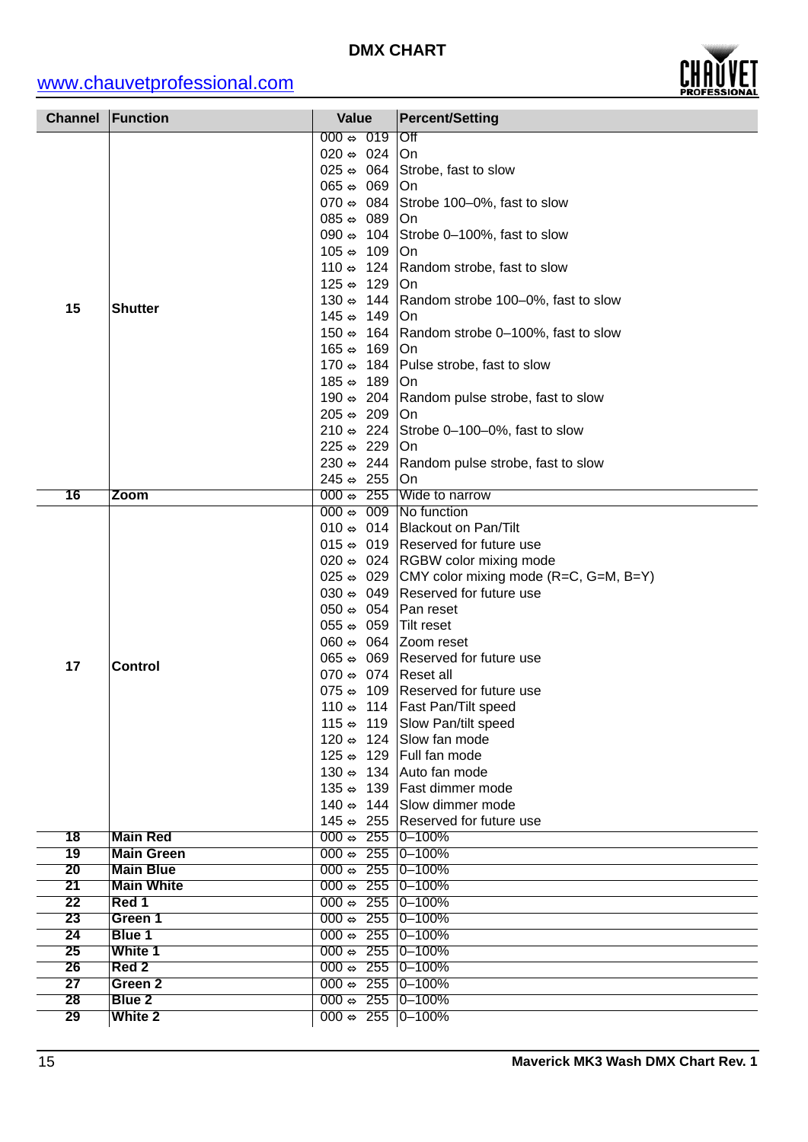

|          | <b>Channel Function</b>              | <b>Value</b>                                                               | <b>Percent/Setting</b>                                          |
|----------|--------------------------------------|----------------------------------------------------------------------------|-----------------------------------------------------------------|
|          |                                      | $000 \div 019$                                                             | $\overline{Off}$                                                |
|          |                                      | $020 \Leftrightarrow 024$                                                  | On                                                              |
|          |                                      | $025 \Leftrightarrow 064$                                                  | Strobe, fast to slow                                            |
|          |                                      | $065 \Leftrightarrow 069$                                                  | On                                                              |
|          |                                      | $070 \Leftrightarrow 084$                                                  | Strobe 100-0%, fast to slow                                     |
|          |                                      | $085 \Leftrightarrow 089$                                                  | On                                                              |
|          |                                      | 090 $\Leftrightarrow$ 104                                                  | Strobe 0-100%, fast to slow                                     |
|          |                                      | $105 \Leftrightarrow 109$                                                  | On                                                              |
|          |                                      | 110 $\Leftrightarrow$ 124                                                  | Random strobe, fast to slow                                     |
|          |                                      | $125 \Leftrightarrow 129$<br>130 $\Leftrightarrow$ 144                     | On<br>Random strobe 100-0%, fast to slow                        |
| 15       | <b>Shutter</b>                       | $145 \Leftrightarrow 149$                                                  | On                                                              |
|          |                                      | $150 \Leftrightarrow 164$                                                  | Random strobe 0-100%, fast to slow                              |
|          |                                      | $165 \Leftrightarrow 169$                                                  | On                                                              |
|          |                                      | 170 $\Leftrightarrow$ 184                                                  | Pulse strobe, fast to slow                                      |
|          |                                      | $185 \Leftrightarrow 189$                                                  | On                                                              |
|          |                                      | 190 $\Leftrightarrow$ 204                                                  | Random pulse strobe, fast to slow                               |
|          |                                      | $205 \Leftrightarrow 209$                                                  | On                                                              |
|          |                                      | $210 \Leftrightarrow 224$                                                  | Strobe 0-100-0%, fast to slow                                   |
|          |                                      | $225 \Leftrightarrow 229$                                                  | On                                                              |
|          |                                      | 230 $\Leftrightarrow$ 244                                                  | Random pulse strobe, fast to slow                               |
|          |                                      | $245 \Leftrightarrow 255$                                                  | On                                                              |
| 16       | Zoom                                 |                                                                            | 000 $\Leftrightarrow$ 255 Wide to narrow                        |
|          |                                      | 000 $\Leftrightarrow$ 009 No function                                      |                                                                 |
|          |                                      |                                                                            | 010 ↔ 014   Blackout on Pan/Tilt                                |
|          |                                      |                                                                            | 015 $\Leftrightarrow$ 019 Reserved for future use               |
|          |                                      |                                                                            | 020 $\Leftrightarrow$ 024 RGBW color mixing mode                |
|          |                                      |                                                                            | 025 $\Leftrightarrow$ 029 CMY color mixing mode (R=C, G=M, B=Y) |
|          |                                      |                                                                            | 030 $\Leftrightarrow$ 049 Reserved for future use               |
|          |                                      | 050 $\Leftrightarrow$ 054   Pan reset<br>$055 \Leftrightarrow 059$         | Tilt reset                                                      |
|          |                                      | 060 $\Leftrightarrow$ 064 Zoom reset                                       |                                                                 |
|          |                                      |                                                                            | 065 $\Leftrightarrow$ 069 Reserved for future use               |
| 17       | <b>Control</b>                       | 070 ↔ 074   Reset all                                                      |                                                                 |
|          |                                      |                                                                            | 075 $\Leftrightarrow$ 109 Reserved for future use               |
|          |                                      |                                                                            | 110 $\Leftrightarrow$ 114   Fast Pan/Tilt speed                 |
|          |                                      |                                                                            | 115 ↔ 119 Slow Pan/tilt speed                                   |
|          |                                      |                                                                            | 120 $\Leftrightarrow$ 124 Slow fan mode                         |
|          |                                      |                                                                            | 125 $\Leftrightarrow$ 129 Full fan mode                         |
|          |                                      |                                                                            | 130 $\Leftrightarrow$ 134 Auto fan mode                         |
|          |                                      |                                                                            | 135 $\Leftrightarrow$ 139 Fast dimmer mode                      |
|          |                                      |                                                                            | 140 $\Leftrightarrow$ 144 Slow dimmer mode                      |
|          |                                      |                                                                            | 145 ↔ 255 Reserved for future use                               |
| 18<br>19 | <b>Main Red</b><br><b>Main Green</b> | 000 $\Leftrightarrow$ 255 0-100%<br>$000 \Leftrightarrow 255 \mid 0-100\%$ |                                                                 |
| 20       | <b>Main Blue</b>                     | 000 $\Leftrightarrow$ 255 0-100%                                           |                                                                 |
| 21       | <b>Main White</b>                    | 000 $\Leftrightarrow$ 255 0-100%                                           |                                                                 |
| 22       | Red 1                                | $000 \Leftrightarrow 255$ 0-100%                                           |                                                                 |
| 23       | Green 1                              | 000 $\Leftrightarrow$ 255 0-100%                                           |                                                                 |
| 24       | <b>Blue 1</b>                        | 000 $\Leftrightarrow$ 255 0-100%                                           |                                                                 |
| 25       | White 1                              | $000 \Leftrightarrow 255$ 0-100%                                           |                                                                 |
| 26       | Red 2                                | $000 \Leftrightarrow 255$ 0-100%                                           |                                                                 |
| 27       | Green 2                              | 000 $\Leftrightarrow$ 255 0-100%                                           |                                                                 |
| 28       | Blue 2                               | $000 \Leftrightarrow 255$ 0-100%                                           |                                                                 |
| 29       | <b>White 2</b>                       | 000 $\Leftrightarrow$ 255 0-100%                                           |                                                                 |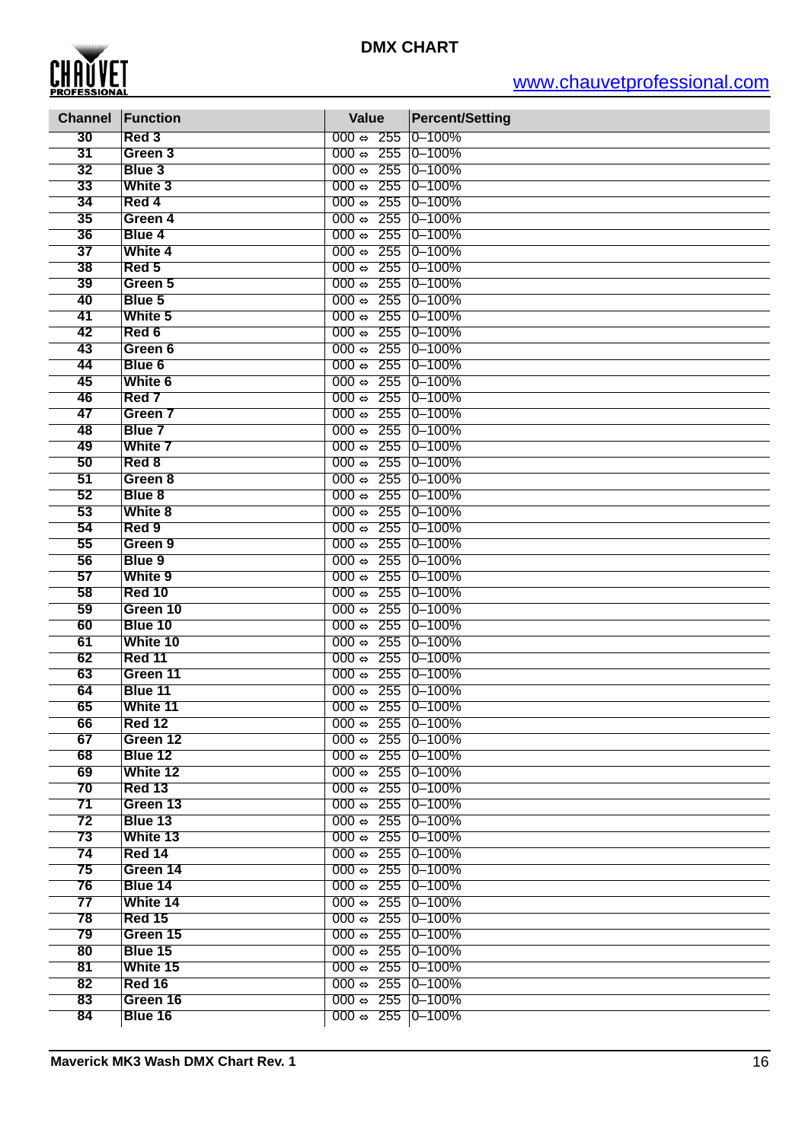

| <b>Channel</b>  | Function       | <b>Value</b>                           | <b>Percent/Setting</b> |
|-----------------|----------------|----------------------------------------|------------------------|
| $\overline{30}$ | Red 3          | $000 \Leftrightarrow 255$              | $0 - 100%$             |
| 31              | Green 3        | 255<br>000 $\Leftrightarrow$           | $0 - 100%$             |
| 32              | Blue 3         | $000 \Leftrightarrow 255$              | $0 - 100%$             |
| 33              | <b>White 3</b> | $000 \Leftrightarrow 255$              | $0 - 100%$             |
| 34              | Red 4          | $000 \Leftrightarrow 255$              | $0 - 100%$             |
| 35              | Green 4        | $000 \Leftrightarrow 255$              | $0 - 100%$             |
| 36              | Blue 4         | $000 \Leftrightarrow 255$              | $0 - 100%$             |
| 37              | <b>White 4</b> | 255<br>000 $\Leftrightarrow$           | $0 - 100%$             |
| 38              | Red 5          | 000 $\Leftrightarrow$<br>255           | $0 - 100%$             |
| 39              | Green 5        | 255<br>$000 \Leftrightarrow$           | $0 - 100%$             |
| 40              | Blue 5         | $000 \Leftrightarrow 255$              | $0 - 100%$             |
| 41              | White 5        | $000 \Leftrightarrow 255$              | $0 - 100%$             |
| 42              | Red 6          | $000 \Leftrightarrow 255$              | $0 - 100%$             |
| 43              | Green 6        | $000 \Leftrightarrow 255$              | $0 - 100%$             |
| 44              | Blue 6         | $000 \Leftrightarrow 255$              | $0 - 100%$             |
| 45              | White 6        | 255<br>000 $\Leftrightarrow$           | $0 - 100%$             |
| 46              | Red 7          | 000 $\Leftrightarrow$<br>255           | $0 - 100%$             |
| 47              | Green 7        | 255<br>000 $\Leftrightarrow$           | $0 - 100%$             |
| 48              | Blue 7         | 255<br>000 $\Leftrightarrow$           | $0 - 100%$             |
| 49              | <b>White 7</b> | $000 \Leftrightarrow 255$              | $0 - 100%$             |
| 50              | Red 8          | $000 \Leftrightarrow 255$              | $0 - 100%$             |
| 51              | Green 8        | $000 \Leftrightarrow 255$              | $0 - 100%$             |
| 52              | Blue 8         | $000 \Leftrightarrow 255$              | $0 - 100%$             |
|                 |                |                                        |                        |
| 53              | White 8        | 255<br>000 $\Leftrightarrow$           | $0 - 100%$             |
| 54              | Red 9          | 255<br>000 $\Leftrightarrow$           | $0 - 100%$             |
| 55              | Green 9        | 000 $\Leftrightarrow$<br>255           | $0 - 100%$             |
| 56              | Blue 9         | 255<br>000 $\Leftrightarrow$           | $0 - 100%$             |
| 57              | White 9        | $000 \Leftrightarrow 255$              | $0 - 100%$             |
| 58              | <b>Red 10</b>  | $000 \Leftrightarrow 255$              | $0 - 100%$             |
| 59              | Green 10       | $000 \Leftrightarrow 255$              | $0 - 100%$             |
| 60              | Blue 10        | $000 \Leftrightarrow 255$              | $0 - 100%$             |
| 61              | White 10       | 255<br>000 $\Leftrightarrow$           | $0 - 100%$             |
| 62              | <b>Red 11</b>  | 000 $\Leftrightarrow$<br>255           | $0 - 100%$             |
| 63              | Green 11       | 000 $\Leftrightarrow$<br>255           | 0-100%                 |
| 64              | Blue 11        | 000 $\Leftrightarrow$<br>255           | 0-100%                 |
| 65              | White 11       | $000 \Leftrightarrow 255$              | $0 - 100%$             |
| 66              | <b>Red 12</b>  | 000 $\Leftrightarrow$ 255 0-100%       |                        |
| 67              | Green 12       | 000 $\Leftrightarrow$ 255 0-100%       |                        |
| 68              | Blue 12        | 000 $\Leftrightarrow$ 255 0-100%       |                        |
| 69              | White 12       | $000 \Leftrightarrow 255$              | $0 - 100%$             |
| 70              | <b>Red 13</b>  | $000 \Leftrightarrow 255$              | $0 - 100%$             |
| 71              | Green 13       | $000 \div 255$                         | $0 - 100%$             |
| 72              | Blue 13        | $000 \div 255$                         | $0 - 100%$             |
| 73              | White 13       | $000 \Leftrightarrow 255$              | $0 - 100%$             |
| 74              | Red 14         | $000 \Leftrightarrow 255 \mid 0-100\%$ |                        |
| 75              | Green 14       | 000 $\Leftrightarrow$ 255 0-100%       |                        |
| 76              | Blue 14        | 000 $\Leftrightarrow$ 255 0-100%       |                        |
| 77              | White 14       | $000 \Leftrightarrow 255 \mid 0-100\%$ |                        |
| 78              | <b>Red 15</b>  | $000 \Leftrightarrow 255$              | $0 - 100%$             |
| 79              | Green 15       | $000 \div 255$                         | $0 - 100%$             |
| 80              | Blue 15        | $000 \div 255$                         | $0 - 100%$             |
| 81              | White 15       | $000 \Leftrightarrow 255$              | $0 - 100%$             |
| 82              | <b>Red 16</b>  | $000 \Leftrightarrow 255$              | $0 - 100%$             |
| 83              | Green 16       | $000 \Leftrightarrow 255$ 0-100%       |                        |
| 84              | Blue 16        | 000 $\Leftrightarrow$ 255 0-100%       |                        |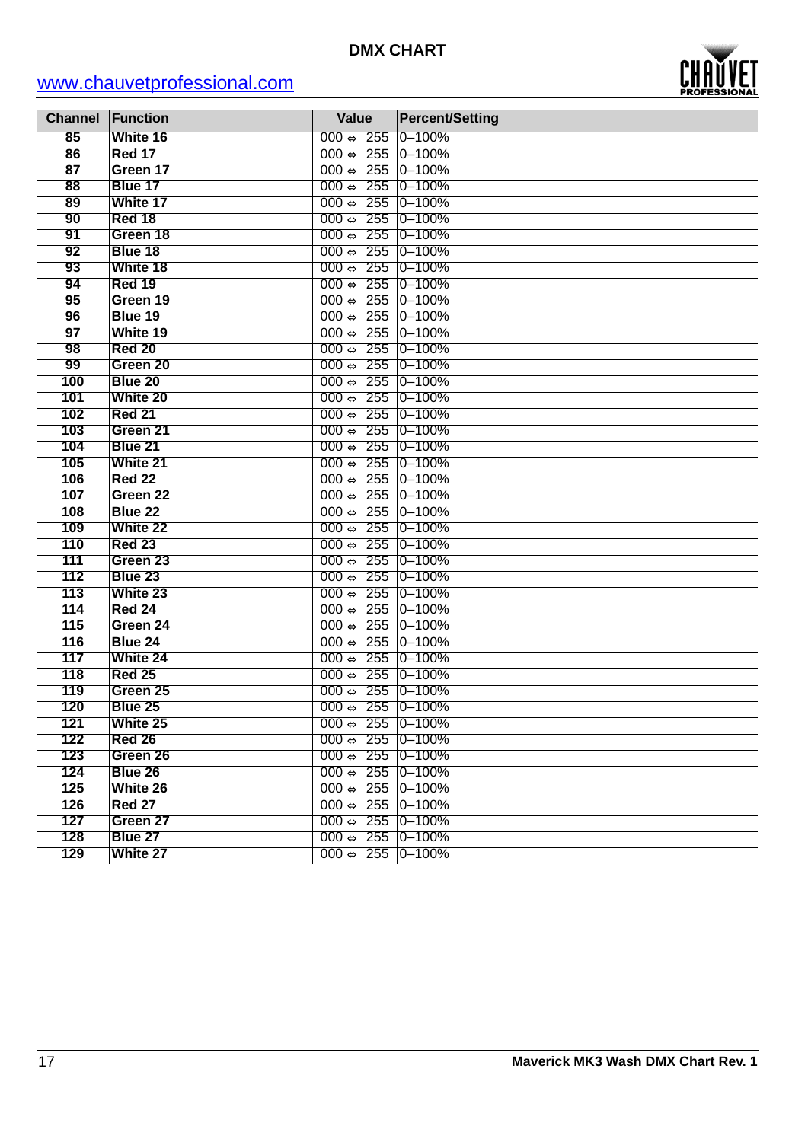

| <b>Channel</b> | Function                  | <b>Value</b>                                                                 | <b>Percent/Setting</b> |
|----------------|---------------------------|------------------------------------------------------------------------------|------------------------|
| 85             | White 16                  | $000 \Leftrightarrow 255$                                                    | $0 - 100%$             |
| 86             | Red 17                    | $000 \Leftrightarrow 255$                                                    | $0 - 100%$             |
| 87             | Green 17                  | $000 \Leftrightarrow 255$                                                    | $0 - 100%$             |
| 88             | Blue 17                   | $000 \Leftrightarrow 255$                                                    | $0 - 100%$             |
| 89             | White 17                  | $000 \Leftrightarrow 255$                                                    | $0 - 100%$             |
| 90             | <b>Red 18</b>             | $000 \Leftrightarrow 255$                                                    | $ 0 - 100\%$           |
| 91             | Green 18                  | $000 \Leftrightarrow 255$                                                    | $0 - 100%$             |
| 92             | Blue 18                   | $000 \Leftrightarrow 255$                                                    | $0 - 100%$             |
| 93             | White 18                  | $000 \Leftrightarrow 255$                                                    | $0 - 100%$             |
| 94             | <b>Red 19</b>             | $000 \Leftrightarrow 255$                                                    | $0 - 100%$             |
| 95             | Green 19                  | $000 \Leftrightarrow 255$                                                    | $ 0 - 100\%$           |
| 96             | Blue 19                   | $000 \Leftrightarrow 255$                                                    | $0 - 100%$             |
| 97             | White 19                  | $000 \Leftrightarrow 255$                                                    | $ 0 - 100\%$           |
| 98             | <b>Red 20</b>             | $000 \Leftrightarrow 255$                                                    | $ 0 - 100\%$           |
| 99             | Green 20                  | $000 \Leftrightarrow 255$                                                    | $0 - 100%$             |
| 100            | Blue 20                   | $000 \Leftrightarrow 255$                                                    | $0 - 100%$             |
| 101            | White 20                  | $000 \Leftrightarrow 255$                                                    | $ 0 - 100\%$           |
| 102            | <b>Red 21</b>             | 000 $\Leftrightarrow$ 255 0-100%                                             |                        |
| 103            | Green 21                  | $000 \Leftrightarrow 255$                                                    | $ 0 - 100\%$           |
| 104            | Blue 21                   | $000 \Leftrightarrow 255$                                                    | $0 - 100%$             |
| 105            | White 21                  | $000 \Leftrightarrow 255$                                                    | $0 - 100%$             |
| 106            | <b>Red 22</b>             | $000 \approx 255$                                                            | $ 0 - 100\%$           |
| 107            | Green 22                  | $000 \Leftrightarrow 255$                                                    | $ 0 - 100\%$           |
| 108            | Blue 22                   | $000 \Leftrightarrow 255$                                                    | $0 - 100%$             |
| 109            | White 22                  | $000 \Leftrightarrow 255$                                                    | $ 0 - 100\%$           |
| 110            | <b>Red 23</b>             | $000 \Leftrightarrow 255$                                                    | $0 - 100%$             |
| 111            | Green 23                  | $000 \Leftrightarrow 255$                                                    | $0 - 100%$             |
| 112            | Blue 23                   | $000 \Leftrightarrow 255$                                                    | $0 - 100%$             |
| 113            | White 23                  | $000 \Leftrightarrow 255$                                                    | $ 0 - 100\%$           |
| 114            | <b>Red 24</b>             | $000 \Leftrightarrow 255$                                                    | $ 0 - 100\%$           |
| 115            | Green 24                  | $000 \Leftrightarrow 255$                                                    | $0 - 100%$             |
| 116            | Blue 24                   | $000 \div 255$                                                               | $0 - 100%$             |
| 117            | White 24                  | $000 \Leftrightarrow 255$                                                    | $0 - 100%$             |
| 118            | <b>Red 25</b>             | $000 \Leftrightarrow 255$                                                    | $ 0 - 100\%$           |
| 119<br>120     | Green 25                  | $000 \Leftrightarrow 255$ 0-100%<br>$000 \Leftrightarrow 255 \mid 0 - 100\%$ |                        |
|                | Blue 25                   |                                                                              |                        |
| 121<br>122     | White 25<br><b>Red 26</b> | 000 $\Leftrightarrow$ 255 0-100%                                             |                        |
| 123            | Green 26                  | 000 $\Leftrightarrow$ 255 0-100%<br>000 $\Leftrightarrow$ 255 0-100%         |                        |
| 124            | Blue 26                   | 000 $\Leftrightarrow$ 255 0-100%                                             |                        |
| 125            | White 26                  | 000 $\Leftrightarrow$ 255 0-100%                                             |                        |
| 126            | <b>Red 27</b>             | 000 $\Leftrightarrow$ 255 0-100%                                             |                        |
| 127            | Green 27                  | 000 $\Leftrightarrow$ 255 0-100%                                             |                        |
| 128            | Blue 27                   | 000 $\Leftrightarrow$ 255 0-100%                                             |                        |
| 129            | White 27                  | 000 $\Leftrightarrow$ 255 0-100%                                             |                        |
|                |                           |                                                                              |                        |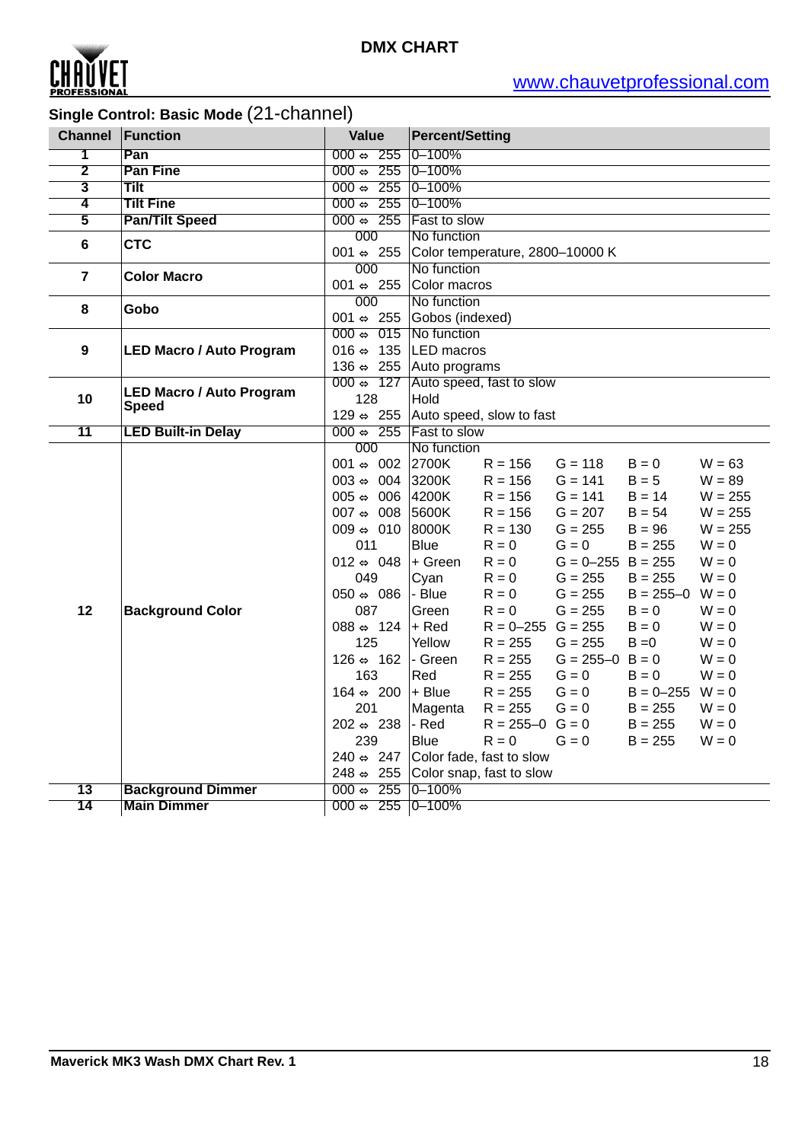

| <b>Channel</b><br>Function<br><b>Value</b><br><b>Percent/Setting</b><br>$0 - 100%$<br>$000 \Leftrightarrow 255$<br>Pan<br>1<br>$\overline{\mathbf{2}}$<br>$000 \div 255$<br>$0 - 100%$<br><b>Pan Fine</b><br>3<br>$000 \div 255$<br><b>Tilt</b><br>$0 - 100%$<br>$\overline{\mathbf{4}}$<br>$000 \Leftrightarrow 255$<br>$0 - 100%$<br><b>Tilt Fine</b><br>$\overline{5}$<br>$000 \div 255$<br><b>Pan/Tilt Speed</b><br>Fast to slow<br>000<br>No function<br><b>CTC</b><br>$6\phantom{1}$<br>001 $\Leftrightarrow$ 255<br>Color temperature, 2800-10000 K<br>No function<br>000<br>$\overline{7}$<br><b>Color Macro</b><br>001 $\Leftrightarrow$ 255<br>Color macros<br>000<br>No function<br>8<br>Gobo<br>Gobos (indexed)<br>001 $\Leftrightarrow$ 255<br>No function<br>$000 \Leftrightarrow 015$<br>016 $\Leftrightarrow$ 135<br><b>LED</b> macros<br>9<br><b>LED Macro / Auto Program</b><br>136 $\Leftrightarrow$ 255 Auto programs<br>$000 \Leftrightarrow 127$<br>Auto speed, fast to slow<br><b>LED Macro / Auto Program</b><br>128<br>Hold<br>10<br><b>Speed</b><br>$129 \Leftrightarrow 255$<br>Auto speed, slow to fast<br>Fast to slow<br><b>LED Built-in Delay</b><br>$000 \Leftrightarrow 255$<br>11<br>No function<br>000<br>001 $\Leftrightarrow$ 002<br>2700K<br>$R = 156$<br>$G = 118$<br>$B = 0$<br>$W = 63$<br>$003 \Leftrightarrow 004$<br>3200K<br>$G = 141$<br>$R = 156$<br>$B = 5$<br>$W = 89$<br>$005 \Leftrightarrow 006$<br>4200K<br>$G = 141$<br>$B = 14$<br>$R = 156$<br>$W = 255$<br>5600K<br>$G = 207$<br>007 $\Leftrightarrow$ 008<br>$R = 156$<br>$B = 54$<br>$W = 255$<br>8000K<br>$G = 255$<br>$W = 255$<br>$009 \Leftrightarrow 010$<br>$R = 130$<br>$B = 96$<br>011<br><b>Blue</b><br>$G = 0$<br>$W = 0$<br>$R = 0$<br>$B = 255$<br>012 $\Leftrightarrow$ 048<br>+ Green<br>$G = 0 - 255$ B = 255<br>$W = 0$<br>$R = 0$<br>$B = 255$<br>$W = 0$<br>049<br>Cyan<br>$R = 0$<br>$G = 255$<br>$050 \Leftrightarrow 086$<br>- Blue<br>$G = 255$<br>$B = 255 - 0$<br>$W = 0$<br>$R = 0$<br>12<br>087<br><b>Background Color</b><br>Green<br>$R = 0$<br>$G = 255$<br>$B = 0$<br>$W = 0$<br>088 $\Leftrightarrow$ 124<br>+ Red<br>$R = 0 - 255$ G = 255<br>$B = 0$<br>$W = 0$<br>125<br>$R = 255$<br>$G = 255$<br>Yellow<br>$B = 0$<br>$W = 0$<br>$G = 255 - 0$ B = 0<br>$126 \Leftrightarrow 162$<br>- Green<br>$R = 255$<br>$W = 0$<br>163<br>Red<br>$R = 255$<br>$G = 0$<br>$B = 0$<br>$W = 0$<br>164 $\Leftrightarrow$ 200<br>+ Blue<br>$R = 255$<br>$G = 0$<br>$B = 0 - 255$ W = 0<br>201<br>$B = 255$<br>$W = 0$<br>$R = 255$<br>$G = 0$<br>Magenta<br>$202 \Leftrightarrow 238$<br>- Red<br>$R = 255 - 0$ $G = 0$<br>$B = 255$<br>$W = 0$<br>239<br><b>Blue</b><br>$R = 0$<br>$G = 0$<br>$W = 0$<br>$B = 255$<br>240 $\Leftrightarrow$ 247<br>Color fade, fast to slow<br>$248 \Leftrightarrow 255$<br>Color snap, fast to slow<br><b>Background Dimmer</b><br>000 $\Leftrightarrow$ 255 0-100%<br>13<br>14<br><b>Main Dimmer</b><br>000 $\Leftrightarrow$ 255 0-100% |  | Single Control: Basic Mode (21-channel) |  |  |  |  |  |
|------------------------------------------------------------------------------------------------------------------------------------------------------------------------------------------------------------------------------------------------------------------------------------------------------------------------------------------------------------------------------------------------------------------------------------------------------------------------------------------------------------------------------------------------------------------------------------------------------------------------------------------------------------------------------------------------------------------------------------------------------------------------------------------------------------------------------------------------------------------------------------------------------------------------------------------------------------------------------------------------------------------------------------------------------------------------------------------------------------------------------------------------------------------------------------------------------------------------------------------------------------------------------------------------------------------------------------------------------------------------------------------------------------------------------------------------------------------------------------------------------------------------------------------------------------------------------------------------------------------------------------------------------------------------------------------------------------------------------------------------------------------------------------------------------------------------------------------------------------------------------------------------------------------------------------------------------------------------------------------------------------------------------------------------------------------------------------------------------------------------------------------------------------------------------------------------------------------------------------------------------------------------------------------------------------------------------------------------------------------------------------------------------------------------------------------------------------------------------------------------------------------------------------------------------------------------------------------------------------------------------------------------------------------------------------------------------------------------------------------------------------------------------------------------------------------------------------------------------------------------------------------------------------------------------------------------------------------------------------------------------------|--|-----------------------------------------|--|--|--|--|--|
|                                                                                                                                                                                                                                                                                                                                                                                                                                                                                                                                                                                                                                                                                                                                                                                                                                                                                                                                                                                                                                                                                                                                                                                                                                                                                                                                                                                                                                                                                                                                                                                                                                                                                                                                                                                                                                                                                                                                                                                                                                                                                                                                                                                                                                                                                                                                                                                                                                                                                                                                                                                                                                                                                                                                                                                                                                                                                                                                                                                                            |  |                                         |  |  |  |  |  |
|                                                                                                                                                                                                                                                                                                                                                                                                                                                                                                                                                                                                                                                                                                                                                                                                                                                                                                                                                                                                                                                                                                                                                                                                                                                                                                                                                                                                                                                                                                                                                                                                                                                                                                                                                                                                                                                                                                                                                                                                                                                                                                                                                                                                                                                                                                                                                                                                                                                                                                                                                                                                                                                                                                                                                                                                                                                                                                                                                                                                            |  |                                         |  |  |  |  |  |
|                                                                                                                                                                                                                                                                                                                                                                                                                                                                                                                                                                                                                                                                                                                                                                                                                                                                                                                                                                                                                                                                                                                                                                                                                                                                                                                                                                                                                                                                                                                                                                                                                                                                                                                                                                                                                                                                                                                                                                                                                                                                                                                                                                                                                                                                                                                                                                                                                                                                                                                                                                                                                                                                                                                                                                                                                                                                                                                                                                                                            |  |                                         |  |  |  |  |  |
|                                                                                                                                                                                                                                                                                                                                                                                                                                                                                                                                                                                                                                                                                                                                                                                                                                                                                                                                                                                                                                                                                                                                                                                                                                                                                                                                                                                                                                                                                                                                                                                                                                                                                                                                                                                                                                                                                                                                                                                                                                                                                                                                                                                                                                                                                                                                                                                                                                                                                                                                                                                                                                                                                                                                                                                                                                                                                                                                                                                                            |  |                                         |  |  |  |  |  |
|                                                                                                                                                                                                                                                                                                                                                                                                                                                                                                                                                                                                                                                                                                                                                                                                                                                                                                                                                                                                                                                                                                                                                                                                                                                                                                                                                                                                                                                                                                                                                                                                                                                                                                                                                                                                                                                                                                                                                                                                                                                                                                                                                                                                                                                                                                                                                                                                                                                                                                                                                                                                                                                                                                                                                                                                                                                                                                                                                                                                            |  |                                         |  |  |  |  |  |
|                                                                                                                                                                                                                                                                                                                                                                                                                                                                                                                                                                                                                                                                                                                                                                                                                                                                                                                                                                                                                                                                                                                                                                                                                                                                                                                                                                                                                                                                                                                                                                                                                                                                                                                                                                                                                                                                                                                                                                                                                                                                                                                                                                                                                                                                                                                                                                                                                                                                                                                                                                                                                                                                                                                                                                                                                                                                                                                                                                                                            |  |                                         |  |  |  |  |  |
|                                                                                                                                                                                                                                                                                                                                                                                                                                                                                                                                                                                                                                                                                                                                                                                                                                                                                                                                                                                                                                                                                                                                                                                                                                                                                                                                                                                                                                                                                                                                                                                                                                                                                                                                                                                                                                                                                                                                                                                                                                                                                                                                                                                                                                                                                                                                                                                                                                                                                                                                                                                                                                                                                                                                                                                                                                                                                                                                                                                                            |  |                                         |  |  |  |  |  |
|                                                                                                                                                                                                                                                                                                                                                                                                                                                                                                                                                                                                                                                                                                                                                                                                                                                                                                                                                                                                                                                                                                                                                                                                                                                                                                                                                                                                                                                                                                                                                                                                                                                                                                                                                                                                                                                                                                                                                                                                                                                                                                                                                                                                                                                                                                                                                                                                                                                                                                                                                                                                                                                                                                                                                                                                                                                                                                                                                                                                            |  |                                         |  |  |  |  |  |
|                                                                                                                                                                                                                                                                                                                                                                                                                                                                                                                                                                                                                                                                                                                                                                                                                                                                                                                                                                                                                                                                                                                                                                                                                                                                                                                                                                                                                                                                                                                                                                                                                                                                                                                                                                                                                                                                                                                                                                                                                                                                                                                                                                                                                                                                                                                                                                                                                                                                                                                                                                                                                                                                                                                                                                                                                                                                                                                                                                                                            |  |                                         |  |  |  |  |  |
|                                                                                                                                                                                                                                                                                                                                                                                                                                                                                                                                                                                                                                                                                                                                                                                                                                                                                                                                                                                                                                                                                                                                                                                                                                                                                                                                                                                                                                                                                                                                                                                                                                                                                                                                                                                                                                                                                                                                                                                                                                                                                                                                                                                                                                                                                                                                                                                                                                                                                                                                                                                                                                                                                                                                                                                                                                                                                                                                                                                                            |  |                                         |  |  |  |  |  |
|                                                                                                                                                                                                                                                                                                                                                                                                                                                                                                                                                                                                                                                                                                                                                                                                                                                                                                                                                                                                                                                                                                                                                                                                                                                                                                                                                                                                                                                                                                                                                                                                                                                                                                                                                                                                                                                                                                                                                                                                                                                                                                                                                                                                                                                                                                                                                                                                                                                                                                                                                                                                                                                                                                                                                                                                                                                                                                                                                                                                            |  |                                         |  |  |  |  |  |
|                                                                                                                                                                                                                                                                                                                                                                                                                                                                                                                                                                                                                                                                                                                                                                                                                                                                                                                                                                                                                                                                                                                                                                                                                                                                                                                                                                                                                                                                                                                                                                                                                                                                                                                                                                                                                                                                                                                                                                                                                                                                                                                                                                                                                                                                                                                                                                                                                                                                                                                                                                                                                                                                                                                                                                                                                                                                                                                                                                                                            |  |                                         |  |  |  |  |  |
|                                                                                                                                                                                                                                                                                                                                                                                                                                                                                                                                                                                                                                                                                                                                                                                                                                                                                                                                                                                                                                                                                                                                                                                                                                                                                                                                                                                                                                                                                                                                                                                                                                                                                                                                                                                                                                                                                                                                                                                                                                                                                                                                                                                                                                                                                                                                                                                                                                                                                                                                                                                                                                                                                                                                                                                                                                                                                                                                                                                                            |  |                                         |  |  |  |  |  |
|                                                                                                                                                                                                                                                                                                                                                                                                                                                                                                                                                                                                                                                                                                                                                                                                                                                                                                                                                                                                                                                                                                                                                                                                                                                                                                                                                                                                                                                                                                                                                                                                                                                                                                                                                                                                                                                                                                                                                                                                                                                                                                                                                                                                                                                                                                                                                                                                                                                                                                                                                                                                                                                                                                                                                                                                                                                                                                                                                                                                            |  |                                         |  |  |  |  |  |
|                                                                                                                                                                                                                                                                                                                                                                                                                                                                                                                                                                                                                                                                                                                                                                                                                                                                                                                                                                                                                                                                                                                                                                                                                                                                                                                                                                                                                                                                                                                                                                                                                                                                                                                                                                                                                                                                                                                                                                                                                                                                                                                                                                                                                                                                                                                                                                                                                                                                                                                                                                                                                                                                                                                                                                                                                                                                                                                                                                                                            |  |                                         |  |  |  |  |  |
|                                                                                                                                                                                                                                                                                                                                                                                                                                                                                                                                                                                                                                                                                                                                                                                                                                                                                                                                                                                                                                                                                                                                                                                                                                                                                                                                                                                                                                                                                                                                                                                                                                                                                                                                                                                                                                                                                                                                                                                                                                                                                                                                                                                                                                                                                                                                                                                                                                                                                                                                                                                                                                                                                                                                                                                                                                                                                                                                                                                                            |  |                                         |  |  |  |  |  |
|                                                                                                                                                                                                                                                                                                                                                                                                                                                                                                                                                                                                                                                                                                                                                                                                                                                                                                                                                                                                                                                                                                                                                                                                                                                                                                                                                                                                                                                                                                                                                                                                                                                                                                                                                                                                                                                                                                                                                                                                                                                                                                                                                                                                                                                                                                                                                                                                                                                                                                                                                                                                                                                                                                                                                                                                                                                                                                                                                                                                            |  |                                         |  |  |  |  |  |
|                                                                                                                                                                                                                                                                                                                                                                                                                                                                                                                                                                                                                                                                                                                                                                                                                                                                                                                                                                                                                                                                                                                                                                                                                                                                                                                                                                                                                                                                                                                                                                                                                                                                                                                                                                                                                                                                                                                                                                                                                                                                                                                                                                                                                                                                                                                                                                                                                                                                                                                                                                                                                                                                                                                                                                                                                                                                                                                                                                                                            |  |                                         |  |  |  |  |  |
|                                                                                                                                                                                                                                                                                                                                                                                                                                                                                                                                                                                                                                                                                                                                                                                                                                                                                                                                                                                                                                                                                                                                                                                                                                                                                                                                                                                                                                                                                                                                                                                                                                                                                                                                                                                                                                                                                                                                                                                                                                                                                                                                                                                                                                                                                                                                                                                                                                                                                                                                                                                                                                                                                                                                                                                                                                                                                                                                                                                                            |  |                                         |  |  |  |  |  |
|                                                                                                                                                                                                                                                                                                                                                                                                                                                                                                                                                                                                                                                                                                                                                                                                                                                                                                                                                                                                                                                                                                                                                                                                                                                                                                                                                                                                                                                                                                                                                                                                                                                                                                                                                                                                                                                                                                                                                                                                                                                                                                                                                                                                                                                                                                                                                                                                                                                                                                                                                                                                                                                                                                                                                                                                                                                                                                                                                                                                            |  |                                         |  |  |  |  |  |
|                                                                                                                                                                                                                                                                                                                                                                                                                                                                                                                                                                                                                                                                                                                                                                                                                                                                                                                                                                                                                                                                                                                                                                                                                                                                                                                                                                                                                                                                                                                                                                                                                                                                                                                                                                                                                                                                                                                                                                                                                                                                                                                                                                                                                                                                                                                                                                                                                                                                                                                                                                                                                                                                                                                                                                                                                                                                                                                                                                                                            |  |                                         |  |  |  |  |  |
|                                                                                                                                                                                                                                                                                                                                                                                                                                                                                                                                                                                                                                                                                                                                                                                                                                                                                                                                                                                                                                                                                                                                                                                                                                                                                                                                                                                                                                                                                                                                                                                                                                                                                                                                                                                                                                                                                                                                                                                                                                                                                                                                                                                                                                                                                                                                                                                                                                                                                                                                                                                                                                                                                                                                                                                                                                                                                                                                                                                                            |  |                                         |  |  |  |  |  |
|                                                                                                                                                                                                                                                                                                                                                                                                                                                                                                                                                                                                                                                                                                                                                                                                                                                                                                                                                                                                                                                                                                                                                                                                                                                                                                                                                                                                                                                                                                                                                                                                                                                                                                                                                                                                                                                                                                                                                                                                                                                                                                                                                                                                                                                                                                                                                                                                                                                                                                                                                                                                                                                                                                                                                                                                                                                                                                                                                                                                            |  |                                         |  |  |  |  |  |
|                                                                                                                                                                                                                                                                                                                                                                                                                                                                                                                                                                                                                                                                                                                                                                                                                                                                                                                                                                                                                                                                                                                                                                                                                                                                                                                                                                                                                                                                                                                                                                                                                                                                                                                                                                                                                                                                                                                                                                                                                                                                                                                                                                                                                                                                                                                                                                                                                                                                                                                                                                                                                                                                                                                                                                                                                                                                                                                                                                                                            |  |                                         |  |  |  |  |  |
|                                                                                                                                                                                                                                                                                                                                                                                                                                                                                                                                                                                                                                                                                                                                                                                                                                                                                                                                                                                                                                                                                                                                                                                                                                                                                                                                                                                                                                                                                                                                                                                                                                                                                                                                                                                                                                                                                                                                                                                                                                                                                                                                                                                                                                                                                                                                                                                                                                                                                                                                                                                                                                                                                                                                                                                                                                                                                                                                                                                                            |  |                                         |  |  |  |  |  |
|                                                                                                                                                                                                                                                                                                                                                                                                                                                                                                                                                                                                                                                                                                                                                                                                                                                                                                                                                                                                                                                                                                                                                                                                                                                                                                                                                                                                                                                                                                                                                                                                                                                                                                                                                                                                                                                                                                                                                                                                                                                                                                                                                                                                                                                                                                                                                                                                                                                                                                                                                                                                                                                                                                                                                                                                                                                                                                                                                                                                            |  |                                         |  |  |  |  |  |
|                                                                                                                                                                                                                                                                                                                                                                                                                                                                                                                                                                                                                                                                                                                                                                                                                                                                                                                                                                                                                                                                                                                                                                                                                                                                                                                                                                                                                                                                                                                                                                                                                                                                                                                                                                                                                                                                                                                                                                                                                                                                                                                                                                                                                                                                                                                                                                                                                                                                                                                                                                                                                                                                                                                                                                                                                                                                                                                                                                                                            |  |                                         |  |  |  |  |  |
|                                                                                                                                                                                                                                                                                                                                                                                                                                                                                                                                                                                                                                                                                                                                                                                                                                                                                                                                                                                                                                                                                                                                                                                                                                                                                                                                                                                                                                                                                                                                                                                                                                                                                                                                                                                                                                                                                                                                                                                                                                                                                                                                                                                                                                                                                                                                                                                                                                                                                                                                                                                                                                                                                                                                                                                                                                                                                                                                                                                                            |  |                                         |  |  |  |  |  |
|                                                                                                                                                                                                                                                                                                                                                                                                                                                                                                                                                                                                                                                                                                                                                                                                                                                                                                                                                                                                                                                                                                                                                                                                                                                                                                                                                                                                                                                                                                                                                                                                                                                                                                                                                                                                                                                                                                                                                                                                                                                                                                                                                                                                                                                                                                                                                                                                                                                                                                                                                                                                                                                                                                                                                                                                                                                                                                                                                                                                            |  |                                         |  |  |  |  |  |
|                                                                                                                                                                                                                                                                                                                                                                                                                                                                                                                                                                                                                                                                                                                                                                                                                                                                                                                                                                                                                                                                                                                                                                                                                                                                                                                                                                                                                                                                                                                                                                                                                                                                                                                                                                                                                                                                                                                                                                                                                                                                                                                                                                                                                                                                                                                                                                                                                                                                                                                                                                                                                                                                                                                                                                                                                                                                                                                                                                                                            |  |                                         |  |  |  |  |  |
|                                                                                                                                                                                                                                                                                                                                                                                                                                                                                                                                                                                                                                                                                                                                                                                                                                                                                                                                                                                                                                                                                                                                                                                                                                                                                                                                                                                                                                                                                                                                                                                                                                                                                                                                                                                                                                                                                                                                                                                                                                                                                                                                                                                                                                                                                                                                                                                                                                                                                                                                                                                                                                                                                                                                                                                                                                                                                                                                                                                                            |  |                                         |  |  |  |  |  |
|                                                                                                                                                                                                                                                                                                                                                                                                                                                                                                                                                                                                                                                                                                                                                                                                                                                                                                                                                                                                                                                                                                                                                                                                                                                                                                                                                                                                                                                                                                                                                                                                                                                                                                                                                                                                                                                                                                                                                                                                                                                                                                                                                                                                                                                                                                                                                                                                                                                                                                                                                                                                                                                                                                                                                                                                                                                                                                                                                                                                            |  |                                         |  |  |  |  |  |
|                                                                                                                                                                                                                                                                                                                                                                                                                                                                                                                                                                                                                                                                                                                                                                                                                                                                                                                                                                                                                                                                                                                                                                                                                                                                                                                                                                                                                                                                                                                                                                                                                                                                                                                                                                                                                                                                                                                                                                                                                                                                                                                                                                                                                                                                                                                                                                                                                                                                                                                                                                                                                                                                                                                                                                                                                                                                                                                                                                                                            |  |                                         |  |  |  |  |  |
|                                                                                                                                                                                                                                                                                                                                                                                                                                                                                                                                                                                                                                                                                                                                                                                                                                                                                                                                                                                                                                                                                                                                                                                                                                                                                                                                                                                                                                                                                                                                                                                                                                                                                                                                                                                                                                                                                                                                                                                                                                                                                                                                                                                                                                                                                                                                                                                                                                                                                                                                                                                                                                                                                                                                                                                                                                                                                                                                                                                                            |  |                                         |  |  |  |  |  |
|                                                                                                                                                                                                                                                                                                                                                                                                                                                                                                                                                                                                                                                                                                                                                                                                                                                                                                                                                                                                                                                                                                                                                                                                                                                                                                                                                                                                                                                                                                                                                                                                                                                                                                                                                                                                                                                                                                                                                                                                                                                                                                                                                                                                                                                                                                                                                                                                                                                                                                                                                                                                                                                                                                                                                                                                                                                                                                                                                                                                            |  |                                         |  |  |  |  |  |
|                                                                                                                                                                                                                                                                                                                                                                                                                                                                                                                                                                                                                                                                                                                                                                                                                                                                                                                                                                                                                                                                                                                                                                                                                                                                                                                                                                                                                                                                                                                                                                                                                                                                                                                                                                                                                                                                                                                                                                                                                                                                                                                                                                                                                                                                                                                                                                                                                                                                                                                                                                                                                                                                                                                                                                                                                                                                                                                                                                                                            |  |                                         |  |  |  |  |  |
|                                                                                                                                                                                                                                                                                                                                                                                                                                                                                                                                                                                                                                                                                                                                                                                                                                                                                                                                                                                                                                                                                                                                                                                                                                                                                                                                                                                                                                                                                                                                                                                                                                                                                                                                                                                                                                                                                                                                                                                                                                                                                                                                                                                                                                                                                                                                                                                                                                                                                                                                                                                                                                                                                                                                                                                                                                                                                                                                                                                                            |  |                                         |  |  |  |  |  |
|                                                                                                                                                                                                                                                                                                                                                                                                                                                                                                                                                                                                                                                                                                                                                                                                                                                                                                                                                                                                                                                                                                                                                                                                                                                                                                                                                                                                                                                                                                                                                                                                                                                                                                                                                                                                                                                                                                                                                                                                                                                                                                                                                                                                                                                                                                                                                                                                                                                                                                                                                                                                                                                                                                                                                                                                                                                                                                                                                                                                            |  |                                         |  |  |  |  |  |
|                                                                                                                                                                                                                                                                                                                                                                                                                                                                                                                                                                                                                                                                                                                                                                                                                                                                                                                                                                                                                                                                                                                                                                                                                                                                                                                                                                                                                                                                                                                                                                                                                                                                                                                                                                                                                                                                                                                                                                                                                                                                                                                                                                                                                                                                                                                                                                                                                                                                                                                                                                                                                                                                                                                                                                                                                                                                                                                                                                                                            |  |                                         |  |  |  |  |  |
|                                                                                                                                                                                                                                                                                                                                                                                                                                                                                                                                                                                                                                                                                                                                                                                                                                                                                                                                                                                                                                                                                                                                                                                                                                                                                                                                                                                                                                                                                                                                                                                                                                                                                                                                                                                                                                                                                                                                                                                                                                                                                                                                                                                                                                                                                                                                                                                                                                                                                                                                                                                                                                                                                                                                                                                                                                                                                                                                                                                                            |  |                                         |  |  |  |  |  |
|                                                                                                                                                                                                                                                                                                                                                                                                                                                                                                                                                                                                                                                                                                                                                                                                                                                                                                                                                                                                                                                                                                                                                                                                                                                                                                                                                                                                                                                                                                                                                                                                                                                                                                                                                                                                                                                                                                                                                                                                                                                                                                                                                                                                                                                                                                                                                                                                                                                                                                                                                                                                                                                                                                                                                                                                                                                                                                                                                                                                            |  |                                         |  |  |  |  |  |
|                                                                                                                                                                                                                                                                                                                                                                                                                                                                                                                                                                                                                                                                                                                                                                                                                                                                                                                                                                                                                                                                                                                                                                                                                                                                                                                                                                                                                                                                                                                                                                                                                                                                                                                                                                                                                                                                                                                                                                                                                                                                                                                                                                                                                                                                                                                                                                                                                                                                                                                                                                                                                                                                                                                                                                                                                                                                                                                                                                                                            |  |                                         |  |  |  |  |  |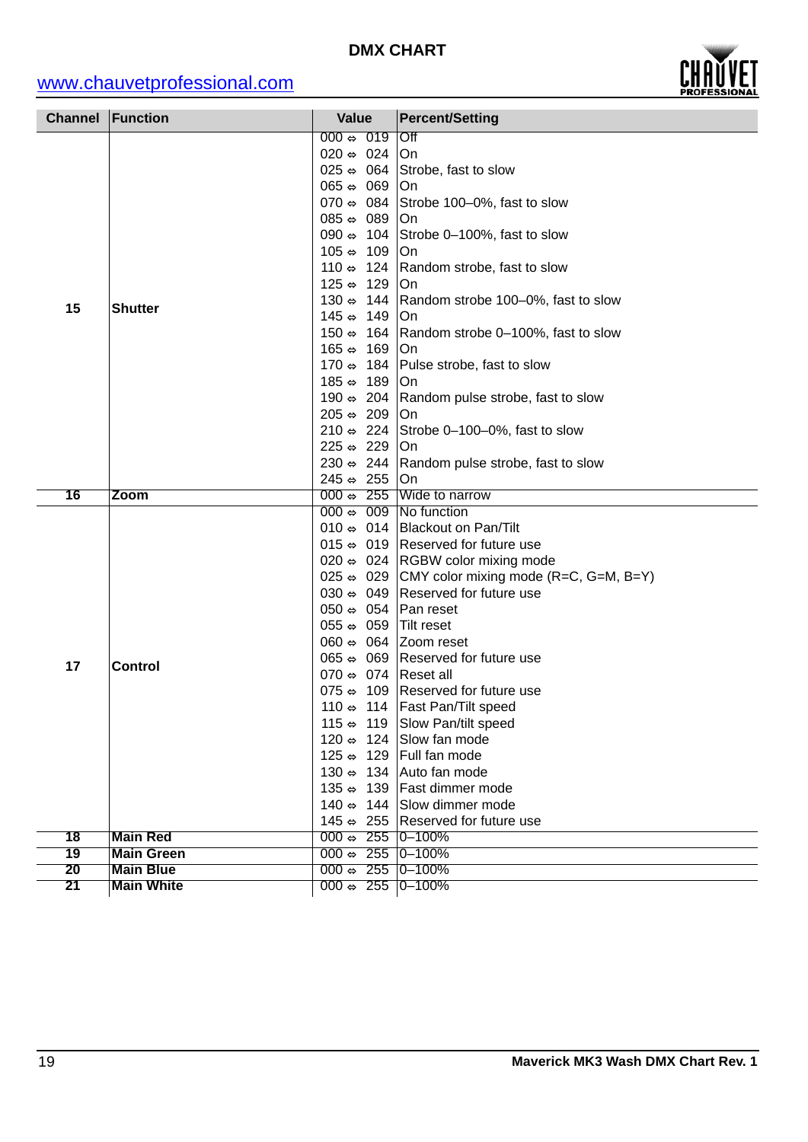

|                 | <b>Channel Function</b> | <b>Value</b>                          | <b>Percent/Setting</b>                                          |
|-----------------|-------------------------|---------------------------------------|-----------------------------------------------------------------|
|                 |                         | $000 \Leftrightarrow 019$             | $\overline{Off}$                                                |
|                 |                         | $020 \Leftrightarrow 024$             | On                                                              |
|                 |                         | $025 \Leftrightarrow 064$             | Strobe, fast to slow                                            |
|                 |                         | $065 \Leftrightarrow 069$             | On                                                              |
|                 |                         | $070 \Leftrightarrow 084$             | Strobe 100-0%, fast to slow                                     |
|                 |                         | $085 \Leftrightarrow 089$             | On                                                              |
|                 |                         | 090 $\Leftrightarrow$ 104             | Strobe 0-100%, fast to slow                                     |
|                 |                         | 105 $\Leftrightarrow$<br>109          | On                                                              |
|                 |                         |                                       | 110 $\Leftrightarrow$ 124 Random strobe, fast to slow           |
|                 |                         | 125 $\Leftrightarrow$<br>129          | On                                                              |
| 15              | <b>Shutter</b>          | 130 $\Leftrightarrow$                 | 144 Random strobe 100-0%, fast to slow                          |
|                 |                         | 145 ⇔<br>149                          | On                                                              |
|                 |                         | 150 ⇔                                 | 164 Random strobe 0-100%, fast to slow                          |
|                 |                         | 165 ⇔<br>169                          | On                                                              |
|                 |                         | 170 $\Leftrightarrow$                 | 184 Pulse strobe, fast to slow                                  |
|                 |                         | 185 ⇔<br>189                          | On                                                              |
|                 |                         |                                       | 190 ↔ 204   Random pulse strobe, fast to slow                   |
|                 |                         | $205 \Leftrightarrow 209$             | ∣On                                                             |
|                 |                         |                                       | 210 ↔ 224   Strobe 0-100-0%, fast to slow                       |
|                 |                         | $225 \Leftrightarrow 229$             | On                                                              |
|                 |                         |                                       | 230 ↔ 244   Random pulse strobe, fast to slow                   |
|                 |                         | $245 \Leftrightarrow 255$             | On                                                              |
| 16              | Zoom                    |                                       | 000 $\Leftrightarrow$ 255 Wide to narrow                        |
|                 |                         | $000 \Leftrightarrow$                 | 009 No function                                                 |
|                 |                         |                                       | 010 ↔ 014 Blackout on Pan/Tilt                                  |
|                 |                         |                                       | 015 $\Leftrightarrow$ 019 Reserved for future use               |
|                 |                         |                                       | 020 $\Leftrightarrow$ 024 RGBW color mixing mode                |
|                 |                         |                                       | 025 $\Leftrightarrow$ 029 CMY color mixing mode (R=C, G=M, B=Y) |
|                 |                         |                                       | 030 $\Leftrightarrow$ 049 Reserved for future use               |
|                 |                         | 050 $\Leftrightarrow$ 054   Pan reset |                                                                 |
|                 |                         | $055 \Leftrightarrow 059$             | Tilt reset                                                      |
|                 |                         | 060 $\Leftrightarrow$ 064 Zoom reset  |                                                                 |
| 17              | <b>Control</b>          |                                       | 065 $\Leftrightarrow$ 069 Reserved for future use               |
|                 |                         | 070 $\Leftrightarrow$ 074 Reset all   | 075 $\Leftrightarrow$ 109 Reserved for future use               |
|                 |                         |                                       | 110 $\Leftrightarrow$ 114   Fast Pan/Tilt speed                 |
|                 |                         |                                       | 115 ↔ 119 Slow Pan/tilt speed                                   |
|                 |                         |                                       | 120 $\Leftrightarrow$ 124 Slow fan mode                         |
|                 |                         |                                       | 125 $\Leftrightarrow$ 129 Full fan mode                         |
|                 |                         |                                       | 130 $\Leftrightarrow$ 134 Auto fan mode                         |
|                 |                         |                                       | 135 $\Leftrightarrow$ 139 Fast dimmer mode                      |
|                 |                         |                                       | 140 $\Leftrightarrow$ 144 Slow dimmer mode                      |
|                 |                         |                                       | 145 $\Leftrightarrow$ 255 Reserved for future use               |
| $\overline{18}$ | <b>Main Red</b>         | 000 $\Leftrightarrow$ 255 0-100%      |                                                                 |
| 19              | <b>Main Green</b>       | 000 $\Leftrightarrow$ 255 0-100%      |                                                                 |
| 20              | <b>Main Blue</b>        | 000 $\Leftrightarrow$ 255 0-100%      |                                                                 |
| 21              | <b>Main White</b>       | 000 $\Leftrightarrow$ 255 0-100%      |                                                                 |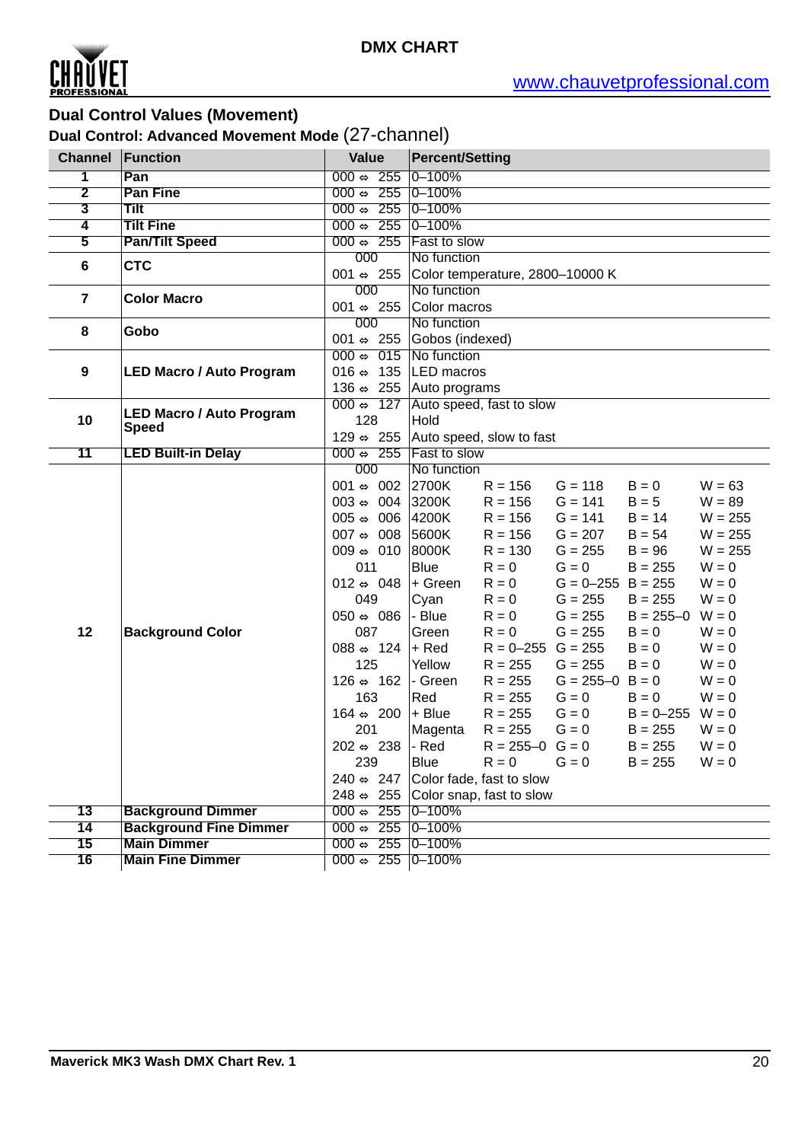

#### **Dual Control Values (Movement)**

**Dual Control: Advanced Movement Mode** (27-channel)

| <b>Channel</b>          | Function                        | <b>Value</b>                                       | <b>Percent/Setting</b>                 |                                 |                                  |                       |                    |
|-------------------------|---------------------------------|----------------------------------------------------|----------------------------------------|---------------------------------|----------------------------------|-----------------------|--------------------|
| 1                       | Pan                             | $000 \Leftrightarrow 255$                          | $0 - 100%$                             |                                 |                                  |                       |                    |
| $\overline{\mathbf{2}}$ | <b>Pan Fine</b>                 | $000 \Leftrightarrow 255$                          | $0 - 100%$                             |                                 |                                  |                       |                    |
| 3                       | <b>Tilt</b>                     | $000 \Leftrightarrow 255$                          | $0 - 100%$                             |                                 |                                  |                       |                    |
| $\overline{\mathbf{4}}$ | <b>Tilt Fine</b>                | $000 \Leftrightarrow 255$                          | $ 0 - 100%$                            |                                 |                                  |                       |                    |
| $\overline{5}$          | <b>Pan/Tilt Speed</b>           | $000 \Leftrightarrow 255$                          | <b>Fast to slow</b>                    |                                 |                                  |                       |                    |
| $6\phantom{1}$          | <b>CTC</b>                      | 000                                                | No function                            |                                 |                                  |                       |                    |
|                         |                                 | 001 $\Leftrightarrow$ 255                          |                                        | Color temperature, 2800-10000 K |                                  |                       |                    |
| $\overline{7}$          | <b>Color Macro</b>              | 000                                                | No function                            |                                 |                                  |                       |                    |
|                         |                                 | 001 $\Leftrightarrow$ 255                          | Color macros                           |                                 |                                  |                       |                    |
| 8                       | Gobo                            | 000                                                | No function                            |                                 |                                  |                       |                    |
|                         |                                 | 001 $\Leftrightarrow$ 255                          | Gobos (indexed)                        |                                 |                                  |                       |                    |
|                         |                                 | 000 $\Leftrightarrow$ 015 No function              |                                        |                                 |                                  |                       |                    |
| 9                       | <b>LED Macro / Auto Program</b> | $016 \Leftrightarrow 135$                          | <b>LED</b> macros                      |                                 |                                  |                       |                    |
|                         |                                 | 136 $\Leftrightarrow$ 255 Auto programs            |                                        |                                 |                                  |                       |                    |
|                         | <b>LED Macro / Auto Program</b> | 000 $\Leftrightarrow$ 127 Auto speed, fast to slow |                                        |                                 |                                  |                       |                    |
| 10                      | <b>Speed</b>                    | 128                                                | Hold                                   |                                 |                                  |                       |                    |
|                         |                                 | $129 \Leftrightarrow 255$                          |                                        | Auto speed, slow to fast        |                                  |                       |                    |
| $\overline{11}$         | <b>LED Built-in Delay</b>       |                                                    | 000 $\Leftrightarrow$ 255 Fast to slow |                                 |                                  |                       |                    |
|                         |                                 | 000                                                | No function                            |                                 |                                  |                       |                    |
|                         |                                 | 001 $\Leftrightarrow$ 002                          | 2700K                                  | $R = 156$                       | $G = 118$                        | $B = 0$               | $W = 63$           |
|                         |                                 | 003 $\Leftrightarrow$ 004 3200K                    |                                        | $R = 156$                       | $G = 141$                        | $B = 5$               | $W = 89$           |
|                         |                                 | 005 $\Leftrightarrow$ 006 4200K                    |                                        | $R = 156$                       | $G = 141$                        | $B = 14$              | $W = 255$          |
|                         |                                 | 007 $\Leftrightarrow$ 008                          | 5600K                                  | $R = 156$                       | $G = 207$                        | $B = 54$              | $W = 255$          |
|                         |                                 | $009 \Leftrightarrow 010$                          | 8000K                                  | $R = 130$                       | $G = 255$                        | $B = 96$              | $W = 255$          |
|                         |                                 | 011                                                | Blue                                   | $R = 0$                         | $G = 0$                          | $B = 255$             | $W = 0$            |
|                         |                                 | 012 $\Leftrightarrow$ 048                          | + Green                                | $R = 0$                         | $G = 0 - 255$ B = 255            |                       | $W = 0$            |
|                         |                                 | 049                                                | Cyan                                   | $R = 0$                         | $G = 255$                        | $B = 255$             | $W = 0$            |
|                         |                                 | $050 \Leftrightarrow 086$                          | - Blue                                 | $R = 0$                         | $G = 255$                        | $B = 255 - 0$ $W = 0$ |                    |
| 12                      | <b>Background Color</b>         | 087                                                | Green                                  | $R = 0$                         | $G = 255$                        | $B = 0$               | $W = 0$            |
|                         |                                 | $088 \Leftrightarrow 124$                          | + Red                                  | $R = 0 - 255$ G = 255           |                                  | $B = 0$               | $W = 0$            |
|                         |                                 | 125<br>$126 \Leftrightarrow 162$                   | Yellow<br>- Green                      | $R = 255$<br>$R = 255$          | $G = 255$<br>$G = 255 - 0$ B = 0 | $B = 0$               | $W = 0$<br>$W = 0$ |
|                         |                                 | 163                                                | Red                                    | $R = 255$                       | $G = 0$                          | $B = 0$               | $W = 0$            |
|                         |                                 | $164 \Leftrightarrow 200$                          | + Blue                                 | $R = 255$                       | $G = 0$                          | $B = 0 - 255$ W = 0   |                    |
|                         |                                 | 201                                                | Magenta                                | $R = 255$                       | $G = 0$                          | $B = 255$             | $W = 0$            |
|                         |                                 | $202 \Leftrightarrow 238$                          | l- Red                                 | $R = 255 - 0$ G = 0             |                                  | $B = 255$             | $W = 0$            |
|                         |                                 | 239                                                | <b>Blue</b>                            | $R = 0$                         | $G = 0$                          | $B = 255$             | $W = 0$            |
|                         |                                 | 240 $\Leftrightarrow$ 247                          |                                        | Color fade, fast to slow        |                                  |                       |                    |
|                         |                                 | $248 \Leftrightarrow 255$                          |                                        | Color snap, fast to slow        |                                  |                       |                    |
| $\overline{13}$         | <b>Background Dimmer</b>        | $000 \Leftrightarrow 255$                          | $0 - 100%$                             |                                 |                                  |                       |                    |
| 14                      | <b>Background Fine Dimmer</b>   | $000 \Leftrightarrow 255$                          | $0 - 100%$                             |                                 |                                  |                       |                    |
| 15                      | <b>Main Dimmer</b>              | $000 \Leftrightarrow 255$                          | $ 0 - 100\%$                           |                                 |                                  |                       |                    |
| 16                      | <b>Main Fine Dimmer</b>         | 000 $\Leftrightarrow$ 255 0-100%                   |                                        |                                 |                                  |                       |                    |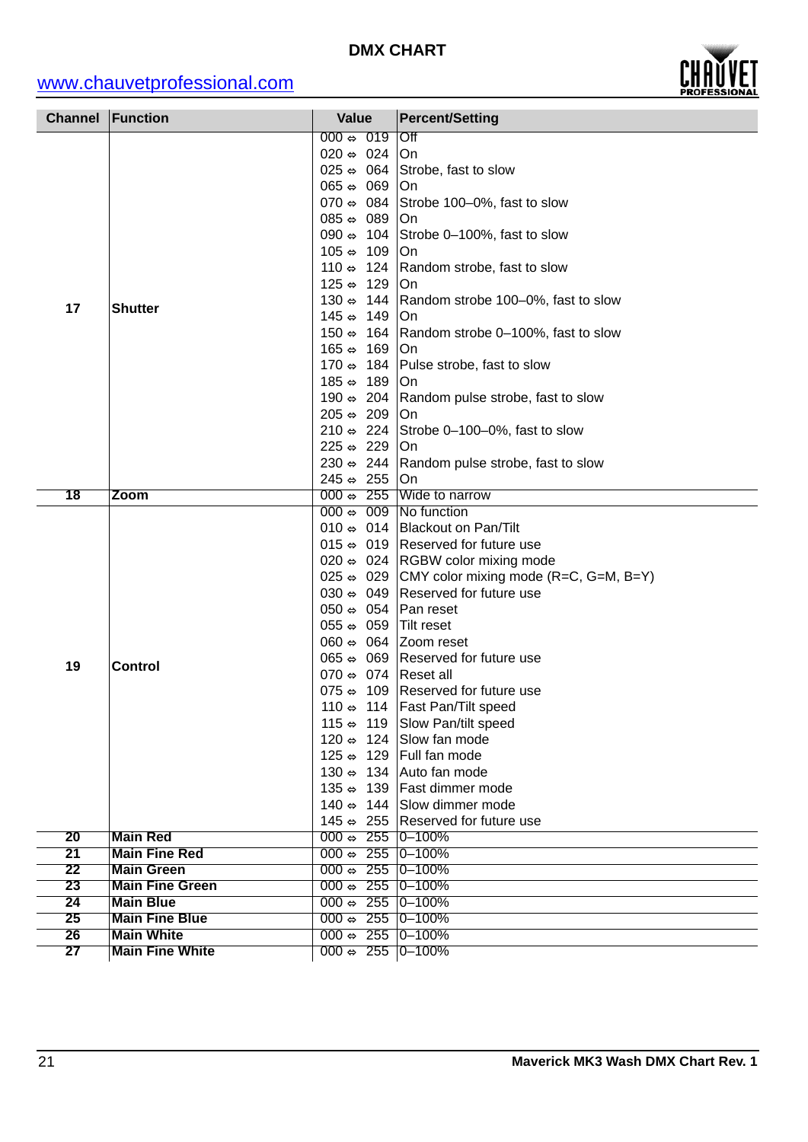

| <b>Channel Function</b> |                        | <b>Value</b>                          | <b>Percent/Setting</b>                                          |
|-------------------------|------------------------|---------------------------------------|-----------------------------------------------------------------|
|                         |                        | $000 \Leftrightarrow 019$             | $\overline{C}$                                                  |
|                         |                        | 020 $\Leftrightarrow$ 024 On          |                                                                 |
|                         |                        |                                       | 025 $\Leftrightarrow$ 064 Strobe, fast to slow                  |
|                         |                        | $065 \Leftrightarrow 069$             | On                                                              |
|                         |                        |                                       | 070 $\Leftrightarrow$ 084 Strobe 100-0%, fast to slow           |
|                         |                        | $085 \Leftrightarrow 089$             | ∣On                                                             |
|                         |                        |                                       | 090 ↔ 104 Strobe 0-100%, fast to slow                           |
|                         |                        | 105 $\Leftrightarrow$<br>109   On     |                                                                 |
|                         |                        |                                       | 110 $\Leftrightarrow$ 124   Random strobe, fast to slow         |
|                         |                        | $125 \Leftrightarrow 129$             | <b>On</b>                                                       |
|                         |                        |                                       | 130 $\Leftrightarrow$ 144   Random strobe 100–0%, fast to slow  |
| 17                      | <b>Shutter</b>         | 145 $\Leftrightarrow$<br>149   On     |                                                                 |
|                         |                        | 150 $\Leftrightarrow$                 | 164 Random strobe 0-100%, fast to slow                          |
|                         |                        | 165 ⇔<br>169   On                     |                                                                 |
|                         |                        | 170 $\Leftrightarrow$                 | 184 Pulse strobe, fast to slow                                  |
|                         |                        | 185 ↔ 189 On                          |                                                                 |
|                         |                        |                                       | 190 ↔ 204   Random pulse strobe, fast to slow                   |
|                         |                        | 205 ↔ 209 On                          |                                                                 |
|                         |                        |                                       | 210 $\Leftrightarrow$ 224 Strobe 0-100-0%, fast to slow         |
|                         |                        | $225 \Leftrightarrow 229$             | On                                                              |
|                         |                        |                                       | 230 $\Leftrightarrow$ 244 Random pulse strobe, fast to slow     |
|                         |                        | $245 \Leftrightarrow 255$             | On                                                              |
| $\overline{18}$         | Zoom                   |                                       | 000 $\Leftrightarrow$ 255 Wide to narrow                        |
|                         |                        | $000 \Leftrightarrow$                 | 009 No function                                                 |
|                         |                        |                                       | 010 ↔ 014 Blackout on Pan/Tilt                                  |
|                         |                        |                                       | 015 $\Leftrightarrow$ 019 Reserved for future use               |
|                         |                        |                                       | 020 $\Leftrightarrow$ 024 RGBW color mixing mode                |
|                         |                        |                                       | 025 $\Leftrightarrow$ 029 CMY color mixing mode (R=C, G=M, B=Y) |
|                         |                        |                                       | 030 $\Leftrightarrow$ 049 Reserved for future use               |
|                         |                        | 050 $\Leftrightarrow$ 054   Pan reset |                                                                 |
|                         |                        | 055 $\Leftrightarrow$ 059 Tilt reset  |                                                                 |
|                         |                        | 060 $\Leftrightarrow$ 064 Zoom reset  |                                                                 |
| 19                      | <b>Control</b>         |                                       | 065 $\Leftrightarrow$ 069 Reserved for future use               |
|                         |                        | 070 $\Leftrightarrow$ 074 Reset all   |                                                                 |
|                         |                        |                                       | 075 $\Leftrightarrow$ 109 Reserved for future use               |
|                         |                        |                                       | 110 $\Leftrightarrow$ 114   Fast Pan/Tilt speed                 |
|                         |                        |                                       | 115 ↔ 119 Slow Pan/tilt speed                                   |
|                         |                        |                                       | 120 $\Leftrightarrow$ 124 Slow fan mode                         |
|                         |                        |                                       | 125 $\Leftrightarrow$ 129 Full fan mode                         |
|                         |                        |                                       | 130 $\Leftrightarrow$ 134 Auto fan mode                         |
|                         |                        |                                       | 135 $\Leftrightarrow$ 139   Fast dimmer mode                    |
|                         |                        |                                       | 140 $\Leftrightarrow$ 144 Slow dimmer mode                      |
|                         |                        |                                       | 145 $\Leftrightarrow$ 255 Reserved for future use               |
| 20                      | <b>Main Red</b>        | 000 $\Leftrightarrow$ 255 0-100%      |                                                                 |
| 21                      | <b>Main Fine Red</b>   | 000 $\Leftrightarrow$ 255 0-100%      |                                                                 |
| 22                      | <b>Main Green</b>      | 000 $\Leftrightarrow$ 255 0-100%      |                                                                 |
| 23                      | <b>Main Fine Green</b> | 000 $\Leftrightarrow$ 255 0-100%      |                                                                 |
| 24                      | <b>Main Blue</b>       | 000 $\Leftrightarrow$ 255 0-100%      |                                                                 |
| 25                      | <b>Main Fine Blue</b>  | 000 $\Leftrightarrow$ 255 0-100%      |                                                                 |
| 26                      | <b>Main White</b>      | 000 $\Leftrightarrow$ 255 0-100%      |                                                                 |
| 27                      | <b>Main Fine White</b> | 000 $\Leftrightarrow$ 255 0-100%      |                                                                 |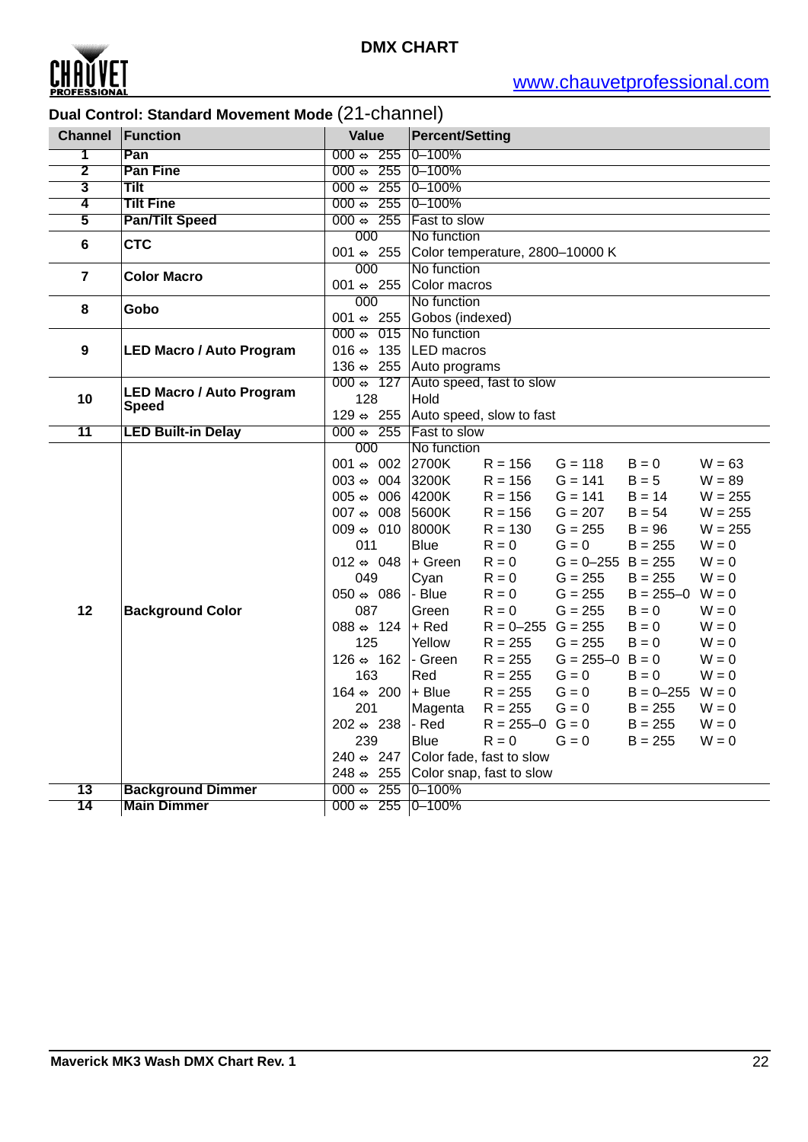

# **Dual Control: Standard Movement Mode** (21-channel)

| <b>Channel</b>   | Function                                        | <b>Value</b>                 | <b>Percent/Setting</b> |                                 |                       |                     |           |
|------------------|-------------------------------------------------|------------------------------|------------------------|---------------------------------|-----------------------|---------------------|-----------|
| 1                | Pan                                             | $000 \Leftrightarrow 255$    | $0 - 100%$             |                                 |                       |                     |           |
| 2                | <b>Pan Fine</b>                                 | 255<br>000 $\Leftrightarrow$ | $0 - 100%$             |                                 |                       |                     |           |
| 3                | <b>Tilt</b>                                     | $000 \Leftrightarrow 255$    | $0 - 100%$             |                                 |                       |                     |           |
| 4                | <b>Tilt Fine</b>                                | $000 \Leftrightarrow 255$    | $0 - 100%$             |                                 |                       |                     |           |
| 5                | <b>Pan/Tilt Speed</b>                           | $000 \Leftrightarrow 255$    | Fast to slow           |                                 |                       |                     |           |
| $\bf 6$          | <b>CTC</b>                                      | 000                          | No function            |                                 |                       |                     |           |
|                  |                                                 | 001 $\Leftrightarrow$ 255    |                        | Color temperature, 2800-10000 K |                       |                     |           |
| $\overline{7}$   | <b>Color Macro</b>                              | 000                          | No function            |                                 |                       |                     |           |
|                  |                                                 | 001 $\Leftrightarrow$ 255    | Color macros           |                                 |                       |                     |           |
| 8                | Gobo                                            | 000                          | No function            |                                 |                       |                     |           |
|                  |                                                 | 001 $\Leftrightarrow$ 255    | Gobos (indexed)        |                                 |                       |                     |           |
|                  |                                                 | $000 \Leftrightarrow 015$    | No function            |                                 |                       |                     |           |
| $\boldsymbol{9}$ | <b>LED Macro / Auto Program</b>                 | 016 $\Leftrightarrow$ 135    | <b>LED</b> macros      |                                 |                       |                     |           |
|                  |                                                 | $136 \Leftrightarrow 255$    | Auto programs          |                                 |                       |                     |           |
|                  |                                                 | $000 \Leftrightarrow 127$    |                        | Auto speed, fast to slow        |                       |                     |           |
| 10               | <b>LED Macro / Auto Program</b><br><b>Speed</b> | 128                          | Hold                   |                                 |                       |                     |           |
|                  |                                                 | $129 \Leftrightarrow 255$    |                        | Auto speed, slow to fast        |                       |                     |           |
| $\overline{11}$  | <b>LED Built-in Delay</b>                       | 255<br>000 ⇔                 | Fast to slow           |                                 |                       |                     |           |
|                  |                                                 | 000                          | No function            |                                 |                       |                     |           |
|                  |                                                 | 001 $\Leftrightarrow$ 002    | 2700K                  | $R = 156$                       | $G = 118$             | $B = 0$             | $W = 63$  |
|                  |                                                 | $003 \Leftrightarrow 004$    | 3200K                  | $R = 156$                       | $G = 141$             | $B = 5$             | $W = 89$  |
|                  |                                                 | $005 \Leftrightarrow 006$    | 4200K                  | $R = 156$                       | $G = 141$             | $B = 14$            | $W = 255$ |
|                  |                                                 | 007 $\Leftrightarrow$ 008    | 5600K                  | $R = 156$                       | $G = 207$             | $B = 54$            | $W = 255$ |
|                  |                                                 | $009 \Leftrightarrow 010$    | 8000K                  | $R = 130$                       | $G = 255$             | $B = 96$            | $W = 255$ |
|                  |                                                 | 011                          | <b>Blue</b>            | $R = 0$                         | $G = 0$               | $B = 255$           | $W = 0$   |
|                  |                                                 | 012 $\Leftrightarrow$ 048    | + Green                | $R = 0$                         | $G = 0 - 255$ B = 255 |                     | $W = 0$   |
|                  |                                                 | 049                          | Cyan                   | $R = 0$                         | $G = 255$             | $B = 255$           | $W = 0$   |
|                  |                                                 | $050 \Leftrightarrow 086$    | - Blue                 | $R = 0$                         | $G = 255$             | $B = 255 - 0$ W = 0 |           |
| 12               | <b>Background Color</b>                         | 087                          | Green                  | $R = 0$                         | $G = 255$             | $B = 0$             | $W = 0$   |
|                  |                                                 | 088 $\Leftrightarrow$ 124    | + Red                  | $R = 0 - 255$ G = 255           |                       | $B = 0$             | $W = 0$   |
|                  |                                                 | 125                          | Yellow                 | $R = 255$                       | $G = 255$             | $B = 0$             | $W = 0$   |
|                  |                                                 | 126 $\Leftrightarrow$ 162    | - Green                | $R = 255$                       | $G = 255 - 0$ B = 0   |                     | $W = 0$   |
|                  |                                                 | 163                          | Red                    | $R = 255$                       | $G = 0$               | $B = 0$             | $W = 0$   |
|                  |                                                 | 164 $\Leftrightarrow$ 200    | + Blue                 | $R = 255$                       | $G = 0$               | $B = 0 - 255$ W = 0 |           |
|                  |                                                 | 201                          | Magenta                | $R = 255$                       | $G = 0$               | $B = 255$           | $W = 0$   |
|                  |                                                 | 202 $\Leftrightarrow$ 238    | - Red                  | $R = 255 - 0$                   | $G = 0$               | $B = 255$           | $W = 0$   |
|                  |                                                 | 239                          | <b>Blue</b>            | $R = 0$                         | $G = 0$               | $B = 255$           | $W = 0$   |
|                  |                                                 | $240 \Leftrightarrow 247$    |                        | Color fade, fast to slow        |                       |                     |           |
|                  |                                                 | $248 \Leftrightarrow 255$    |                        | Color snap, fast to slow        |                       |                     |           |
| 13               | <b>Background Dimmer</b>                        | $000 \Leftrightarrow 255$    | $0 - 100%$             |                                 |                       |                     |           |
| 14               | <b>Main Dimmer</b>                              | $000 \Leftrightarrow 255$    | $0 - 100%$             |                                 |                       |                     |           |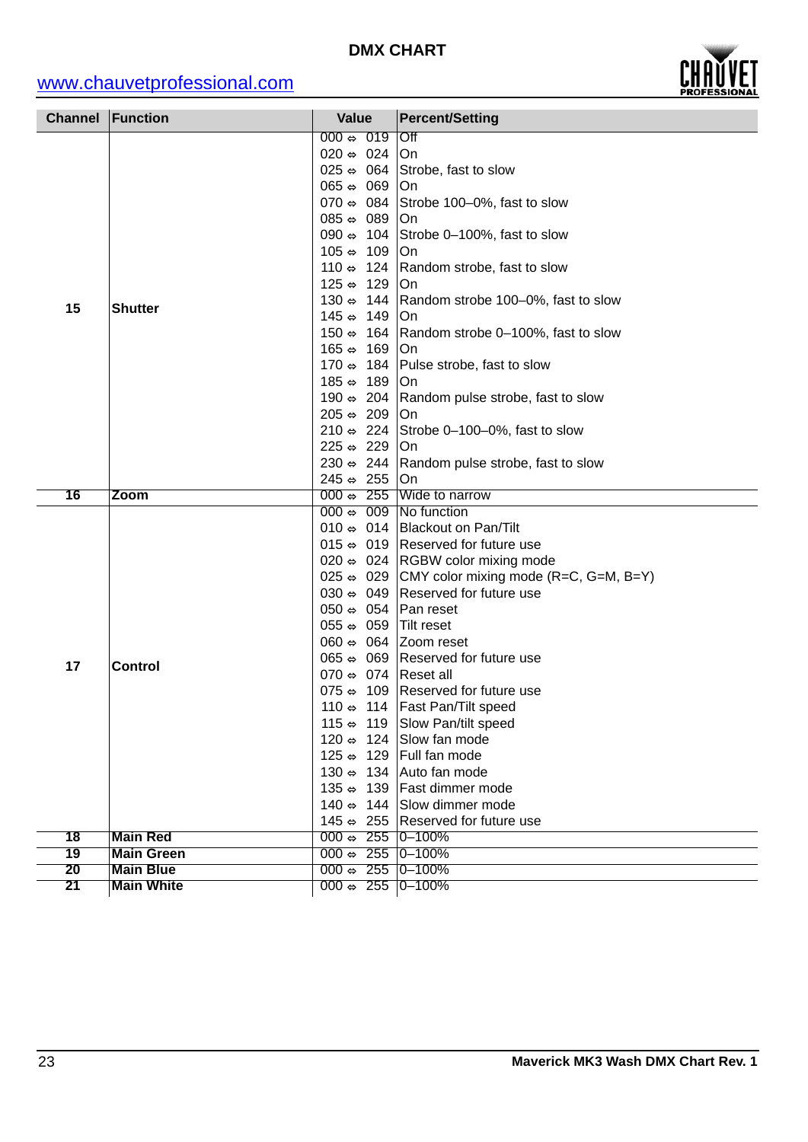

|                 | <b>Channel Function</b> | <b>Value</b>                          | <b>Percent/Setting</b>                                          |
|-----------------|-------------------------|---------------------------------------|-----------------------------------------------------------------|
|                 |                         | $000 \Leftrightarrow 019$             | $\overline{Off}$                                                |
|                 |                         | $020 \Leftrightarrow 024$             | On                                                              |
|                 |                         | $025 \Leftrightarrow 064$             | Strobe, fast to slow                                            |
|                 |                         | $065 \Leftrightarrow 069$             | On                                                              |
|                 |                         | $070 \Leftrightarrow 084$             | Strobe 100-0%, fast to slow                                     |
|                 |                         | $085 \Leftrightarrow 089$             | On                                                              |
|                 |                         | 090 $\Leftrightarrow$ 104             | Strobe 0-100%, fast to slow                                     |
|                 |                         | 105 $\Leftrightarrow$<br>109          | On                                                              |
|                 |                         |                                       | 110 $\Leftrightarrow$ 124 Random strobe, fast to slow           |
|                 |                         | 125 $\Leftrightarrow$<br>129          | On                                                              |
| 15              | <b>Shutter</b>          | 130 $\Leftrightarrow$                 | 144 Random strobe 100-0%, fast to slow                          |
|                 |                         | 145 ⇔<br>149                          | On                                                              |
|                 |                         | 150 ⇔                                 | 164 Random strobe 0-100%, fast to slow                          |
|                 |                         | 165 ⇔<br>169                          | On                                                              |
|                 |                         | 170 $\Leftrightarrow$                 | 184 Pulse strobe, fast to slow                                  |
|                 |                         | 185 ⇔<br>189                          | On                                                              |
|                 |                         |                                       | 190 ↔ 204   Random pulse strobe, fast to slow                   |
|                 |                         | $205 \Leftrightarrow 209$             | ∣On                                                             |
|                 |                         |                                       | 210 ↔ 224   Strobe 0-100-0%, fast to slow                       |
|                 |                         | $225 \Leftrightarrow 229$             | On                                                              |
|                 |                         |                                       | 230 ↔ 244   Random pulse strobe, fast to slow                   |
|                 |                         | $245 \Leftrightarrow 255$             | On                                                              |
| 16              | Zoom                    |                                       | 000 $\Leftrightarrow$ 255 Wide to narrow                        |
|                 |                         | $000 \Leftrightarrow$                 | 009 No function                                                 |
|                 |                         |                                       | 010 ↔ 014 Blackout on Pan/Tilt                                  |
|                 |                         |                                       | 015 $\Leftrightarrow$ 019 Reserved for future use               |
|                 |                         |                                       | 020 $\Leftrightarrow$ 024 RGBW color mixing mode                |
|                 |                         |                                       | 025 $\Leftrightarrow$ 029 CMY color mixing mode (R=C, G=M, B=Y) |
|                 |                         |                                       | 030 $\Leftrightarrow$ 049 Reserved for future use               |
|                 |                         | 050 $\Leftrightarrow$ 054   Pan reset |                                                                 |
|                 |                         | $055 \Leftrightarrow 059$             | Tilt reset                                                      |
|                 |                         | 060 $\Leftrightarrow$ 064 Zoom reset  |                                                                 |
| 17              | <b>Control</b>          |                                       | 065 $\Leftrightarrow$ 069 Reserved for future use               |
|                 |                         | 070 $\Leftrightarrow$ 074 Reset all   | 075 $\Leftrightarrow$ 109 Reserved for future use               |
|                 |                         |                                       | 110 $\Leftrightarrow$ 114   Fast Pan/Tilt speed                 |
|                 |                         |                                       | 115 ↔ 119 Slow Pan/tilt speed                                   |
|                 |                         |                                       | 120 $\Leftrightarrow$ 124 Slow fan mode                         |
|                 |                         |                                       | 125 $\Leftrightarrow$ 129 Full fan mode                         |
|                 |                         |                                       | 130 $\Leftrightarrow$ 134 Auto fan mode                         |
|                 |                         |                                       | 135 $\Leftrightarrow$ 139 Fast dimmer mode                      |
|                 |                         |                                       | 140 $\Leftrightarrow$ 144 Slow dimmer mode                      |
|                 |                         |                                       | 145 $\Leftrightarrow$ 255 Reserved for future use               |
| $\overline{18}$ | <b>Main Red</b>         | 000 $\Leftrightarrow$ 255 0-100%      |                                                                 |
| 19              | <b>Main Green</b>       | 000 $\Leftrightarrow$ 255 0-100%      |                                                                 |
| 20              | <b>Main Blue</b>        | 000 $\Leftrightarrow$ 255 0-100%      |                                                                 |
| 21              | <b>Main White</b>       | 000 $\Leftrightarrow$ 255 0-100%      |                                                                 |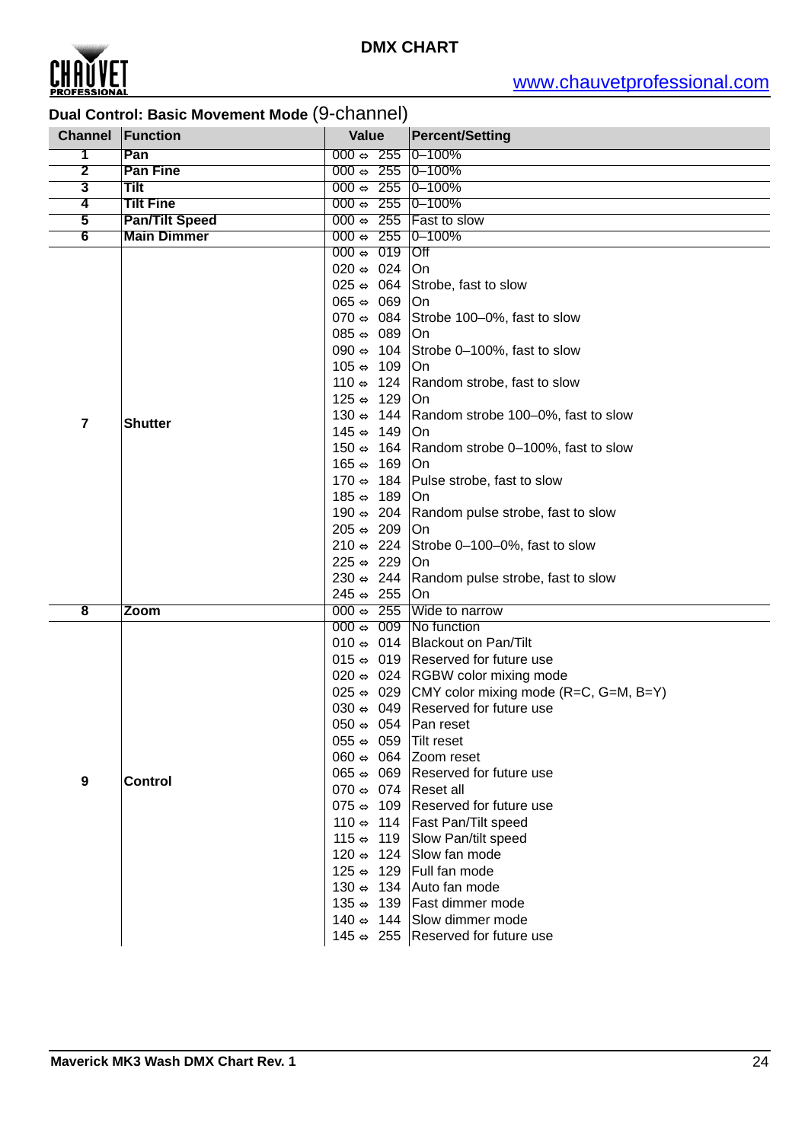

|                         | Dual Control: Basic Movement Mode (9-channel) |                                                                                                                                                                                                                                                                                                                                                                                                                                                                                                                                                          |                                                                                                                                                                                                                                                                                                                                                                                                                                                                                                                                                                                                                                                     |  |  |
|-------------------------|-----------------------------------------------|----------------------------------------------------------------------------------------------------------------------------------------------------------------------------------------------------------------------------------------------------------------------------------------------------------------------------------------------------------------------------------------------------------------------------------------------------------------------------------------------------------------------------------------------------------|-----------------------------------------------------------------------------------------------------------------------------------------------------------------------------------------------------------------------------------------------------------------------------------------------------------------------------------------------------------------------------------------------------------------------------------------------------------------------------------------------------------------------------------------------------------------------------------------------------------------------------------------------------|--|--|
| <b>Channel Function</b> |                                               | Value                                                                                                                                                                                                                                                                                                                                                                                                                                                                                                                                                    | <b>Percent/Setting</b>                                                                                                                                                                                                                                                                                                                                                                                                                                                                                                                                                                                                                              |  |  |
| 1                       | Pan                                           | $000 \Leftrightarrow 255$                                                                                                                                                                                                                                                                                                                                                                                                                                                                                                                                | $0 - 100%$                                                                                                                                                                                                                                                                                                                                                                                                                                                                                                                                                                                                                                          |  |  |
| $\overline{2}$          | <b>Pan Fine</b>                               | 000 $\Leftrightarrow$ 255 0-100%                                                                                                                                                                                                                                                                                                                                                                                                                                                                                                                         |                                                                                                                                                                                                                                                                                                                                                                                                                                                                                                                                                                                                                                                     |  |  |
| $\overline{\mathbf{3}}$ | <b>Tilt</b>                                   | 000 $\Leftrightarrow$ 255 0-100%                                                                                                                                                                                                                                                                                                                                                                                                                                                                                                                         |                                                                                                                                                                                                                                                                                                                                                                                                                                                                                                                                                                                                                                                     |  |  |
| $\overline{\mathbf{4}}$ | <b>Tilt Fine</b>                              | 000 $\Leftrightarrow$ 255 0-100%                                                                                                                                                                                                                                                                                                                                                                                                                                                                                                                         |                                                                                                                                                                                                                                                                                                                                                                                                                                                                                                                                                                                                                                                     |  |  |
| $\overline{\mathbf{5}}$ | <b>Pan/Tilt Speed</b>                         | $000 \Leftrightarrow 255$                                                                                                                                                                                                                                                                                                                                                                                                                                                                                                                                | <b>Fast to slow</b>                                                                                                                                                                                                                                                                                                                                                                                                                                                                                                                                                                                                                                 |  |  |
| $6\overline{6}$         | <b>Main Dimmer</b>                            | 000 $\Leftrightarrow$ 255 0-100%                                                                                                                                                                                                                                                                                                                                                                                                                                                                                                                         |                                                                                                                                                                                                                                                                                                                                                                                                                                                                                                                                                                                                                                                     |  |  |
| $\overline{7}$          | <b>Shutter</b>                                | $000 \div 019$<br>$020 \Leftrightarrow 024$<br>$025 \Leftrightarrow 064$<br>$065 \Leftrightarrow 069$<br>070 $\Leftrightarrow$ 084<br>$085 \Leftrightarrow 089$<br>090 $\Leftrightarrow$ 104<br>$105 \Leftrightarrow 109$<br>$110 \Leftrightarrow 124$<br>$125 \Leftrightarrow 129$<br>$130 \Leftrightarrow 144$<br>$145 \Leftrightarrow 149$<br>$150 \Leftrightarrow 164$<br>$165 \Leftrightarrow 169$<br>170 $\Leftrightarrow$ 184<br>$185 \Leftrightarrow 189$<br>190 $\Leftrightarrow$ 204<br>$205 \Leftrightarrow 209$<br>$210 \Leftrightarrow 224$ | <b>Off</b><br>On<br>Strobe, fast to slow<br>On<br>Strobe 100-0%, fast to slow<br>On<br>Strobe 0-100%, fast to slow<br>On<br>Random strobe, fast to slow<br>On<br>Random strobe 100-0%, fast to slow<br>On<br>Random strobe 0-100%, fast to slow<br>On<br>Pulse strobe, fast to slow<br>On<br>Random pulse strobe, fast to slow<br>On<br>Strobe 0-100-0%, fast to slow                                                                                                                                                                                                                                                                               |  |  |
|                         |                                               | $225 \Leftrightarrow 229$<br>$230 \Leftrightarrow 244$<br>$245 \Leftrightarrow 255$                                                                                                                                                                                                                                                                                                                                                                                                                                                                      | On<br>Random pulse strobe, fast to slow                                                                                                                                                                                                                                                                                                                                                                                                                                                                                                                                                                                                             |  |  |
| 8                       | Zoom                                          | $000 \Leftrightarrow 255$                                                                                                                                                                                                                                                                                                                                                                                                                                                                                                                                | On<br>Wide to narrow                                                                                                                                                                                                                                                                                                                                                                                                                                                                                                                                                                                                                                |  |  |
|                         |                                               | 000 $\Leftrightarrow$ 009 No function                                                                                                                                                                                                                                                                                                                                                                                                                                                                                                                    |                                                                                                                                                                                                                                                                                                                                                                                                                                                                                                                                                                                                                                                     |  |  |
| $\boldsymbol{9}$        | <b>Control</b>                                | 010 $\Leftrightarrow$ 014<br>050 $\Leftrightarrow$ 054   Pan reset<br>055 $\Leftrightarrow$ 059 Tilt reset<br>060 $\Leftrightarrow$ 064 Zoom reset<br>$070 \Leftrightarrow 074$<br>$075 \Leftrightarrow 109$<br>110 $\Leftrightarrow$ 114<br>115 $\Leftrightarrow$ 119<br>$120 \Leftrightarrow 124$<br>$125 \Leftrightarrow 129$                                                                                                                                                                                                                         | <b>Blackout on Pan/Tilt</b><br>015 $\Leftrightarrow$ 019 Reserved for future use<br>020 $\Leftrightarrow$ 024 RGBW color mixing mode<br>025 $\Leftrightarrow$ 029 CMY color mixing mode (R=C, G=M, B=Y)<br>030 $\Leftrightarrow$ 049 Reserved for future use<br>065 $\Leftrightarrow$ 069 Reserved for future use<br>Reset all<br><b>Reserved for future use</b><br><b>Fast Pan/Tilt speed</b><br>Slow Pan/tilt speed<br>Slow fan mode<br>Full fan mode<br>130 $\Leftrightarrow$ 134 Auto fan mode<br>135 $\Leftrightarrow$ 139 Fast dimmer mode<br>140 $\Leftrightarrow$ 144 Slow dimmer mode<br>145 $\Leftrightarrow$ 255 Reserved for future use |  |  |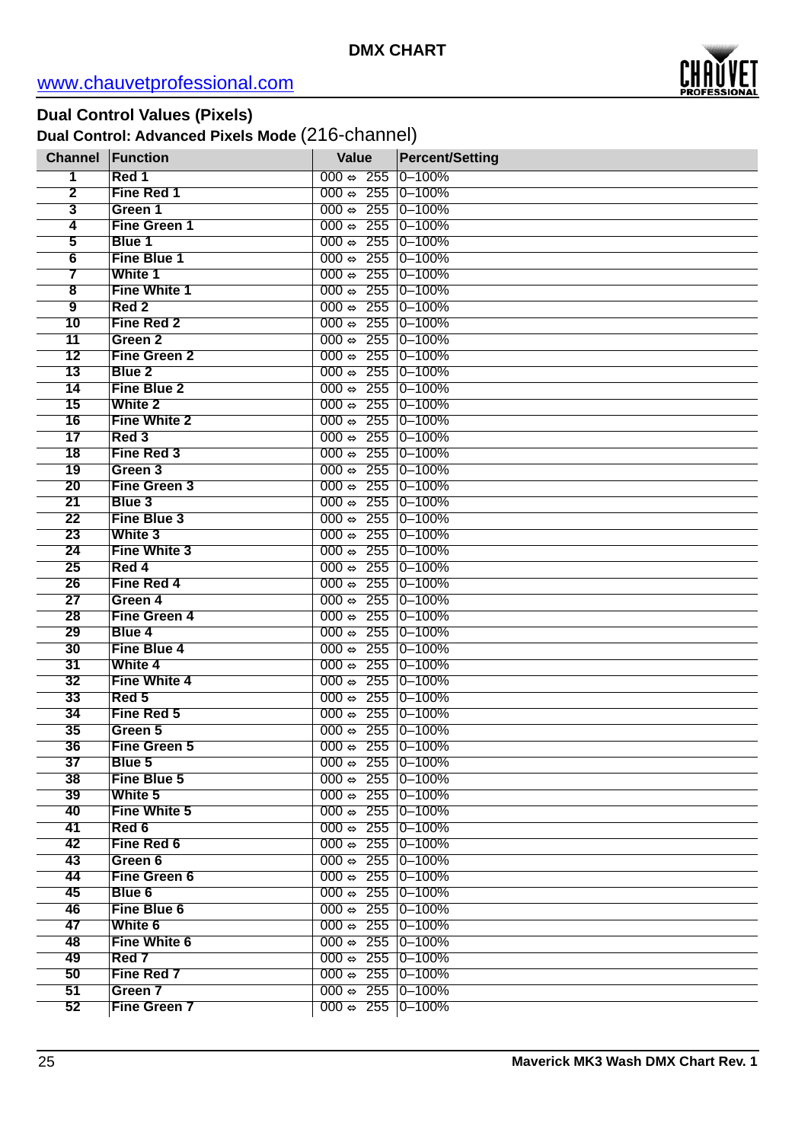

# **Dual Control Values (Pixels)**

**Dual Control: Advanced Pixels Mode** (216-channel)

| <b>Channel</b>          | Function            | <b>Value</b>                     | <b>Percent/Setting</b> |
|-------------------------|---------------------|----------------------------------|------------------------|
| 1                       | Red 1               | $000 \Leftrightarrow 255$        | $0 - 100%$             |
| $\overline{2}$          | Fine Red 1          | $000 \Leftrightarrow 255$        | $0 - 100%$             |
| $\overline{\mathbf{3}}$ | Green 1             | $000 \Leftrightarrow 255$        | $0 - 100%$             |
| $\overline{\mathbf{4}}$ | <b>Fine Green 1</b> | $000 \Leftrightarrow 255$        | $0 - 100%$             |
| $\overline{5}$          | <b>Blue 1</b>       | $000 \Leftrightarrow 255$        | $0 - 100%$             |
| $6\overline{6}$         | <b>Fine Blue 1</b>  | $000 \Leftrightarrow 255$        | $0 - 100%$             |
| 7                       | White 1             | $000 \Leftrightarrow 255$        | $0 - 100%$             |
| $\overline{\mathbf{8}}$ | <b>Fine White 1</b> | $000 \Leftrightarrow 255$        | $0 - 100%$             |
| $\overline{9}$          | Red <sub>2</sub>    | 255<br>000 $\Leftrightarrow$     | $0 - 100%$             |
| 10                      | <b>Fine Red 2</b>   | 255<br>000 $\Leftrightarrow$     | $0 - 100%$             |
| 11                      | Green 2             | 255<br>$000 \Leftrightarrow$     | $0 - 100%$             |
| 12                      | <b>Fine Green 2</b> | 255<br>$000 \Leftrightarrow$     | $0 - 100%$             |
| 13                      | <b>Blue 2</b>       | 255<br>$000 \Leftrightarrow$     | $0 - 100%$             |
| 14                      | <b>Fine Blue 2</b>  | $000 \Leftrightarrow 255$        | $0 - 100%$             |
| $\overline{15}$         | <b>White 2</b>      | $000 \Leftrightarrow 255$        | $0 - 100%$             |
| 16                      | <b>Fine White 2</b> | $000 \Leftrightarrow 255$        | $0 - 100%$             |
| 17                      | Red 3               | $000 \Leftrightarrow 255$        | $0 - 100%$             |
| 18                      | Fine Red 3          | $000 \Leftrightarrow 255$        | $0 - 100%$             |
| 19                      | Green 3             | 255<br>$000 \Leftrightarrow$     | $0 - 100%$             |
| 20                      | <b>Fine Green 3</b> | 255<br>$000 \Leftrightarrow$     | $0 - 100%$             |
| 21                      | <b>Blue 3</b>       | 255<br>$000 \Leftrightarrow$     | $0 - 100%$             |
| 22                      | <b>Fine Blue 3</b>  | 255<br>$000 \Leftrightarrow$     | $0 - 100%$             |
| 23                      | White 3             | 255<br>$000 \Leftrightarrow$     | $0 - 100%$             |
| 24                      | <b>Fine White 3</b> | $000 \Leftrightarrow 255$        | $0 - 100%$             |
| 25                      | Red 4               | $000 \Leftrightarrow 255$        | $0 - 100%$             |
| 26                      | Fine Red 4          | $000 \Leftrightarrow 255$        | $0 - 100%$             |
| 27                      | Green 4             | $000 \Leftrightarrow 255$        | $0 - 100%$             |
| 28                      | <b>Fine Green 4</b> | $000 \Leftrightarrow 255$        | $0 - 100%$             |
| 29                      | <b>Blue 4</b>       | $000 \Leftrightarrow 255$        | $0 - 100%$             |
| 30                      | <b>Fine Blue 4</b>  | 255<br>$000 \Leftrightarrow$     | $0 - 100%$             |
| 31                      | White 4             | 255<br>$000 \Leftrightarrow$     | $0 - 100%$             |
| 32                      | <b>Fine White 4</b> | 255<br>$000 \Leftrightarrow$     | $0 - 100%$             |
| 33                      | Red 5               | 255<br>$000 \Leftrightarrow$     | $0 - 100%$             |
| 34                      | Fine Red 5          | $000 \Leftrightarrow 255$        | $0 - 100%$             |
| 35                      | Green 5             | $000 \Leftrightarrow 255$        | $0 - 100%$             |
| 36                      | <b>Fine Green 5</b> | 000 $\Leftrightarrow$ 255 0-100% |                        |
| 37                      | Blue 5              | 000 $\Leftrightarrow$ 255 0-100% |                        |
| 38                      | Fine Blue 5         | 000 $\Leftrightarrow$ 255 0-100% |                        |
| 39                      | <b>White 5</b>      | 000 $\Leftrightarrow$ 255 0-100% |                        |
| 40                      | <b>Fine White 5</b> | 000 $\Leftrightarrow$ 255 0-100% |                        |
| 41                      | Red 6               | 000 $\Leftrightarrow$ 255 0-100% |                        |
| 42                      | Fine Red 6          | 000 $\Leftrightarrow$ 255 0-100% |                        |
| 43                      | Green 6             | $000 \Leftrightarrow 255$        | $0 - 100%$             |
| 44                      | <b>Fine Green 6</b> | $000 \Leftrightarrow 255$        | $0 - 100%$             |
| 45                      | <b>Blue 6</b>       | $000 \Leftrightarrow 255$        | $0 - 100%$             |
| 46                      | Fine Blue 6         | $000 \Leftrightarrow 255$        | $0 - 100%$             |
| 47                      | White 6             | $000 \Leftrightarrow 255$        | $0 - 100%$             |
| 48                      | <b>Fine White 6</b> | $000 \Leftrightarrow 255$        | $0 - 100%$             |
| 49                      | Red 7               | 000 $\Leftrightarrow$ 255 0-100% |                        |
| 50                      | Fine Red 7          | 000 $\Leftrightarrow$ 255 0-100% |                        |
| 51                      | Green 7             | $000 \Leftrightarrow 255$        | $0 - 100%$             |
| 52                      | <b>Fine Green 7</b> | 000 $\Leftrightarrow$ 255 0-100% |                        |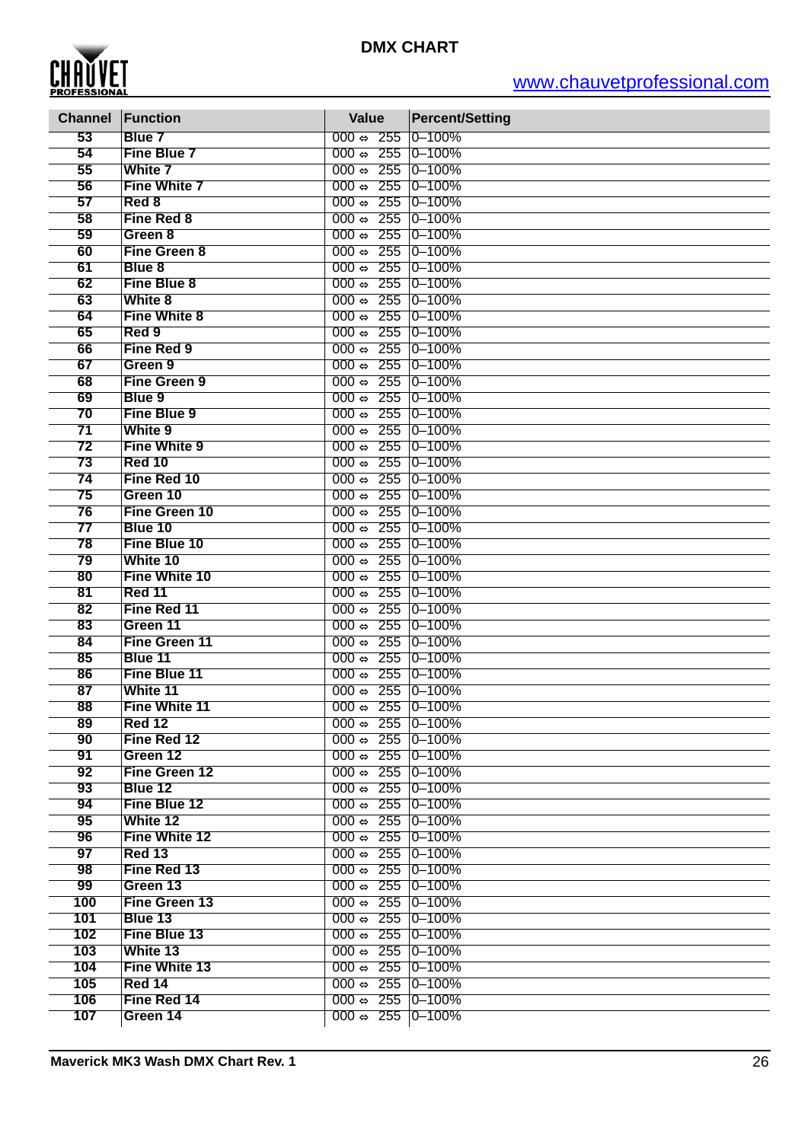

| <b>Channel</b>  | Function                        | Value                                                                                | <b>Percent/Setting</b> |
|-----------------|---------------------------------|--------------------------------------------------------------------------------------|------------------------|
| $\overline{53}$ | <b>Blue 7</b>                   | $000 \Leftrightarrow 255$                                                            | $0 - 100%$             |
| 54              | <b>Fine Blue 7</b>              | $000 \Leftrightarrow 255 \mid 0-100\%$                                               |                        |
| 55              | White 7                         | $000 \Leftrightarrow 255 \mid 0 - 100\%$                                             |                        |
| 56              | <b>Fine White 7</b>             | $000 \Leftrightarrow 255 \mid 0 - 100\%$                                             |                        |
| 57              | Red 8                           | $000 \Leftrightarrow 255 \mid 0 - 100\%$                                             |                        |
| 58              | Fine Red 8                      | $000 \Leftrightarrow 255 \mid 0 - 100\%$                                             |                        |
| 59              | Green 8                         | $000 \Leftrightarrow 255 \mid 0 - 100\%$                                             |                        |
| 60              | <b>Fine Green 8</b>             | $000 \Leftrightarrow 255 \mid 0 - 100\%$                                             |                        |
| 61              | Blue 8                          | $000 \Leftrightarrow 255 \mid 0 - 100\%$                                             |                        |
| 62              | <b>Fine Blue 8</b>              | $000 \Leftrightarrow 255 \mid 0 - 100\%$                                             |                        |
| 63              | <b>White 8</b>                  | $000 \Leftrightarrow 255 \mid 0 - 100\%$                                             |                        |
| 64              | <b>Fine White 8</b>             | $000 \Leftrightarrow 255$ 0-100%                                                     |                        |
| 65              | Red 9                           | $000 \Leftrightarrow 255 \mid 0 - 100\%$                                             |                        |
| 66              | Fine Red 9                      | $000 \Leftrightarrow 255$ 0-100%                                                     |                        |
| 67              | Green 9                         | $000 \Leftrightarrow 255$ 0-100%                                                     |                        |
| 68              | <b>Fine Green 9</b>             | $000 \Leftrightarrow 255$ 0-100%                                                     |                        |
| 69              | Blue 9                          | $000 \Leftrightarrow 255$ 0-100%                                                     |                        |
| 70              | Fine Blue 9                     | $000 \Leftrightarrow 255$ 0-100%                                                     |                        |
| 71              | <b>White 9</b>                  | $000 \Leftrightarrow 255$ 0-100%                                                     |                        |
| 72              | <b>Fine White 9</b>             | $000 \Leftrightarrow 255$ 0-100%                                                     |                        |
| 73              | <b>Red 10</b>                   | $000 \Leftrightarrow 255 \mid 0 - 100\%$                                             |                        |
| 74              | Fine Red 10                     | $000 \Leftrightarrow 255 \mid 0 - 100\%$                                             |                        |
| 75              | Green 10                        | $000 \Leftrightarrow 255 \mid 0 - 100\%$                                             |                        |
| 76              | <b>Fine Green 10</b><br>Blue 10 | $000 \Leftrightarrow 255 \mid 0 - 100\%$<br>$000 \Leftrightarrow 255 \mid 0 - 100\%$ |                        |
| 77<br>78        | Fine Blue 10                    | $000 \Leftrightarrow 255 \mid 0 - 100\%$                                             |                        |
| 79              | White 10                        | $000 \Leftrightarrow 255 \mid 0 - 100\%$                                             |                        |
| 80              | <b>Fine White 10</b>            | $000 \Leftrightarrow 255 \mid 0 - 100\%$                                             |                        |
| 81              | Red 11                          | $000 \Leftrightarrow 255$ 0-100%                                                     |                        |
| 82              | Fine Red 11                     | $000 \Leftrightarrow 255$ 0-100%                                                     |                        |
| 83              | Green 11                        | $000 \Leftrightarrow 255$ 0-100%                                                     |                        |
| 84              | Fine Green 11                   | $000 \Leftrightarrow 255 \mid 0-100\%$                                               |                        |
| 85              | Blue 11                         | $000 \Leftrightarrow 255$ 0-100%                                                     |                        |
| 86              | Fine Blue 11                    | 000 $\Leftrightarrow$                                                                | $255$ 0-100%           |
| 87              | <b>White 11</b>                 | $000 \Leftrightarrow 255 \mid 0-100\%$                                               |                        |
| 88              | <b>Fine White 11</b>            | $000 \Leftrightarrow 255 \mid 0-100\%$                                               |                        |
| 89              | <b>Red 12</b>                   | 000 $\Leftrightarrow$ 255 0-100%                                                     |                        |
| 90              | Fine Red 12                     | 000 $\Leftrightarrow$ 255 0-100%                                                     |                        |
| 91              | Green 12                        | 000 $\Leftrightarrow$ 255 0-100%                                                     |                        |
| 92              | <b>Fine Green 12</b>            | $000 \Leftrightarrow 255 \mid 0-100\%$                                               |                        |
| 93              | Blue 12                         | $000 \Leftrightarrow 255$ 0-100%                                                     |                        |
| 94              | Fine Blue 12                    | $000 \Leftrightarrow 255$ 0-100%                                                     |                        |
| 95              | White 12                        | $000 \Leftrightarrow 255$ 0-100%                                                     |                        |
| 96              | <b>Fine White 12</b>            | 000 $\Leftrightarrow$ 255 0-100%                                                     |                        |
| 97              | <b>Red 13</b>                   | $000 \Leftrightarrow 255$ 0-100%                                                     |                        |
| 98              | Fine Red 13                     | $000 \Leftrightarrow 255$ 0-100%                                                     |                        |
| 99              | Green 13                        | $000 \Leftrightarrow 255 \mid 0-100\%$                                               |                        |
| 100             | Fine Green 13                   | 000 $\Leftrightarrow$ 255 0-100%                                                     |                        |
| 101             | Blue 13                         | $000 \Leftrightarrow 255$ 0-100%                                                     |                        |
| 102             | Fine Blue 13<br>White 13        | $000 \Leftrightarrow 255$ 0-100%                                                     |                        |
| 103<br>104      | <b>Fine White 13</b>            | $000 \Leftrightarrow 255$ 0-100%<br>$000 \Leftrightarrow 255$ 0-100%                 |                        |
| 105             | <b>Red 14</b>                   | 000 $\Leftrightarrow$ 255 0-100%                                                     |                        |
| 106             | Fine Red 14                     | $000 \Leftrightarrow 255$ 0-100%                                                     |                        |
| 107             | Green 14                        | 000 $\Leftrightarrow$ 255 0-100%                                                     |                        |
|                 |                                 |                                                                                      |                        |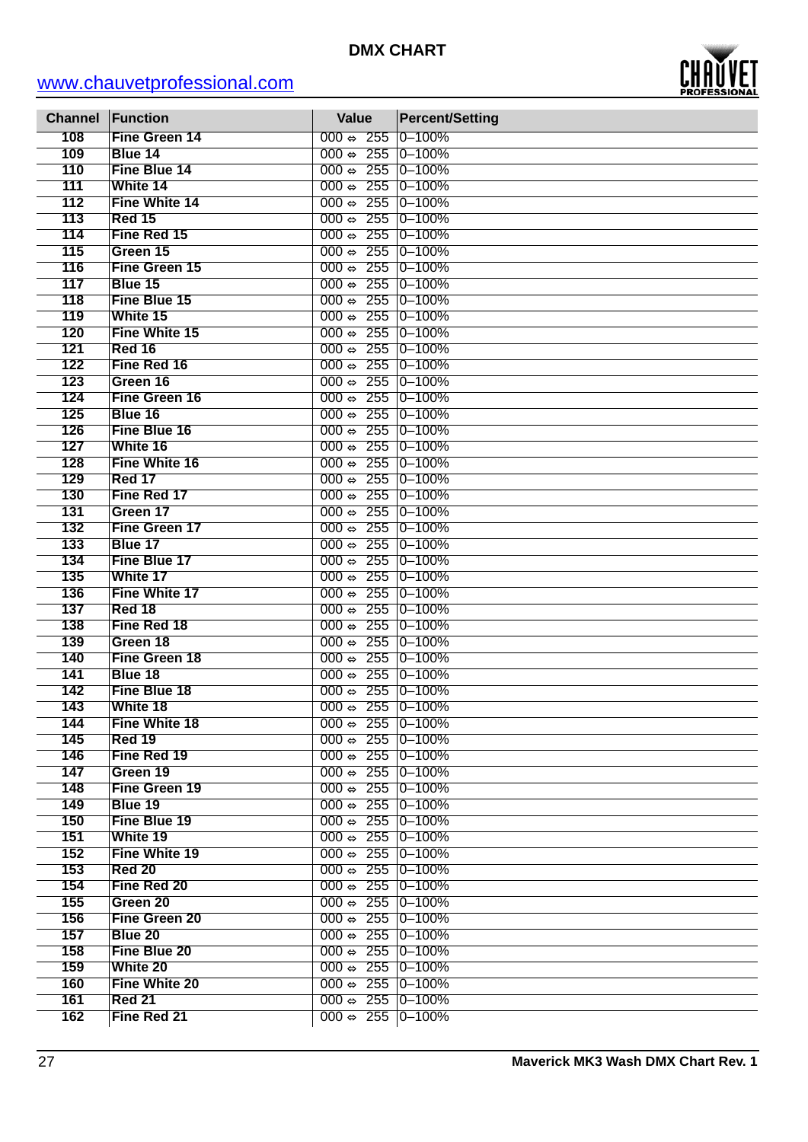

| <b>Channel</b> | Function             | <b>Value</b>                     | <b>Percent/Setting</b> |
|----------------|----------------------|----------------------------------|------------------------|
| 108            | Fine Green 14        | $000 \Leftrightarrow 255$        | $0 - 100%$             |
| 109            | Blue 14              | $000 \Leftrightarrow 255$        | $ 0 - 100\%$           |
| 110            | Fine Blue 14         | $000 \Leftrightarrow 255$        | $0 - 100%$             |
| 111            | White 14             | $000 \Leftrightarrow 255$        | $0 - 100%$             |
| 112            | <b>Fine White 14</b> | $000 \Leftrightarrow 255$        | $0 - 100%$             |
| 113            | <b>Red 15</b>        | $000 \Leftrightarrow 255$        | $0 - 100%$             |
| 114            | Fine Red 15          | $000 \Leftrightarrow 255$        | $0 - 100%$             |
| 115            | Green 15             | 255<br>000 ⇔                     | $0 - 100%$             |
| 116            | Fine Green 15        | 255<br>000 $\Leftrightarrow$     | $0 - 100%$             |
| 117            | Blue 15              | $000 \Leftrightarrow 255$        | $ 0 - 100\%$           |
| 118            | Fine Blue 15         | $000 \div 255$                   | $ 0 - 100\%$           |
| 119            | White 15             | $000 \div 255$                   | $ 0 - 100\%$           |
| 120            | <b>Fine White 15</b> | 255<br>000 $\Leftrightarrow$     | $ 0 - 100\%$           |
| 121            | <b>Red 16</b>        | 255<br>000 $\Leftrightarrow$     | $0 - 100%$             |
| 122            | Fine Red 16          | $000 \Leftrightarrow 255$        | $ 0 - 100\%$           |
| 123            |                      | $000 \div 255$                   | $ 0 - 100\%$           |
|                | Green 16             |                                  |                        |
| 124            | <b>Fine Green 16</b> | $000 \div 255$                   | $ 0 - 100\%$           |
| 125            | Blue 16              | 255<br>000 ⇔                     | $ 0 - 100\%$           |
| 126            | Fine Blue 16         | 255<br>000 ⇔                     | $0 - 100%$             |
| 127            | White 16             | $000 \Leftrightarrow 255$        | $ 0 - 100\%$           |
| 128            | <b>Fine White 16</b> | $000 \div 255$                   | $ 0 - 100\%$           |
| 129            | <b>Red 17</b>        | $000 \div 255$                   | $ 0 - 100\%$           |
| 130            | Fine Red 17          | 255<br>000 ⇔                     | $ 0 - 100\%$           |
| 131            | Green 17             | 255<br>000 $\Leftrightarrow$     | $0 - 100%$             |
| 132            | Fine Green 17        | $000 \Leftrightarrow 255$        | $ 0 - 100\%$           |
| 133            | Blue 17              | $000 \div 255$                   | $ 0 - 100\%$           |
| 134            | Fine Blue 17         | $000 \div 255$                   | $ 0 - 100\%$           |
| 135            | White 17             | 255<br>000 ⇔                     | $0 - 100%$             |
| 136            | <b>Fine White 17</b> | 255<br>000 ⇔                     | $0 - 100%$             |
| 137            | <b>Red 18</b>        | $000 \Leftrightarrow 255$        | $0 - 100%$             |
| 138            | Fine Red 18          | $000 \div 255$                   | $ 0 - 100\%$           |
| 139            | Green 18             | $000 \div 255$                   | $ 0 - 100\%$           |
| 140            | <b>Fine Green 18</b> | $000 \Leftrightarrow 255$        | $ 0 - 100\%$           |
| 141            | Blue 18              | 255<br>000 $\Leftrightarrow$     | $ 0 - 100\%$           |
| 142            | Fine Blue 18         | $000 \Leftrightarrow 255$        | $ 0 - 100\%$           |
| 143            | White 18             | 000 $\Leftrightarrow$ 255 0-100% |                        |
| 144            | Fine White 18        | 000 $\Leftrightarrow$ 255 0-100% |                        |
| 145            | <b>Red 19</b>        | 000 $\Leftrightarrow$ 255 0-100% |                        |
| 146            | Fine Red 19          | 000 $\Leftrightarrow$ 255 0-100% |                        |
| 147            | Green 19             | 000 $\Leftrightarrow$ 255 0-100% |                        |
| 148            | Fine Green 19        | 000 $\Leftrightarrow$ 255 0-100% |                        |
| 149            | Blue 19              | 000 $\Leftrightarrow$ 255 0-100% |                        |
| 150            | Fine Blue 19         | 000 $\Leftrightarrow$ 255 0-100% |                        |
| 151            | White 19             | 000 $\Leftrightarrow$ 255 0-100% |                        |
| 152            | Fine White 19        | 000 $\Leftrightarrow$ 255 0-100% |                        |
| 153            | <b>Red 20</b>        | 000 $\Leftrightarrow$ 255 0-100% |                        |
| 154            | Fine Red 20          | 000 $\Leftrightarrow$ 255 0-100% |                        |
| 155            | Green 20             | 000 $\Leftrightarrow$ 255 0-100% |                        |
| 156            | <b>Fine Green 20</b> | 000 $\Leftrightarrow$ 255 0-100% |                        |
| 157            | Blue 20              | 000 $\Leftrightarrow$ 255 0-100% |                        |
| 158            | Fine Blue 20         | 000 $\Leftrightarrow$ 255 0-100% |                        |
| 159            | <b>White 20</b>      | 000 $\Leftrightarrow$ 255 0-100% |                        |
| 160            | <b>Fine White 20</b> | 000 $\Leftrightarrow$ 255 0-100% |                        |
| 161            | <b>Red 21</b>        | 000 $\Leftrightarrow$ 255 0-100% |                        |
| 162            | Fine Red 21          | 000 $\Leftrightarrow$ 255 0-100% |                        |
|                |                      |                                  |                        |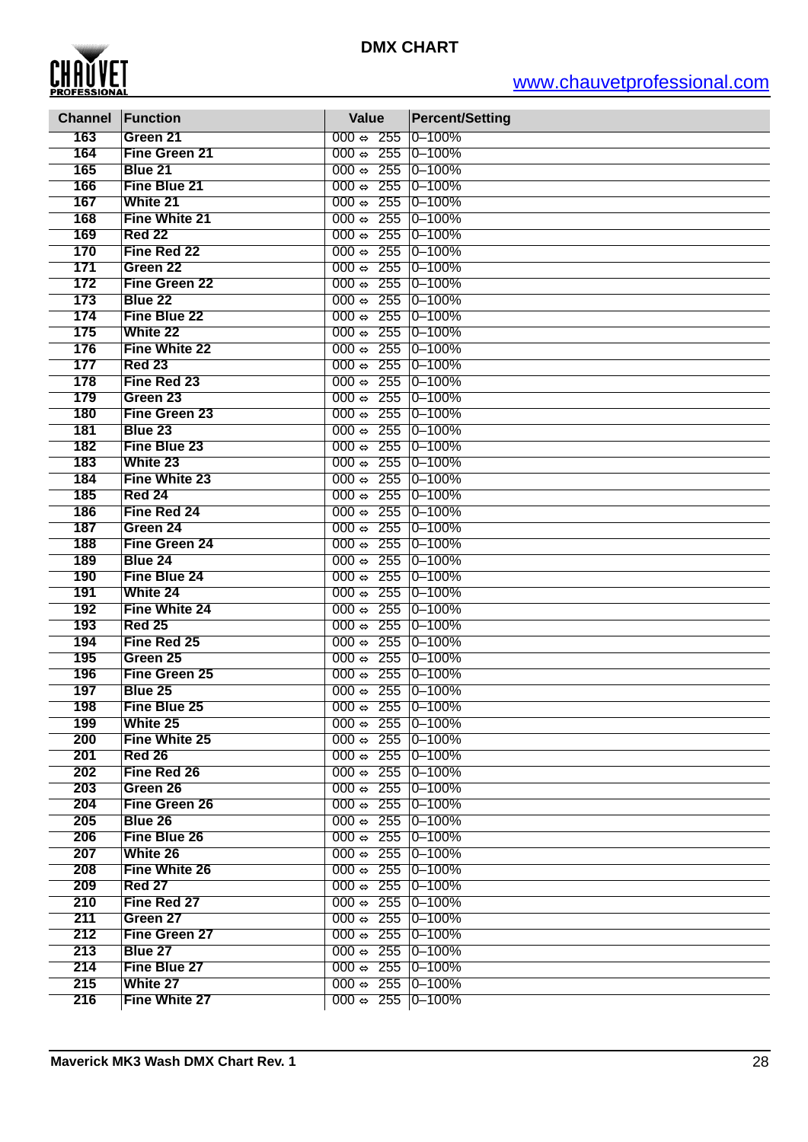

| <b>Channel</b> | Function                              | <b>Value</b>                                           | <b>Percent/Setting</b> |
|----------------|---------------------------------------|--------------------------------------------------------|------------------------|
| 163            | Green 21                              | $000 \Leftrightarrow 255$                              | $0 - 100%$             |
| 164            | <b>Fine Green 21</b>                  | $000 \Leftrightarrow 255$                              | $0 - 100%$             |
| 165            | Blue 21                               | $000 \Leftrightarrow 255$                              | $0 - 100%$             |
| 166            | Fine Blue 21                          | $000 \Leftrightarrow 255$                              | $0 - 100%$             |
| 167            | White 21                              | $000 \Leftrightarrow 255$                              | $0 - 100%$             |
| 168            | <b>Fine White 21</b>                  | $000 \Leftrightarrow 255$                              | $0 - 100%$             |
| 169            | <b>Red 22</b>                         | $000 \Leftrightarrow 255$                              | $0 - 100%$             |
| 170            | Fine Red 22                           | $000 \Leftrightarrow 255$                              | $0 - 100%$             |
| 171            | Green 22                              | $000 \Leftrightarrow 255$                              | $0 - 100%$             |
| 172            | <b>Fine Green 22</b>                  | $000 \Leftrightarrow 255$                              | $0 - 100%$             |
| 173            | Blue 22                               | $000 \Leftrightarrow 255$                              | $0 - 100%$             |
| 174            | Fine Blue 22                          | $000 \Leftrightarrow 255$                              | $0 - 100%$             |
| 175            | White 22                              | $000 \Leftrightarrow 255$                              | $0 - 100%$             |
| 176            | <b>Fine White 22</b>                  | $000 \Leftrightarrow 255$                              | $0 - 100%$             |
| 177            | <b>Red 23</b>                         | $000 \Leftrightarrow 255$                              | $0 - 100%$             |
| 178            | Fine Red 23                           | $000 \Leftrightarrow 255$                              | $0 - 100%$             |
| 179            | Green 23                              | $000 \Leftrightarrow 255$                              | $0 - 100%$             |
| 180            | <b>Fine Green 23</b>                  | $000 \Leftrightarrow 255$                              | $0 - 100%$             |
| 181            | Blue 23                               | $000 \Leftrightarrow 255$                              | $0 - 100%$             |
| 182            | Fine Blue 23                          | $000 \Leftrightarrow 255$                              | $0 - 100%$             |
| 183            | White 23                              | $000 \Leftrightarrow 255$                              | $0 - 100%$             |
| 184            | <b>Fine White 23</b>                  | $000 \Leftrightarrow 255$                              | $0 - 100%$             |
| 185            | <b>Red 24</b>                         | $000 \Leftrightarrow 255$                              | $0 - 100%$             |
| 186            | Fine Red 24                           | $000 \Leftrightarrow 255$                              | $0 - 100%$             |
| 187            | Green 24                              | $000 \Leftrightarrow 255$                              | $0 - 100%$             |
| 188            | <b>Fine Green 24</b>                  | $000 \Leftrightarrow 255$                              | $0 - 100%$             |
| 189            | Blue 24                               | $000 \Leftrightarrow 255$                              | $0 - 100%$             |
| 190            | Fine Blue 24                          | $000 \Leftrightarrow 255$                              | $0 - 100%$             |
| 191            | White 24                              | $000 \Leftrightarrow 255$                              | $0 - 100%$             |
| 192            | <b>Fine White 24</b>                  | $000 \Leftrightarrow 255$                              | $0 - 100%$             |
| 193            | <b>Red 25</b>                         | $000 \Leftrightarrow 255$                              | $0 - 100%$             |
| 194            | Fine Red 25                           | $000 \Leftrightarrow 255$                              | $0 - 100%$             |
| 195            | Green <sub>25</sub>                   | $000 \Leftrightarrow 255$                              | $0 - 100%$             |
| 196            | <b>Fine Green 25</b>                  | $000 \Leftrightarrow 255$                              | $0 - 100%$             |
| 197            | Blue 25                               | $000 \Leftrightarrow 255$                              | $0 - 100%$             |
| 198            | <b>Fine Blue 25</b>                   | $000 \Leftrightarrow 255$                              | $0 - 100%$             |
| 199            | White 25                              | 000 $\Leftrightarrow$ 255 0-100%                       |                        |
| 200<br>201     | <b>Fine White 25</b><br><b>Red 26</b> | $000 \Leftrightarrow 255$<br>$000 \Leftrightarrow 255$ | $0 - 100%$<br>0-100%   |
| 202            | Fine Red 26                           | $000 \Leftrightarrow 255$                              | $0 - 100%$             |
| 203            | Green 26                              | $000 \Leftrightarrow 255$                              | $0 - 100%$             |
| 204            | <b>Fine Green 26</b>                  | $000 \Leftrightarrow 255$                              | $0 - 100%$             |
| 205            | Blue 26                               | $000 \Leftrightarrow 255$                              | $0 - 100%$             |
| 206            | Fine Blue 26                          | $000 \Leftrightarrow 255$                              | 0-100%                 |
| 207            | White 26                              | $000 \Leftrightarrow 255$                              | $0 - 100%$             |
| 208            | <b>Fine White 26</b>                  | $000 \Leftrightarrow 255$                              | $0 - 100%$             |
| 209            | <b>Red 27</b>                         | $000 \Leftrightarrow 255$                              | $0 - 100%$             |
| 210            | Fine Red 27                           | $000 \Leftrightarrow 255$                              | $0 - 100%$             |
| 211            | Green 27                              | $000 \Leftrightarrow 255$                              | $0 - 100%$             |
| 212            | <b>Fine Green 27</b>                  | $000 \Leftrightarrow 255$                              | $0 - 100%$             |
| 213            | Blue 27                               | $000 \Leftrightarrow 255$                              | $0 - 100%$             |
| 214            | <b>Fine Blue 27</b>                   | $000 \Leftrightarrow 255$                              | 0-100%                 |
| 215            | White 27                              | $000 \Leftrightarrow 255$                              | $0 - 100%$             |
| 216            | <b>Fine White 27</b>                  | $000 \div 255$                                         | $0 - 100%$             |
|                |                                       |                                                        |                        |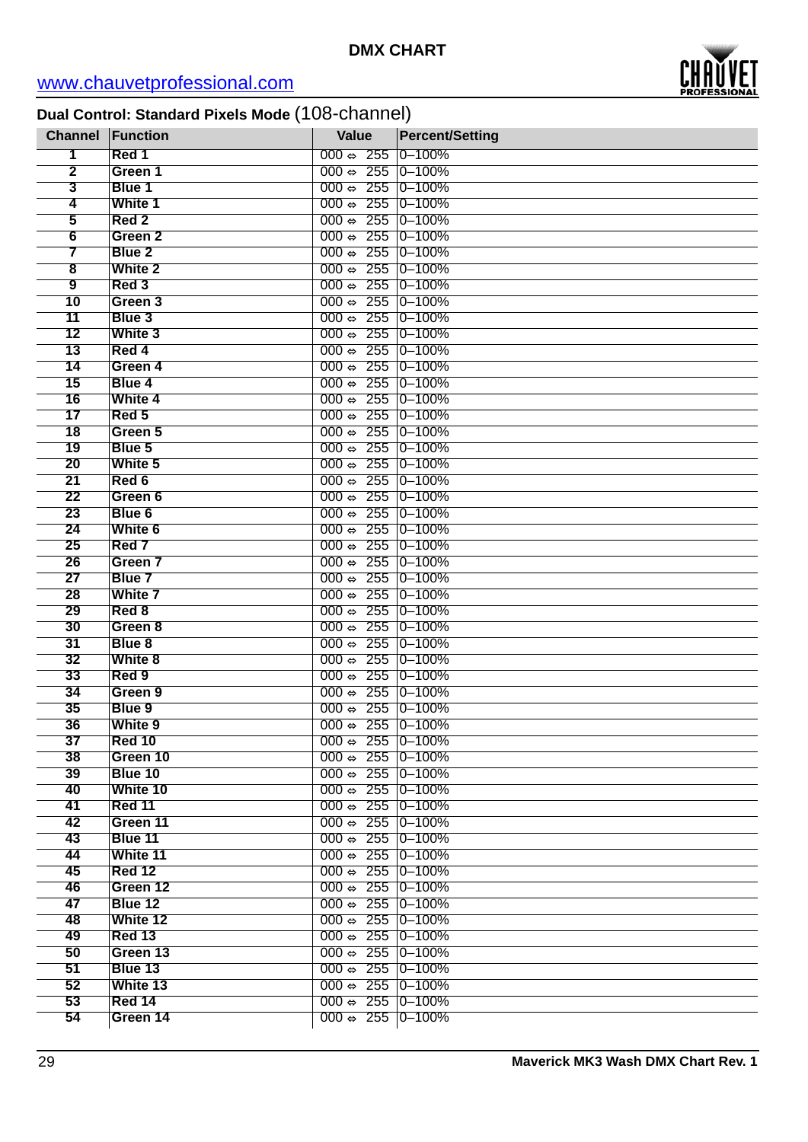

| Function<br><b>Value</b><br><b>Channel</b><br><b>Percent/Setting</b><br>$000 \Leftrightarrow 255$<br>Red 1<br>$0 - 100%$<br>1<br>$\overline{2}$<br>$000 \Leftrightarrow 255$<br>$0 - 100%$<br>Green 1<br>3<br>$000 \Leftrightarrow 255$<br><b>Blue 1</b><br>$0 - 100%$<br><b>White 1</b><br>$000 \Leftrightarrow 255$<br>$0 - 100%$<br>$\overline{\mathbf{4}}$<br>$000 \Leftrightarrow 255$<br>$0 - 100%$<br>$\overline{\mathbf{5}}$<br>Red <sub>2</sub><br>Green <sub>2</sub><br>255<br>$0 - 100%$<br>6<br>$000 \Leftrightarrow$<br>255<br><b>Blue 2</b><br>000 $\Leftrightarrow$<br>$0 - 100%$<br>7<br><b>White 2</b><br>255<br>000 $\Leftrightarrow$<br>$0 - 100%$<br>8<br>255<br>$0 - 100%$<br>$\overline{9}$<br>Red <sub>3</sub><br>000 $\Leftrightarrow$<br>Green 3<br>255<br>$0 - 100%$<br>10<br>$000 \Leftrightarrow$<br>Blue 3<br>255<br>11<br>$000 \Leftrightarrow$<br>$0 - 100%$<br>White 3<br>$000 \Leftrightarrow 255$<br>12<br>$0 - 100%$<br>$\overline{13}$<br>$000 \Leftrightarrow 255$<br>Red 4<br>$0 - 100%$<br>$000 \Leftrightarrow 255$<br>$0 - 100%$<br>14<br>Green 4<br>$\overline{15}$<br>Blue 4<br>$000 \Leftrightarrow 255$<br>$0 - 100%$<br><b>White 4</b><br>$000 \Leftrightarrow 255$<br>$0 - 100%$<br>16<br>255<br>$0 - 100%$<br>17<br>Red 5<br>$000 \Leftrightarrow$<br>255<br>18<br>Green 5<br>$000 \Leftrightarrow$<br>$0 - 100%$<br>255<br>$0 - 100%$<br>19<br><b>Blue 5</b><br>$000 \Leftrightarrow$<br>255<br>$0 - 100%$<br>20<br>White 5<br>$000 \Leftrightarrow$<br>255<br>$0 - 100%$<br>21<br>Red 6<br>$000 \Leftrightarrow$<br>$000 \Leftrightarrow 255$<br>22<br>Green 6<br>$0 - 100%$<br>$000 \Leftrightarrow 255$<br>23<br>Blue 6<br>$0 - 100%$<br>$000 \Leftrightarrow 255$<br>24<br>White 6<br>$0 - 100%$<br>$000 \Leftrightarrow 255$<br>25<br>Red <sub>7</sub><br>$0 - 100%$<br>Green 7<br>$000 \Leftrightarrow 255$<br>26<br>$0 - 100%$<br>Blue 7<br>$000 \Leftrightarrow 255$<br>27<br>$0 - 100%$<br>255<br>28<br><b>White 7</b><br>$000 \Leftrightarrow$<br>$0 - 100%$<br>255<br>29<br>Red 8<br>000 $\Leftrightarrow$<br>$0 - 100%$<br>255<br>30<br>Green 8<br>000 $\Leftrightarrow$<br>$0 - 100%$<br>255<br>31<br>Blue 8<br>$000 \Leftrightarrow$<br>$0 - 100%$<br>255<br>32<br>White 8<br>$000 \Leftrightarrow$<br>$0 - 100%$<br>$000 \Leftrightarrow 255$<br>33<br>Red 9<br>$0 - 100%$<br>34<br>000 $\Leftrightarrow$ 255 0-100%<br>Green 9<br>35<br>Blue 9<br>000 $\Leftrightarrow$ 255 0-100%<br><b>White 9</b><br>000 $\Leftrightarrow$ 255 0-100%<br>36<br>$000 \Leftrightarrow 255 \mid 0-100\%$<br>37<br><b>Red 10</b><br>Green 10<br>$000 \div 255$<br>$0 - 100%$<br>38<br>Blue 10<br>$000 \Leftrightarrow 255$<br>$0 - 100%$<br>39<br>40<br>White 10<br>$000 \Leftrightarrow 255$<br>$0 - 100%$<br>41<br><b>Red 11</b><br>$000 \Leftrightarrow 255$<br>$0 - 100%$<br>42<br>Green 11<br>$000 \Leftrightarrow 255$<br>$0 - 100%$<br>43<br>Blue 11<br>$000 \Leftrightarrow 255$<br>$0 - 100%$<br>44<br>White 11<br>$000 \Leftrightarrow 255$<br>$0 - 100%$<br>45<br><b>Red 12</b><br>$000 \Leftrightarrow 255$<br>$0 - 100%$<br>Green 12<br>$000 \Leftrightarrow 255$<br>$0 - 100%$<br>46<br>Blue 12<br>$000 \Leftrightarrow 255$<br>$0 - 100%$<br>47<br>White 12<br>$000 \Leftrightarrow 255$<br>$0 - 100%$<br>48<br><b>Red 13</b><br>$000 \Leftrightarrow 255$<br>$0 - 100%$<br>49<br>Green 13<br>$000 \Leftrightarrow 255$<br>$0 - 100%$<br>50<br>51<br>Blue 13<br>$000 \Leftrightarrow 255$<br>$0 - 100%$<br>52<br>White 13<br>$000 \Leftrightarrow 255$<br>$0 - 100%$<br>53<br>Red 14<br>$000 \Leftrightarrow 255$<br>$0 - 100%$<br>000 $\Leftrightarrow$ 255 0-100% |    | Dual Control: Standard Pixels Mode (108-channel) |  |
|------------------------------------------------------------------------------------------------------------------------------------------------------------------------------------------------------------------------------------------------------------------------------------------------------------------------------------------------------------------------------------------------------------------------------------------------------------------------------------------------------------------------------------------------------------------------------------------------------------------------------------------------------------------------------------------------------------------------------------------------------------------------------------------------------------------------------------------------------------------------------------------------------------------------------------------------------------------------------------------------------------------------------------------------------------------------------------------------------------------------------------------------------------------------------------------------------------------------------------------------------------------------------------------------------------------------------------------------------------------------------------------------------------------------------------------------------------------------------------------------------------------------------------------------------------------------------------------------------------------------------------------------------------------------------------------------------------------------------------------------------------------------------------------------------------------------------------------------------------------------------------------------------------------------------------------------------------------------------------------------------------------------------------------------------------------------------------------------------------------------------------------------------------------------------------------------------------------------------------------------------------------------------------------------------------------------------------------------------------------------------------------------------------------------------------------------------------------------------------------------------------------------------------------------------------------------------------------------------------------------------------------------------------------------------------------------------------------------------------------------------------------------------------------------------------------------------------------------------------------------------------------------------------------------------------------------------------------------------------------------------------------------------------------------------------------------------------------------------------------------------------------------------------------------------------------------------------------------------------------------------------------------------------------------------------------------------------------------------------------------------------------------------------------------------------------------------------------------------------------------------------------------------------------------------------------------------------------------------------------------------------|----|--------------------------------------------------|--|
|                                                                                                                                                                                                                                                                                                                                                                                                                                                                                                                                                                                                                                                                                                                                                                                                                                                                                                                                                                                                                                                                                                                                                                                                                                                                                                                                                                                                                                                                                                                                                                                                                                                                                                                                                                                                                                                                                                                                                                                                                                                                                                                                                                                                                                                                                                                                                                                                                                                                                                                                                                                                                                                                                                                                                                                                                                                                                                                                                                                                                                                                                                                                                                                                                                                                                                                                                                                                                                                                                                                                                                                                                                    |    |                                                  |  |
|                                                                                                                                                                                                                                                                                                                                                                                                                                                                                                                                                                                                                                                                                                                                                                                                                                                                                                                                                                                                                                                                                                                                                                                                                                                                                                                                                                                                                                                                                                                                                                                                                                                                                                                                                                                                                                                                                                                                                                                                                                                                                                                                                                                                                                                                                                                                                                                                                                                                                                                                                                                                                                                                                                                                                                                                                                                                                                                                                                                                                                                                                                                                                                                                                                                                                                                                                                                                                                                                                                                                                                                                                                    |    |                                                  |  |
|                                                                                                                                                                                                                                                                                                                                                                                                                                                                                                                                                                                                                                                                                                                                                                                                                                                                                                                                                                                                                                                                                                                                                                                                                                                                                                                                                                                                                                                                                                                                                                                                                                                                                                                                                                                                                                                                                                                                                                                                                                                                                                                                                                                                                                                                                                                                                                                                                                                                                                                                                                                                                                                                                                                                                                                                                                                                                                                                                                                                                                                                                                                                                                                                                                                                                                                                                                                                                                                                                                                                                                                                                                    |    |                                                  |  |
|                                                                                                                                                                                                                                                                                                                                                                                                                                                                                                                                                                                                                                                                                                                                                                                                                                                                                                                                                                                                                                                                                                                                                                                                                                                                                                                                                                                                                                                                                                                                                                                                                                                                                                                                                                                                                                                                                                                                                                                                                                                                                                                                                                                                                                                                                                                                                                                                                                                                                                                                                                                                                                                                                                                                                                                                                                                                                                                                                                                                                                                                                                                                                                                                                                                                                                                                                                                                                                                                                                                                                                                                                                    |    |                                                  |  |
|                                                                                                                                                                                                                                                                                                                                                                                                                                                                                                                                                                                                                                                                                                                                                                                                                                                                                                                                                                                                                                                                                                                                                                                                                                                                                                                                                                                                                                                                                                                                                                                                                                                                                                                                                                                                                                                                                                                                                                                                                                                                                                                                                                                                                                                                                                                                                                                                                                                                                                                                                                                                                                                                                                                                                                                                                                                                                                                                                                                                                                                                                                                                                                                                                                                                                                                                                                                                                                                                                                                                                                                                                                    |    |                                                  |  |
|                                                                                                                                                                                                                                                                                                                                                                                                                                                                                                                                                                                                                                                                                                                                                                                                                                                                                                                                                                                                                                                                                                                                                                                                                                                                                                                                                                                                                                                                                                                                                                                                                                                                                                                                                                                                                                                                                                                                                                                                                                                                                                                                                                                                                                                                                                                                                                                                                                                                                                                                                                                                                                                                                                                                                                                                                                                                                                                                                                                                                                                                                                                                                                                                                                                                                                                                                                                                                                                                                                                                                                                                                                    |    |                                                  |  |
|                                                                                                                                                                                                                                                                                                                                                                                                                                                                                                                                                                                                                                                                                                                                                                                                                                                                                                                                                                                                                                                                                                                                                                                                                                                                                                                                                                                                                                                                                                                                                                                                                                                                                                                                                                                                                                                                                                                                                                                                                                                                                                                                                                                                                                                                                                                                                                                                                                                                                                                                                                                                                                                                                                                                                                                                                                                                                                                                                                                                                                                                                                                                                                                                                                                                                                                                                                                                                                                                                                                                                                                                                                    |    |                                                  |  |
|                                                                                                                                                                                                                                                                                                                                                                                                                                                                                                                                                                                                                                                                                                                                                                                                                                                                                                                                                                                                                                                                                                                                                                                                                                                                                                                                                                                                                                                                                                                                                                                                                                                                                                                                                                                                                                                                                                                                                                                                                                                                                                                                                                                                                                                                                                                                                                                                                                                                                                                                                                                                                                                                                                                                                                                                                                                                                                                                                                                                                                                                                                                                                                                                                                                                                                                                                                                                                                                                                                                                                                                                                                    |    |                                                  |  |
|                                                                                                                                                                                                                                                                                                                                                                                                                                                                                                                                                                                                                                                                                                                                                                                                                                                                                                                                                                                                                                                                                                                                                                                                                                                                                                                                                                                                                                                                                                                                                                                                                                                                                                                                                                                                                                                                                                                                                                                                                                                                                                                                                                                                                                                                                                                                                                                                                                                                                                                                                                                                                                                                                                                                                                                                                                                                                                                                                                                                                                                                                                                                                                                                                                                                                                                                                                                                                                                                                                                                                                                                                                    |    |                                                  |  |
|                                                                                                                                                                                                                                                                                                                                                                                                                                                                                                                                                                                                                                                                                                                                                                                                                                                                                                                                                                                                                                                                                                                                                                                                                                                                                                                                                                                                                                                                                                                                                                                                                                                                                                                                                                                                                                                                                                                                                                                                                                                                                                                                                                                                                                                                                                                                                                                                                                                                                                                                                                                                                                                                                                                                                                                                                                                                                                                                                                                                                                                                                                                                                                                                                                                                                                                                                                                                                                                                                                                                                                                                                                    |    |                                                  |  |
|                                                                                                                                                                                                                                                                                                                                                                                                                                                                                                                                                                                                                                                                                                                                                                                                                                                                                                                                                                                                                                                                                                                                                                                                                                                                                                                                                                                                                                                                                                                                                                                                                                                                                                                                                                                                                                                                                                                                                                                                                                                                                                                                                                                                                                                                                                                                                                                                                                                                                                                                                                                                                                                                                                                                                                                                                                                                                                                                                                                                                                                                                                                                                                                                                                                                                                                                                                                                                                                                                                                                                                                                                                    |    |                                                  |  |
|                                                                                                                                                                                                                                                                                                                                                                                                                                                                                                                                                                                                                                                                                                                                                                                                                                                                                                                                                                                                                                                                                                                                                                                                                                                                                                                                                                                                                                                                                                                                                                                                                                                                                                                                                                                                                                                                                                                                                                                                                                                                                                                                                                                                                                                                                                                                                                                                                                                                                                                                                                                                                                                                                                                                                                                                                                                                                                                                                                                                                                                                                                                                                                                                                                                                                                                                                                                                                                                                                                                                                                                                                                    |    |                                                  |  |
|                                                                                                                                                                                                                                                                                                                                                                                                                                                                                                                                                                                                                                                                                                                                                                                                                                                                                                                                                                                                                                                                                                                                                                                                                                                                                                                                                                                                                                                                                                                                                                                                                                                                                                                                                                                                                                                                                                                                                                                                                                                                                                                                                                                                                                                                                                                                                                                                                                                                                                                                                                                                                                                                                                                                                                                                                                                                                                                                                                                                                                                                                                                                                                                                                                                                                                                                                                                                                                                                                                                                                                                                                                    |    |                                                  |  |
|                                                                                                                                                                                                                                                                                                                                                                                                                                                                                                                                                                                                                                                                                                                                                                                                                                                                                                                                                                                                                                                                                                                                                                                                                                                                                                                                                                                                                                                                                                                                                                                                                                                                                                                                                                                                                                                                                                                                                                                                                                                                                                                                                                                                                                                                                                                                                                                                                                                                                                                                                                                                                                                                                                                                                                                                                                                                                                                                                                                                                                                                                                                                                                                                                                                                                                                                                                                                                                                                                                                                                                                                                                    |    |                                                  |  |
|                                                                                                                                                                                                                                                                                                                                                                                                                                                                                                                                                                                                                                                                                                                                                                                                                                                                                                                                                                                                                                                                                                                                                                                                                                                                                                                                                                                                                                                                                                                                                                                                                                                                                                                                                                                                                                                                                                                                                                                                                                                                                                                                                                                                                                                                                                                                                                                                                                                                                                                                                                                                                                                                                                                                                                                                                                                                                                                                                                                                                                                                                                                                                                                                                                                                                                                                                                                                                                                                                                                                                                                                                                    |    |                                                  |  |
|                                                                                                                                                                                                                                                                                                                                                                                                                                                                                                                                                                                                                                                                                                                                                                                                                                                                                                                                                                                                                                                                                                                                                                                                                                                                                                                                                                                                                                                                                                                                                                                                                                                                                                                                                                                                                                                                                                                                                                                                                                                                                                                                                                                                                                                                                                                                                                                                                                                                                                                                                                                                                                                                                                                                                                                                                                                                                                                                                                                                                                                                                                                                                                                                                                                                                                                                                                                                                                                                                                                                                                                                                                    |    |                                                  |  |
|                                                                                                                                                                                                                                                                                                                                                                                                                                                                                                                                                                                                                                                                                                                                                                                                                                                                                                                                                                                                                                                                                                                                                                                                                                                                                                                                                                                                                                                                                                                                                                                                                                                                                                                                                                                                                                                                                                                                                                                                                                                                                                                                                                                                                                                                                                                                                                                                                                                                                                                                                                                                                                                                                                                                                                                                                                                                                                                                                                                                                                                                                                                                                                                                                                                                                                                                                                                                                                                                                                                                                                                                                                    |    |                                                  |  |
|                                                                                                                                                                                                                                                                                                                                                                                                                                                                                                                                                                                                                                                                                                                                                                                                                                                                                                                                                                                                                                                                                                                                                                                                                                                                                                                                                                                                                                                                                                                                                                                                                                                                                                                                                                                                                                                                                                                                                                                                                                                                                                                                                                                                                                                                                                                                                                                                                                                                                                                                                                                                                                                                                                                                                                                                                                                                                                                                                                                                                                                                                                                                                                                                                                                                                                                                                                                                                                                                                                                                                                                                                                    |    |                                                  |  |
|                                                                                                                                                                                                                                                                                                                                                                                                                                                                                                                                                                                                                                                                                                                                                                                                                                                                                                                                                                                                                                                                                                                                                                                                                                                                                                                                                                                                                                                                                                                                                                                                                                                                                                                                                                                                                                                                                                                                                                                                                                                                                                                                                                                                                                                                                                                                                                                                                                                                                                                                                                                                                                                                                                                                                                                                                                                                                                                                                                                                                                                                                                                                                                                                                                                                                                                                                                                                                                                                                                                                                                                                                                    |    |                                                  |  |
|                                                                                                                                                                                                                                                                                                                                                                                                                                                                                                                                                                                                                                                                                                                                                                                                                                                                                                                                                                                                                                                                                                                                                                                                                                                                                                                                                                                                                                                                                                                                                                                                                                                                                                                                                                                                                                                                                                                                                                                                                                                                                                                                                                                                                                                                                                                                                                                                                                                                                                                                                                                                                                                                                                                                                                                                                                                                                                                                                                                                                                                                                                                                                                                                                                                                                                                                                                                                                                                                                                                                                                                                                                    |    |                                                  |  |
|                                                                                                                                                                                                                                                                                                                                                                                                                                                                                                                                                                                                                                                                                                                                                                                                                                                                                                                                                                                                                                                                                                                                                                                                                                                                                                                                                                                                                                                                                                                                                                                                                                                                                                                                                                                                                                                                                                                                                                                                                                                                                                                                                                                                                                                                                                                                                                                                                                                                                                                                                                                                                                                                                                                                                                                                                                                                                                                                                                                                                                                                                                                                                                                                                                                                                                                                                                                                                                                                                                                                                                                                                                    |    |                                                  |  |
|                                                                                                                                                                                                                                                                                                                                                                                                                                                                                                                                                                                                                                                                                                                                                                                                                                                                                                                                                                                                                                                                                                                                                                                                                                                                                                                                                                                                                                                                                                                                                                                                                                                                                                                                                                                                                                                                                                                                                                                                                                                                                                                                                                                                                                                                                                                                                                                                                                                                                                                                                                                                                                                                                                                                                                                                                                                                                                                                                                                                                                                                                                                                                                                                                                                                                                                                                                                                                                                                                                                                                                                                                                    |    |                                                  |  |
|                                                                                                                                                                                                                                                                                                                                                                                                                                                                                                                                                                                                                                                                                                                                                                                                                                                                                                                                                                                                                                                                                                                                                                                                                                                                                                                                                                                                                                                                                                                                                                                                                                                                                                                                                                                                                                                                                                                                                                                                                                                                                                                                                                                                                                                                                                                                                                                                                                                                                                                                                                                                                                                                                                                                                                                                                                                                                                                                                                                                                                                                                                                                                                                                                                                                                                                                                                                                                                                                                                                                                                                                                                    |    |                                                  |  |
|                                                                                                                                                                                                                                                                                                                                                                                                                                                                                                                                                                                                                                                                                                                                                                                                                                                                                                                                                                                                                                                                                                                                                                                                                                                                                                                                                                                                                                                                                                                                                                                                                                                                                                                                                                                                                                                                                                                                                                                                                                                                                                                                                                                                                                                                                                                                                                                                                                                                                                                                                                                                                                                                                                                                                                                                                                                                                                                                                                                                                                                                                                                                                                                                                                                                                                                                                                                                                                                                                                                                                                                                                                    |    |                                                  |  |
|                                                                                                                                                                                                                                                                                                                                                                                                                                                                                                                                                                                                                                                                                                                                                                                                                                                                                                                                                                                                                                                                                                                                                                                                                                                                                                                                                                                                                                                                                                                                                                                                                                                                                                                                                                                                                                                                                                                                                                                                                                                                                                                                                                                                                                                                                                                                                                                                                                                                                                                                                                                                                                                                                                                                                                                                                                                                                                                                                                                                                                                                                                                                                                                                                                                                                                                                                                                                                                                                                                                                                                                                                                    |    |                                                  |  |
|                                                                                                                                                                                                                                                                                                                                                                                                                                                                                                                                                                                                                                                                                                                                                                                                                                                                                                                                                                                                                                                                                                                                                                                                                                                                                                                                                                                                                                                                                                                                                                                                                                                                                                                                                                                                                                                                                                                                                                                                                                                                                                                                                                                                                                                                                                                                                                                                                                                                                                                                                                                                                                                                                                                                                                                                                                                                                                                                                                                                                                                                                                                                                                                                                                                                                                                                                                                                                                                                                                                                                                                                                                    |    |                                                  |  |
|                                                                                                                                                                                                                                                                                                                                                                                                                                                                                                                                                                                                                                                                                                                                                                                                                                                                                                                                                                                                                                                                                                                                                                                                                                                                                                                                                                                                                                                                                                                                                                                                                                                                                                                                                                                                                                                                                                                                                                                                                                                                                                                                                                                                                                                                                                                                                                                                                                                                                                                                                                                                                                                                                                                                                                                                                                                                                                                                                                                                                                                                                                                                                                                                                                                                                                                                                                                                                                                                                                                                                                                                                                    |    |                                                  |  |
|                                                                                                                                                                                                                                                                                                                                                                                                                                                                                                                                                                                                                                                                                                                                                                                                                                                                                                                                                                                                                                                                                                                                                                                                                                                                                                                                                                                                                                                                                                                                                                                                                                                                                                                                                                                                                                                                                                                                                                                                                                                                                                                                                                                                                                                                                                                                                                                                                                                                                                                                                                                                                                                                                                                                                                                                                                                                                                                                                                                                                                                                                                                                                                                                                                                                                                                                                                                                                                                                                                                                                                                                                                    |    |                                                  |  |
|                                                                                                                                                                                                                                                                                                                                                                                                                                                                                                                                                                                                                                                                                                                                                                                                                                                                                                                                                                                                                                                                                                                                                                                                                                                                                                                                                                                                                                                                                                                                                                                                                                                                                                                                                                                                                                                                                                                                                                                                                                                                                                                                                                                                                                                                                                                                                                                                                                                                                                                                                                                                                                                                                                                                                                                                                                                                                                                                                                                                                                                                                                                                                                                                                                                                                                                                                                                                                                                                                                                                                                                                                                    |    |                                                  |  |
|                                                                                                                                                                                                                                                                                                                                                                                                                                                                                                                                                                                                                                                                                                                                                                                                                                                                                                                                                                                                                                                                                                                                                                                                                                                                                                                                                                                                                                                                                                                                                                                                                                                                                                                                                                                                                                                                                                                                                                                                                                                                                                                                                                                                                                                                                                                                                                                                                                                                                                                                                                                                                                                                                                                                                                                                                                                                                                                                                                                                                                                                                                                                                                                                                                                                                                                                                                                                                                                                                                                                                                                                                                    |    |                                                  |  |
|                                                                                                                                                                                                                                                                                                                                                                                                                                                                                                                                                                                                                                                                                                                                                                                                                                                                                                                                                                                                                                                                                                                                                                                                                                                                                                                                                                                                                                                                                                                                                                                                                                                                                                                                                                                                                                                                                                                                                                                                                                                                                                                                                                                                                                                                                                                                                                                                                                                                                                                                                                                                                                                                                                                                                                                                                                                                                                                                                                                                                                                                                                                                                                                                                                                                                                                                                                                                                                                                                                                                                                                                                                    |    |                                                  |  |
|                                                                                                                                                                                                                                                                                                                                                                                                                                                                                                                                                                                                                                                                                                                                                                                                                                                                                                                                                                                                                                                                                                                                                                                                                                                                                                                                                                                                                                                                                                                                                                                                                                                                                                                                                                                                                                                                                                                                                                                                                                                                                                                                                                                                                                                                                                                                                                                                                                                                                                                                                                                                                                                                                                                                                                                                                                                                                                                                                                                                                                                                                                                                                                                                                                                                                                                                                                                                                                                                                                                                                                                                                                    |    |                                                  |  |
|                                                                                                                                                                                                                                                                                                                                                                                                                                                                                                                                                                                                                                                                                                                                                                                                                                                                                                                                                                                                                                                                                                                                                                                                                                                                                                                                                                                                                                                                                                                                                                                                                                                                                                                                                                                                                                                                                                                                                                                                                                                                                                                                                                                                                                                                                                                                                                                                                                                                                                                                                                                                                                                                                                                                                                                                                                                                                                                                                                                                                                                                                                                                                                                                                                                                                                                                                                                                                                                                                                                                                                                                                                    |    |                                                  |  |
|                                                                                                                                                                                                                                                                                                                                                                                                                                                                                                                                                                                                                                                                                                                                                                                                                                                                                                                                                                                                                                                                                                                                                                                                                                                                                                                                                                                                                                                                                                                                                                                                                                                                                                                                                                                                                                                                                                                                                                                                                                                                                                                                                                                                                                                                                                                                                                                                                                                                                                                                                                                                                                                                                                                                                                                                                                                                                                                                                                                                                                                                                                                                                                                                                                                                                                                                                                                                                                                                                                                                                                                                                                    |    |                                                  |  |
|                                                                                                                                                                                                                                                                                                                                                                                                                                                                                                                                                                                                                                                                                                                                                                                                                                                                                                                                                                                                                                                                                                                                                                                                                                                                                                                                                                                                                                                                                                                                                                                                                                                                                                                                                                                                                                                                                                                                                                                                                                                                                                                                                                                                                                                                                                                                                                                                                                                                                                                                                                                                                                                                                                                                                                                                                                                                                                                                                                                                                                                                                                                                                                                                                                                                                                                                                                                                                                                                                                                                                                                                                                    |    |                                                  |  |
|                                                                                                                                                                                                                                                                                                                                                                                                                                                                                                                                                                                                                                                                                                                                                                                                                                                                                                                                                                                                                                                                                                                                                                                                                                                                                                                                                                                                                                                                                                                                                                                                                                                                                                                                                                                                                                                                                                                                                                                                                                                                                                                                                                                                                                                                                                                                                                                                                                                                                                                                                                                                                                                                                                                                                                                                                                                                                                                                                                                                                                                                                                                                                                                                                                                                                                                                                                                                                                                                                                                                                                                                                                    |    |                                                  |  |
|                                                                                                                                                                                                                                                                                                                                                                                                                                                                                                                                                                                                                                                                                                                                                                                                                                                                                                                                                                                                                                                                                                                                                                                                                                                                                                                                                                                                                                                                                                                                                                                                                                                                                                                                                                                                                                                                                                                                                                                                                                                                                                                                                                                                                                                                                                                                                                                                                                                                                                                                                                                                                                                                                                                                                                                                                                                                                                                                                                                                                                                                                                                                                                                                                                                                                                                                                                                                                                                                                                                                                                                                                                    |    |                                                  |  |
|                                                                                                                                                                                                                                                                                                                                                                                                                                                                                                                                                                                                                                                                                                                                                                                                                                                                                                                                                                                                                                                                                                                                                                                                                                                                                                                                                                                                                                                                                                                                                                                                                                                                                                                                                                                                                                                                                                                                                                                                                                                                                                                                                                                                                                                                                                                                                                                                                                                                                                                                                                                                                                                                                                                                                                                                                                                                                                                                                                                                                                                                                                                                                                                                                                                                                                                                                                                                                                                                                                                                                                                                                                    |    |                                                  |  |
|                                                                                                                                                                                                                                                                                                                                                                                                                                                                                                                                                                                                                                                                                                                                                                                                                                                                                                                                                                                                                                                                                                                                                                                                                                                                                                                                                                                                                                                                                                                                                                                                                                                                                                                                                                                                                                                                                                                                                                                                                                                                                                                                                                                                                                                                                                                                                                                                                                                                                                                                                                                                                                                                                                                                                                                                                                                                                                                                                                                                                                                                                                                                                                                                                                                                                                                                                                                                                                                                                                                                                                                                                                    |    |                                                  |  |
|                                                                                                                                                                                                                                                                                                                                                                                                                                                                                                                                                                                                                                                                                                                                                                                                                                                                                                                                                                                                                                                                                                                                                                                                                                                                                                                                                                                                                                                                                                                                                                                                                                                                                                                                                                                                                                                                                                                                                                                                                                                                                                                                                                                                                                                                                                                                                                                                                                                                                                                                                                                                                                                                                                                                                                                                                                                                                                                                                                                                                                                                                                                                                                                                                                                                                                                                                                                                                                                                                                                                                                                                                                    |    |                                                  |  |
|                                                                                                                                                                                                                                                                                                                                                                                                                                                                                                                                                                                                                                                                                                                                                                                                                                                                                                                                                                                                                                                                                                                                                                                                                                                                                                                                                                                                                                                                                                                                                                                                                                                                                                                                                                                                                                                                                                                                                                                                                                                                                                                                                                                                                                                                                                                                                                                                                                                                                                                                                                                                                                                                                                                                                                                                                                                                                                                                                                                                                                                                                                                                                                                                                                                                                                                                                                                                                                                                                                                                                                                                                                    |    |                                                  |  |
|                                                                                                                                                                                                                                                                                                                                                                                                                                                                                                                                                                                                                                                                                                                                                                                                                                                                                                                                                                                                                                                                                                                                                                                                                                                                                                                                                                                                                                                                                                                                                                                                                                                                                                                                                                                                                                                                                                                                                                                                                                                                                                                                                                                                                                                                                                                                                                                                                                                                                                                                                                                                                                                                                                                                                                                                                                                                                                                                                                                                                                                                                                                                                                                                                                                                                                                                                                                                                                                                                                                                                                                                                                    |    |                                                  |  |
|                                                                                                                                                                                                                                                                                                                                                                                                                                                                                                                                                                                                                                                                                                                                                                                                                                                                                                                                                                                                                                                                                                                                                                                                                                                                                                                                                                                                                                                                                                                                                                                                                                                                                                                                                                                                                                                                                                                                                                                                                                                                                                                                                                                                                                                                                                                                                                                                                                                                                                                                                                                                                                                                                                                                                                                                                                                                                                                                                                                                                                                                                                                                                                                                                                                                                                                                                                                                                                                                                                                                                                                                                                    |    |                                                  |  |
|                                                                                                                                                                                                                                                                                                                                                                                                                                                                                                                                                                                                                                                                                                                                                                                                                                                                                                                                                                                                                                                                                                                                                                                                                                                                                                                                                                                                                                                                                                                                                                                                                                                                                                                                                                                                                                                                                                                                                                                                                                                                                                                                                                                                                                                                                                                                                                                                                                                                                                                                                                                                                                                                                                                                                                                                                                                                                                                                                                                                                                                                                                                                                                                                                                                                                                                                                                                                                                                                                                                                                                                                                                    |    |                                                  |  |
|                                                                                                                                                                                                                                                                                                                                                                                                                                                                                                                                                                                                                                                                                                                                                                                                                                                                                                                                                                                                                                                                                                                                                                                                                                                                                                                                                                                                                                                                                                                                                                                                                                                                                                                                                                                                                                                                                                                                                                                                                                                                                                                                                                                                                                                                                                                                                                                                                                                                                                                                                                                                                                                                                                                                                                                                                                                                                                                                                                                                                                                                                                                                                                                                                                                                                                                                                                                                                                                                                                                                                                                                                                    |    |                                                  |  |
|                                                                                                                                                                                                                                                                                                                                                                                                                                                                                                                                                                                                                                                                                                                                                                                                                                                                                                                                                                                                                                                                                                                                                                                                                                                                                                                                                                                                                                                                                                                                                                                                                                                                                                                                                                                                                                                                                                                                                                                                                                                                                                                                                                                                                                                                                                                                                                                                                                                                                                                                                                                                                                                                                                                                                                                                                                                                                                                                                                                                                                                                                                                                                                                                                                                                                                                                                                                                                                                                                                                                                                                                                                    |    |                                                  |  |
|                                                                                                                                                                                                                                                                                                                                                                                                                                                                                                                                                                                                                                                                                                                                                                                                                                                                                                                                                                                                                                                                                                                                                                                                                                                                                                                                                                                                                                                                                                                                                                                                                                                                                                                                                                                                                                                                                                                                                                                                                                                                                                                                                                                                                                                                                                                                                                                                                                                                                                                                                                                                                                                                                                                                                                                                                                                                                                                                                                                                                                                                                                                                                                                                                                                                                                                                                                                                                                                                                                                                                                                                                                    |    |                                                  |  |
|                                                                                                                                                                                                                                                                                                                                                                                                                                                                                                                                                                                                                                                                                                                                                                                                                                                                                                                                                                                                                                                                                                                                                                                                                                                                                                                                                                                                                                                                                                                                                                                                                                                                                                                                                                                                                                                                                                                                                                                                                                                                                                                                                                                                                                                                                                                                                                                                                                                                                                                                                                                                                                                                                                                                                                                                                                                                                                                                                                                                                                                                                                                                                                                                                                                                                                                                                                                                                                                                                                                                                                                                                                    |    |                                                  |  |
|                                                                                                                                                                                                                                                                                                                                                                                                                                                                                                                                                                                                                                                                                                                                                                                                                                                                                                                                                                                                                                                                                                                                                                                                                                                                                                                                                                                                                                                                                                                                                                                                                                                                                                                                                                                                                                                                                                                                                                                                                                                                                                                                                                                                                                                                                                                                                                                                                                                                                                                                                                                                                                                                                                                                                                                                                                                                                                                                                                                                                                                                                                                                                                                                                                                                                                                                                                                                                                                                                                                                                                                                                                    |    |                                                  |  |
|                                                                                                                                                                                                                                                                                                                                                                                                                                                                                                                                                                                                                                                                                                                                                                                                                                                                                                                                                                                                                                                                                                                                                                                                                                                                                                                                                                                                                                                                                                                                                                                                                                                                                                                                                                                                                                                                                                                                                                                                                                                                                                                                                                                                                                                                                                                                                                                                                                                                                                                                                                                                                                                                                                                                                                                                                                                                                                                                                                                                                                                                                                                                                                                                                                                                                                                                                                                                                                                                                                                                                                                                                                    |    |                                                  |  |
|                                                                                                                                                                                                                                                                                                                                                                                                                                                                                                                                                                                                                                                                                                                                                                                                                                                                                                                                                                                                                                                                                                                                                                                                                                                                                                                                                                                                                                                                                                                                                                                                                                                                                                                                                                                                                                                                                                                                                                                                                                                                                                                                                                                                                                                                                                                                                                                                                                                                                                                                                                                                                                                                                                                                                                                                                                                                                                                                                                                                                                                                                                                                                                                                                                                                                                                                                                                                                                                                                                                                                                                                                                    |    |                                                  |  |
|                                                                                                                                                                                                                                                                                                                                                                                                                                                                                                                                                                                                                                                                                                                                                                                                                                                                                                                                                                                                                                                                                                                                                                                                                                                                                                                                                                                                                                                                                                                                                                                                                                                                                                                                                                                                                                                                                                                                                                                                                                                                                                                                                                                                                                                                                                                                                                                                                                                                                                                                                                                                                                                                                                                                                                                                                                                                                                                                                                                                                                                                                                                                                                                                                                                                                                                                                                                                                                                                                                                                                                                                                                    |    |                                                  |  |
|                                                                                                                                                                                                                                                                                                                                                                                                                                                                                                                                                                                                                                                                                                                                                                                                                                                                                                                                                                                                                                                                                                                                                                                                                                                                                                                                                                                                                                                                                                                                                                                                                                                                                                                                                                                                                                                                                                                                                                                                                                                                                                                                                                                                                                                                                                                                                                                                                                                                                                                                                                                                                                                                                                                                                                                                                                                                                                                                                                                                                                                                                                                                                                                                                                                                                                                                                                                                                                                                                                                                                                                                                                    |    |                                                  |  |
|                                                                                                                                                                                                                                                                                                                                                                                                                                                                                                                                                                                                                                                                                                                                                                                                                                                                                                                                                                                                                                                                                                                                                                                                                                                                                                                                                                                                                                                                                                                                                                                                                                                                                                                                                                                                                                                                                                                                                                                                                                                                                                                                                                                                                                                                                                                                                                                                                                                                                                                                                                                                                                                                                                                                                                                                                                                                                                                                                                                                                                                                                                                                                                                                                                                                                                                                                                                                                                                                                                                                                                                                                                    |    |                                                  |  |
|                                                                                                                                                                                                                                                                                                                                                                                                                                                                                                                                                                                                                                                                                                                                                                                                                                                                                                                                                                                                                                                                                                                                                                                                                                                                                                                                                                                                                                                                                                                                                                                                                                                                                                                                                                                                                                                                                                                                                                                                                                                                                                                                                                                                                                                                                                                                                                                                                                                                                                                                                                                                                                                                                                                                                                                                                                                                                                                                                                                                                                                                                                                                                                                                                                                                                                                                                                                                                                                                                                                                                                                                                                    | 54 | Green 14                                         |  |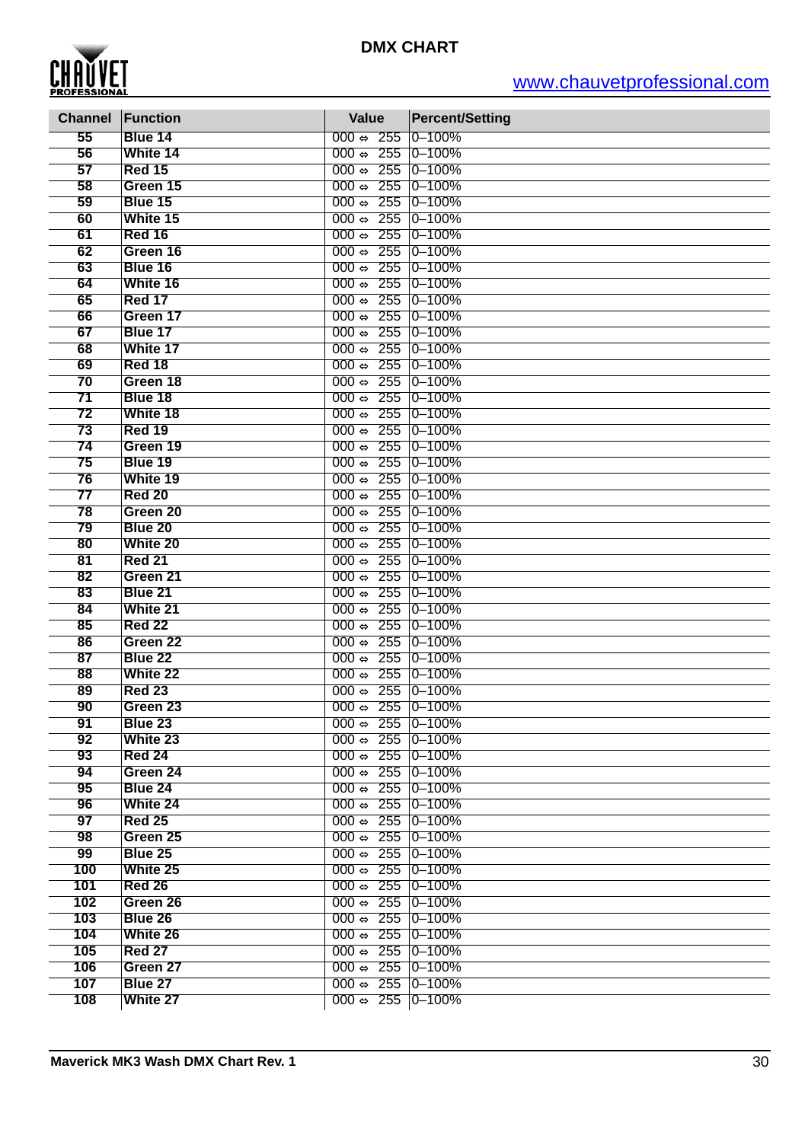

| <b>Channel</b> | Function      | <b>Value</b>                     | <b>Percent/Setting</b> |
|----------------|---------------|----------------------------------|------------------------|
| 55             | Blue 14       | $000 \Leftrightarrow 255$        | $0 - 100%$             |
| 56             | White 14      | 255<br>000 $\Leftrightarrow$     | $0 - 100%$             |
| 57             | <b>Red 15</b> | $000 \Leftrightarrow 255$        | $0 - 100%$             |
| 58             | Green 15      | $000 \Leftrightarrow 255$        | $0 - 100%$             |
| 59             | Blue 15       | $000 \Leftrightarrow 255$        | $0 - 100%$             |
| 60             | White 15      | $000 \Leftrightarrow 255$        | $0 - 100%$             |
| 61             | <b>Red 16</b> | $000 \Leftrightarrow 255$        | $0 - 100%$             |
| 62             | Green 16      | 255<br>$000 \Leftrightarrow$     | $0 - 100%$             |
| 63             | Blue 16       | $000 \Leftrightarrow$<br>255     | $0 - 100%$             |
| 64             | White 16      | 255<br>$000 \Leftrightarrow$     | $0 - 100%$             |
| 65             | Red 17        | 255<br>$000 \Leftrightarrow$     | $0 - 100%$             |
| 66             | Green 17      | $000 \Leftrightarrow 255$        | $0 - 100%$             |
| 67             | Blue 17       | $000 \Leftrightarrow 255$        | $0 - 100%$             |
| 68             | White 17      | $000 \Leftrightarrow 255$        | $0 - 100%$             |
|                |               |                                  |                        |
| 69             | Red 18        | $000 \Leftrightarrow 255$        | $0 - 100%$             |
| 70             | Green 18      | 255<br>$000 \Leftrightarrow$     | $0 - 100%$             |
| 71             | Blue 18       | $000 \Leftrightarrow$<br>255     | $0 - 100%$             |
| 72             | White 18      | $000 \Leftrightarrow$<br>255     | $0 - 100%$             |
| 73             | <b>Red 19</b> | 255<br>$000 \Leftrightarrow$     | $0 - 100%$             |
| 74             | Green 19      | $000 \Leftrightarrow 255$        | $0 - 100%$             |
| 75             | Blue 19       | $000 \Leftrightarrow 255$        | $0 - 100%$             |
| 76             | White 19      | $000 \Leftrightarrow 255$        | $0 - 100%$             |
| 77             | <b>Red 20</b> | $000 \Leftrightarrow 255$        | $0 - 100%$             |
| 78             | Green 20      | 255<br>$000 \Leftrightarrow$     | $0 - 100%$             |
| 79             | Blue 20       | $000 \Leftrightarrow$<br>255     | $0 - 100%$             |
| 80             | White 20      | $000 \Leftrightarrow$<br>255     | $0 - 100%$             |
| 81             | <b>Red 21</b> | 255<br>$000 \Leftrightarrow$     | $0 - 100%$             |
| 82             | Green 21      | 255<br>$000 \Leftrightarrow$     | $0 - 100%$             |
| 83             | Blue 21       | $000 \Leftrightarrow 255$        | $0 - 100%$             |
| 84             | White 21      | $000 \Leftrightarrow 255$        | $0 - 100%$             |
| 85             | <b>Red 22</b> | $000 \Leftrightarrow 255$        | $0 - 100%$             |
| 86             | Green 22      | 255<br>$000 \Leftrightarrow$     | $0 - 100%$             |
| 87             | Blue 22       | $000 \Leftrightarrow$<br>255     | $0 - 100%$             |
| 88             | White 22      | $000 \Leftrightarrow$<br>255     | $0 - 100%$             |
| 89             | <b>Red 23</b> | $000 \Leftrightarrow$<br>255     | $0 - 100%$             |
| 90             | Green 23      | $000 \Leftrightarrow 255$        | $0 - 100%$             |
| 91             | Blue 23       | $000 \Leftrightarrow 255$ 0-100% |                        |
| 92             | White 23      | $000 \Leftrightarrow 255$        | $0 - 100%$             |
| 93             | <b>Red 24</b> | $000 \Leftrightarrow 255$        | $0 - 100%$             |
| 94             | Green 24      | $000 \Leftrightarrow 255$        | $0 - 100%$             |
| 95             | Blue 24       | $000 \div 255$                   | $0 - 100%$             |
| 96             | White 24      | $000 \div 255$                   | $0 - 100%$             |
| 97             | <b>Red 25</b> | $000 \div 255$                   | $0 - 100%$             |
| 98             | Green 25      | $000 \Leftrightarrow 255$        | $0 - 100%$             |
| 99             | Blue 25       | $000 \div 255$                   | $0 - 100%$             |
| 100            | White 25      | $000 \div 255$                   | $0 - 100%$             |
| 101            | <b>Red 26</b> | $000 \div 255$                   | $0 - 100%$             |
| 102            | Green 26      | $000 \div 255$                   | $0 - 100%$             |
| 103            | Blue 26       | $000 \div 255$                   | $0 - 100%$             |
| 104            | White 26      | $000 \div 255$                   | $0 - 100%$             |
| 105            | <b>Red 27</b> | $000 \div 255$                   | $0 - 100%$             |
| 106            | Green 27      | $000 \div 255$                   | $0 - 100%$             |
|                | Blue 27       | $000 \div 255$                   | $0 - 100%$             |
| 107            |               |                                  |                        |
| 108            | White 27      | $000 \div 255$                   | $0 - 100%$             |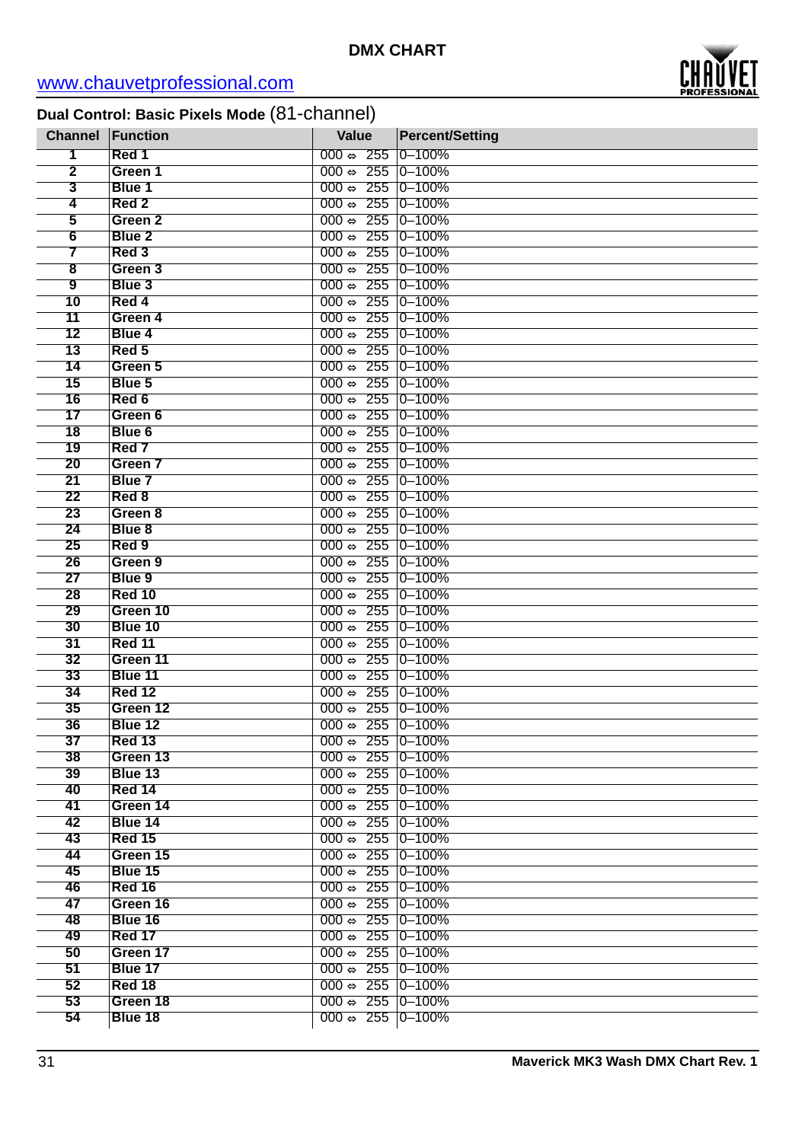

# **Dual Control: Basic Pixels Mode** (81-channel)

| <b>Channel</b>          | Function          | <b>Value</b>                           | <b>Percent/Setting</b> |
|-------------------------|-------------------|----------------------------------------|------------------------|
| 1                       | Red 1             | $000 \Leftrightarrow 255$              | $0 - 100%$             |
| $\overline{2}$          | Green 1           | $000 \Leftrightarrow 255$              | $0 - 100%$             |
| 3                       | Blue 1            | $000 \Leftrightarrow 255$              | $0 - 100%$             |
| 4                       | Red 2             | $000 \Leftrightarrow 255$              | $0 - 100%$             |
| $\overline{\mathbf{5}}$ | Green 2           | $000 \Leftrightarrow 255$              | $0 - 100%$             |
| 6                       | Blue <sub>2</sub> | $000 \Leftrightarrow 255$              | $0 - 100%$             |
| 7                       | Red <sub>3</sub>  | $000 \Leftrightarrow 255$              | $0 - 100%$             |
| $\overline{\mathbf{8}}$ | Green 3           | $000 \Leftrightarrow 255$              | $0 - 100%$             |
| $\overline{9}$          | Blue 3            | $000 \Leftrightarrow 255$              | $0 - 100%$             |
| 10                      | Red 4             | $000 \Leftrightarrow 255$              | $0 - 100%$             |
| 11                      | Green 4           | $000 \Leftrightarrow 255$              | $0 - 100%$             |
| $\overline{12}$         | Blue 4            | $000 \Leftrightarrow 255$              | $0 - 100%$             |
| 13                      | Red <sub>5</sub>  | $000 \Leftrightarrow 255$              | $0 - 100%$             |
| 14                      | Green 5           | $000 \Leftrightarrow 255$              | $0 - 100%$             |
| 15                      | Blue 5            | $000 \Leftrightarrow 255$              | $0 - 100%$             |
| 16                      | Red 6             | $000 \Leftrightarrow 255$              | $0 - 100%$             |
| $\overline{17}$         | Green 6           | $000 \Leftrightarrow 255$              | $0 - 100%$             |
| 18                      | Blue <sub>6</sub> | $000 \Leftrightarrow 255$              | $0 - 100%$             |
| 19                      | Red <sub>7</sub>  | $000 \Leftrightarrow 255$              | $0 - 100%$             |
| 20                      | Green 7           | $000 \Leftrightarrow 255$              | $0 - 100%$             |
| $\overline{21}$         | Blue 7            | $000 \Leftrightarrow 255$              | $0 - 100%$             |
| $\overline{22}$         | Red 8             | $000 \Leftrightarrow 255$              | $0 - 100%$             |
| 23                      | Green 8           | $000 \Leftrightarrow 255$              | $0 - 100%$             |
| $\overline{24}$         | Blue 8            | $000 \Leftrightarrow 255$              | $0 - 100%$             |
| 25                      | Red 9             | $000 \Leftrightarrow 255$              | $0 - 100%$             |
| 26                      | Green 9           | $000 \Leftrightarrow 255$              | $0 - 100%$             |
| 27                      | Blue 9            | $000 \Leftrightarrow 255$              | $0 - 100%$             |
| 28                      | <b>Red 10</b>     | $000 \Leftrightarrow 255$              | $0 - 100%$             |
| 29                      | Green 10          | $000 \Leftrightarrow 255$              | $0 - 100%$             |
| 30                      | Blue 10           | $000 \Leftrightarrow 255$              | $0 - 100%$             |
| 31                      | Red 11            | $000 \Leftrightarrow 255$              | $0 - 100%$             |
| 32                      | Green 11          | $000 \Leftrightarrow 255$              | $0 - 100%$             |
| 33                      | Blue 11           | $000 \Leftrightarrow 255$              | $0 - 100%$             |
| 34                      | <b>Red 12</b>     | $000 \Leftrightarrow$<br>255           | $0 - 100%$             |
| 35                      | Green 12          | 255<br>000 ⇔                           | $0 - 100%$             |
| 36                      | Blue 12           | 000 $\Leftrightarrow$ 255 0-100%       |                        |
| 37                      | Red 13            | 000 $\Leftrightarrow$ 255 0-100%       |                        |
| 38                      | Green 13          | $000 \Leftrightarrow 255 \mid 0-100\%$ |                        |
| 39                      | Blue 13           | $000 \Leftrightarrow 255 \mid 0-100\%$ |                        |
| 40                      | Red 14            | $000 \Leftrightarrow 255 \mid 0-100\%$ |                        |
| 41                      | Green 14          | $000 \Leftrightarrow 255 \mid 0-100\%$ |                        |
| 42                      | Blue 14           | 000 $\Leftrightarrow$ 255 0-100%       |                        |
| 43                      | <b>Red 15</b>     | 000 $\Leftrightarrow$ 255 0-100%       |                        |
| 44                      | Green 15          | 000 $\Leftrightarrow$ 255 0-100%       |                        |
| 45                      | Blue 15           | 000 $\Leftrightarrow$ 255 0-100%       |                        |
| 46                      | Red 16            | 000 $\Leftrightarrow$ 255 0-100%       |                        |
| 47                      | Green 16          | 000 $\Leftrightarrow$ 255 0-100%       |                        |
| 48                      | Blue 16           | 000 $\Leftrightarrow$ 255 0-100%       |                        |
| 49                      | <b>Red 17</b>     | 000 $\Leftrightarrow$ 255 0-100%       |                        |
| 50                      | Green 17          | 000 $\Leftrightarrow$ 255 0-100%       |                        |
| 51                      | Blue 17           | 000 $\Leftrightarrow$ 255 0-100%       |                        |
| 52                      | Red 18            | 000 $\Leftrightarrow$ 255 0-100%       |                        |
| 53                      | Green 18          | 000 $\Leftrightarrow$ 255 0-100%       |                        |
| 54                      | Blue 18           | 000 $\Leftrightarrow$ 255 0-100%       |                        |